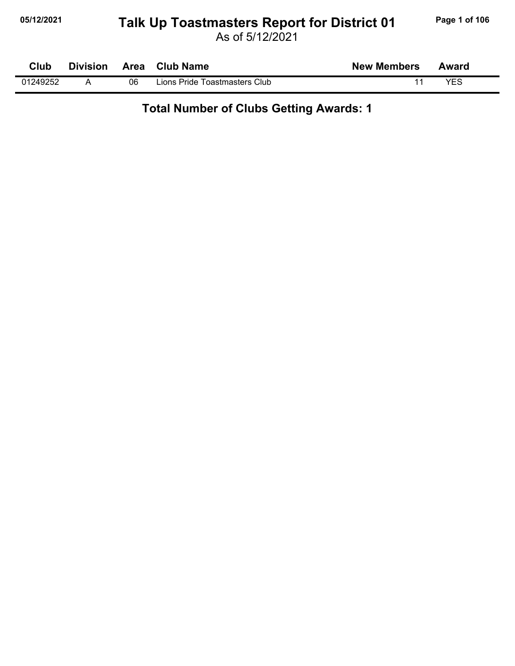# **05/12/2021 Page 1 of 106 Talk Up Toastmasters Report for District 01**

As of 5/12/2021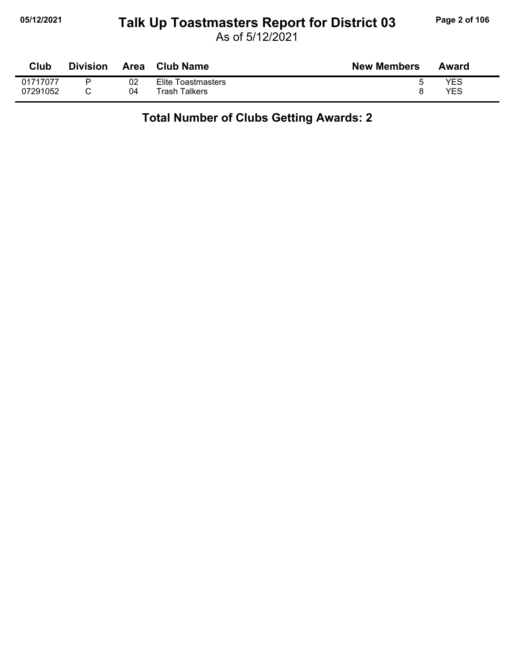#### **05/12/2021 Page 2 of 106 Talk Up Toastmasters Report for District 03**

As of 5/12/2021

| Club     | <b>Division</b> | Area | Club Name          | <b>New Members</b> | Award |
|----------|-----------------|------|--------------------|--------------------|-------|
| 01717077 |                 | 02   | Elite Toastmasters |                    | YES   |
| 07291052 |                 | 04   | Trash Talkers      |                    | YES   |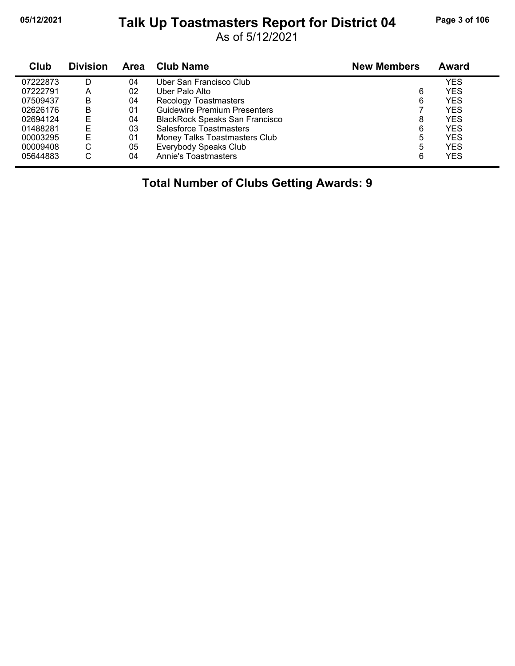#### **05/12/2021 Page 3 of 106 Talk Up Toastmasters Report for District 04**

As of 5/12/2021

| Club     | <b>Division</b> | <b>Area</b> | <b>Club Name</b>                      | <b>New Members</b> | <b>Award</b> |
|----------|-----------------|-------------|---------------------------------------|--------------------|--------------|
| 07222873 | D               | 04          | Uber San Francisco Club               |                    | YES          |
| 07222791 | А               | 02          | Uber Palo Alto                        | 6                  | <b>YES</b>   |
| 07509437 | B               | 04          | <b>Recology Toastmasters</b>          | 6                  | <b>YES</b>   |
| 02626176 | в               | 01          | <b>Guidewire Premium Presenters</b>   |                    | YES          |
| 02694124 |                 | 04          | <b>BlackRock Speaks San Francisco</b> | 8                  | <b>YES</b>   |
| 01488281 |                 | 03          | Salesforce Toastmasters               | 6                  | <b>YES</b>   |
| 00003295 | Е               | 01          | Money Talks Toastmasters Club         | 5                  | <b>YES</b>   |
| 00009408 | С               | 05          | Everybody Speaks Club                 | 5                  | <b>YES</b>   |
| 05644883 | С               | 04          | Annie's Toastmasters                  | 6                  | <b>YES</b>   |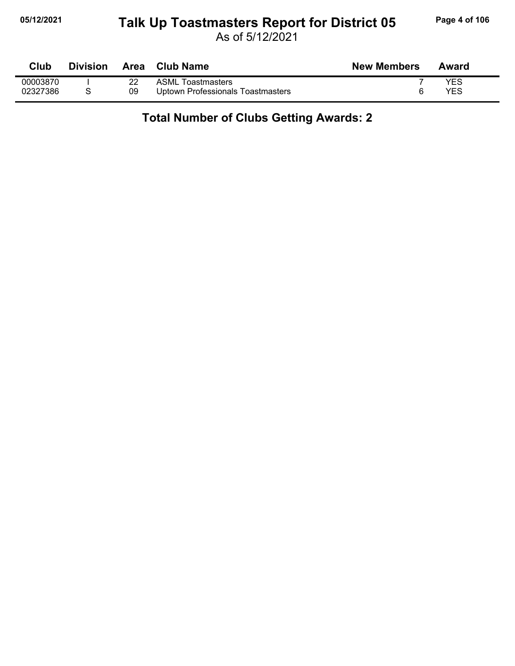#### **05/12/2021 Page 4 of 106 Talk Up Toastmasters Report for District 05**

As of 5/12/2021

| Club     | <b>Division</b> | Area | <b>Club Name</b>                  | <b>New Members</b> | Award |
|----------|-----------------|------|-----------------------------------|--------------------|-------|
| 00003870 |                 |      | <b>ASML Toastmasters</b>          |                    | YES   |
| 02327386 |                 | 09   | Uptown Professionals Toastmasters |                    | YES   |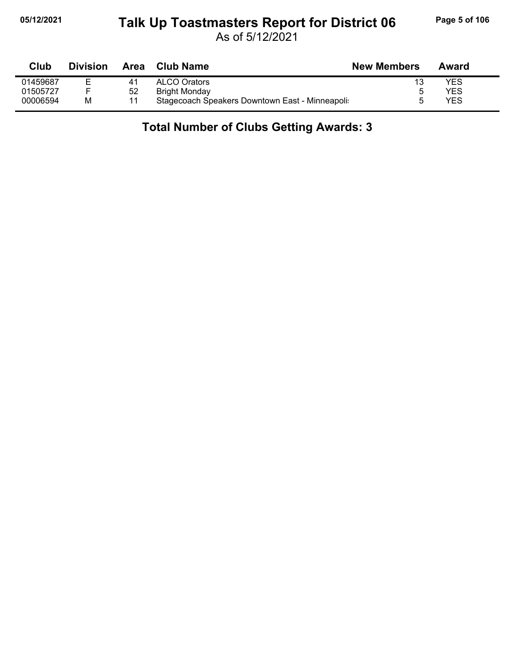### **05/12/2021 Page 5 of 106 Talk Up Toastmasters Report for District 06**

As of 5/12/2021

| Club     | <b>Division</b> | Area | <b>Club Name</b>                               | <b>New Members</b> | Award |  |
|----------|-----------------|------|------------------------------------------------|--------------------|-------|--|
| 01459687 |                 | 41   | <b>ALCO Orators</b>                            | 13                 | YES   |  |
| 01505727 |                 | 52   | Bright Monday                                  |                    | YES   |  |
| 00006594 | M               |      | Stagecoach Speakers Downtown East - Minneapoli |                    | YES   |  |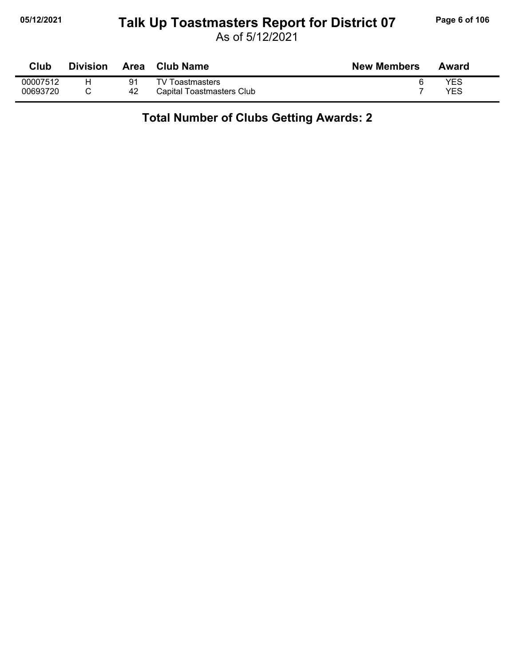#### **05/12/2021 Page 6 of 106 Talk Up Toastmasters Report for District 07**

As of 5/12/2021

| Club     | <b>Division</b> | <b>Area</b> | <b>Club Name</b>          | <b>New Members</b> | Award |
|----------|-----------------|-------------|---------------------------|--------------------|-------|
| 00007512 |                 | 91          | TV Toastmasters           |                    | YES   |
| 00693720 |                 | 42          | Capital Toastmasters Club |                    | YES   |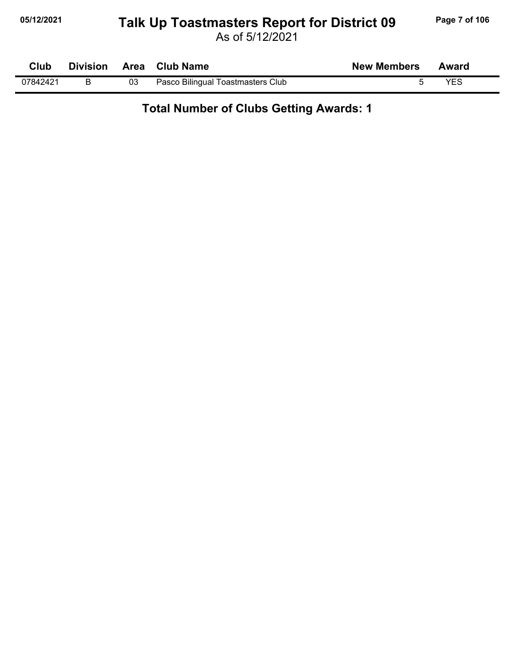# **05/12/2021 Page 7 of 106 Talk Up Toastmasters Report for District 09**

As of 5/12/2021

| Club     |    | Division Area Club Name           | <b>New Members</b> | Award |
|----------|----|-----------------------------------|--------------------|-------|
| 07842421 | 03 | Pasco Bilingual Toastmasters Club |                    | YES   |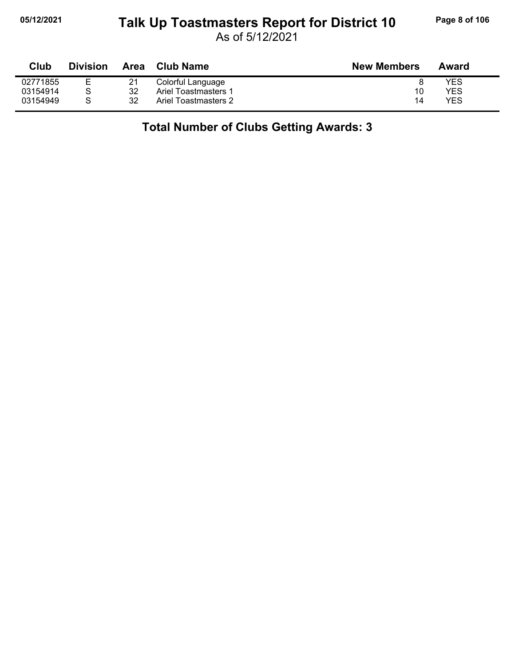# **05/12/2021 Page 8 of 106 Talk Up Toastmasters Report for District 10**

As of 5/12/2021

| <b>Club</b> | <b>Division</b> | Area | Club Name            | <b>New Members</b> | Award |
|-------------|-----------------|------|----------------------|--------------------|-------|
| 02771855    |                 | 21   | Colorful Language    |                    | YES   |
| 03154914    |                 | 32   | Ariel Toastmasters 1 | 10                 | YES   |
| 03154949    |                 | 32   | Ariel Toastmasters 2 | 14                 | YES   |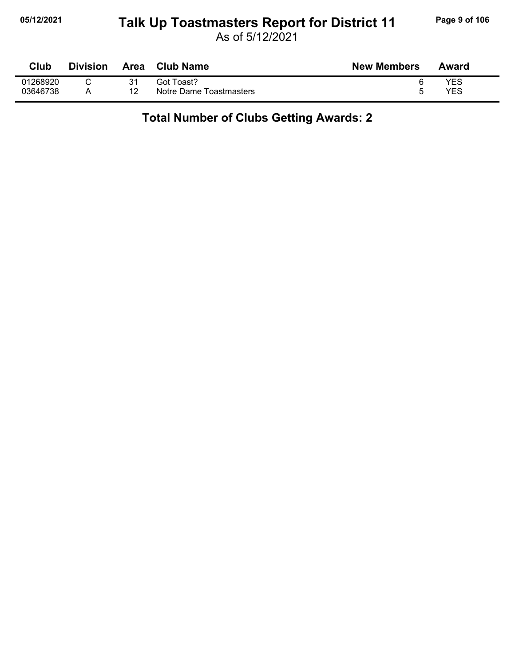#### **05/12/2021 Page 9 of 106 Talk Up Toastmasters Report for District 11**

As of 5/12/2021

| Club     | <b>Division</b> | Area | <b>Club Name</b>        | <b>New Members</b> | Award |
|----------|-----------------|------|-------------------------|--------------------|-------|
| 01268920 |                 | 31   | Got Toast?              |                    | YES   |
| 03646738 |                 | 12   | Notre Dame Toastmasters |                    | YES   |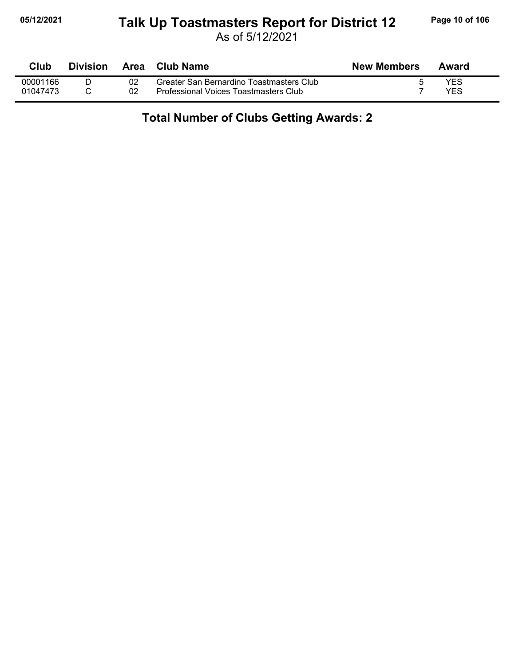#### **05/12/2021 Page 10 of 106 Talk Up Toastmasters Report for District 12**

As of 5/12/2021

| Club     | <b>Division</b> | Area | Club Name                                | <b>New Members</b> | Award |
|----------|-----------------|------|------------------------------------------|--------------------|-------|
| 00001166 |                 |      | Greater San Bernardino Toastmasters Club |                    | YES   |
| 01047473 |                 |      | Professional Voices Toastmasters Club    |                    | YES   |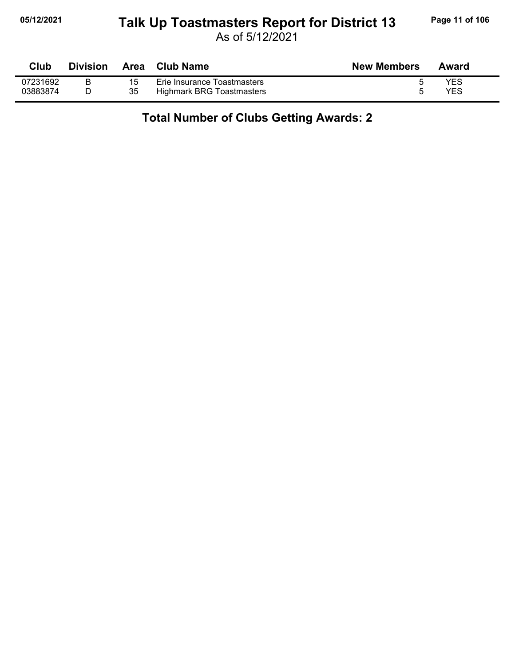#### **05/12/2021 Page 11 of 106 Talk Up Toastmasters Report for District 13**

As of 5/12/2021

| <b>Club</b> | <b>Division</b> |    | Area Club Name              | <b>New Members</b> | Award      |
|-------------|-----------------|----|-----------------------------|--------------------|------------|
| 07231692    |                 | 15 | Erie Insurance Toastmasters |                    | <b>YES</b> |
| 03883874    |                 | 35 | Highmark BRG Toastmasters   |                    | <b>YES</b> |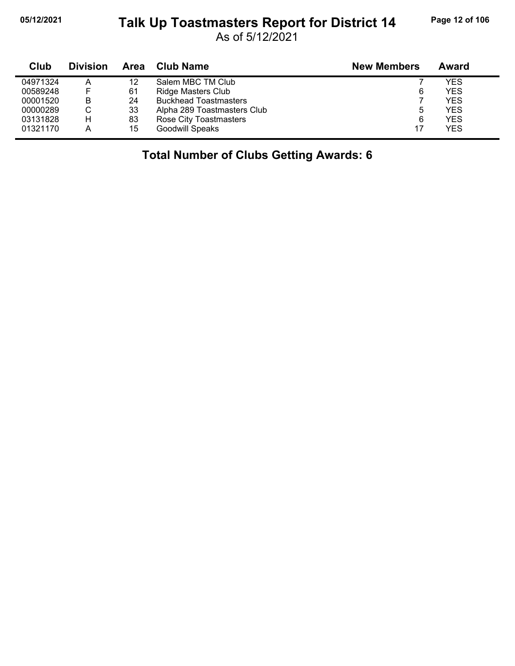# **05/12/2021 Page 12 of 106 Talk Up Toastmasters Report for District 14**

As of 5/12/2021

| Club     | <b>Division</b> | Area | <b>Club Name</b>             | <b>New Members</b> | Award      |
|----------|-----------------|------|------------------------------|--------------------|------------|
| 04971324 | А               | 12   | Salem MBC TM Club            |                    | YES        |
| 00589248 |                 | 61   | Ridge Masters Club           | 6                  | <b>YES</b> |
| 00001520 | в               | 24   | <b>Buckhead Toastmasters</b> |                    | <b>YES</b> |
| 00000289 | С               | 33   | Alpha 289 Toastmasters Club  | ხ                  | <b>YES</b> |
| 03131828 | н               | 83   | Rose City Toastmasters       | 6                  | <b>YES</b> |
| 01321170 | Α               | 15   | <b>Goodwill Speaks</b>       | 17                 | <b>YES</b> |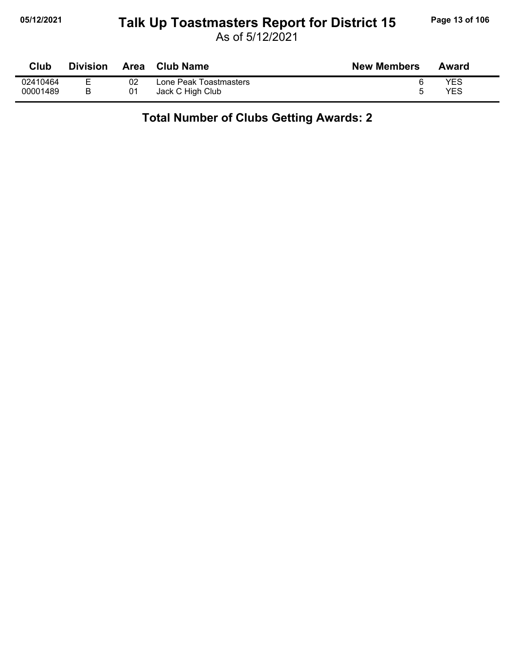#### **05/12/2021 Page 13 of 106 Talk Up Toastmasters Report for District 15**

As of 5/12/2021

| Club     | <b>Division</b> | <b>Area</b> | <b>Club Name</b>       | <b>New Members</b> | Award |
|----------|-----------------|-------------|------------------------|--------------------|-------|
| 02410464 | -               | 02          | Lone Peak Toastmasters |                    | YES   |
| 00001489 |                 | 01          | Jack C High Club       |                    | YES   |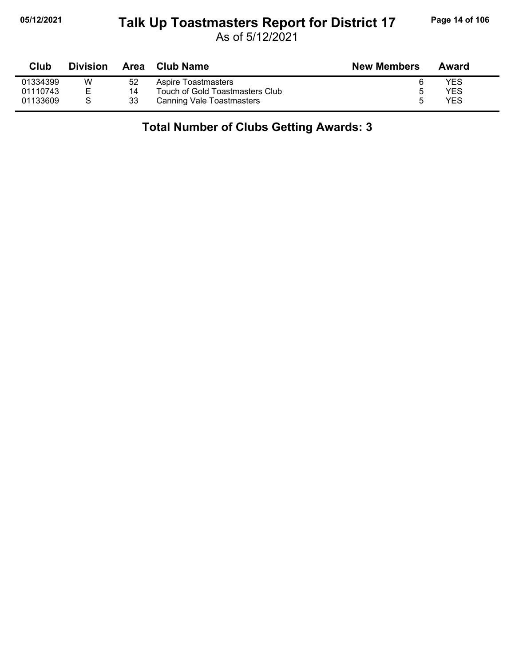### **05/12/2021 Page 14 of 106 Talk Up Toastmasters Report for District 17**

As of 5/12/2021

| Club     | <b>Division</b> |    | Area Club Name                   | <b>New Members</b> | Award |
|----------|-----------------|----|----------------------------------|--------------------|-------|
| 01334399 | W               | 52 | Aspire Toastmasters              |                    | YES   |
| 01110743 | E.              | 14 | Touch of Gold Toastmasters Club  |                    | YES   |
| 01133609 |                 | 33 | <b>Canning Vale Toastmasters</b> |                    | YES   |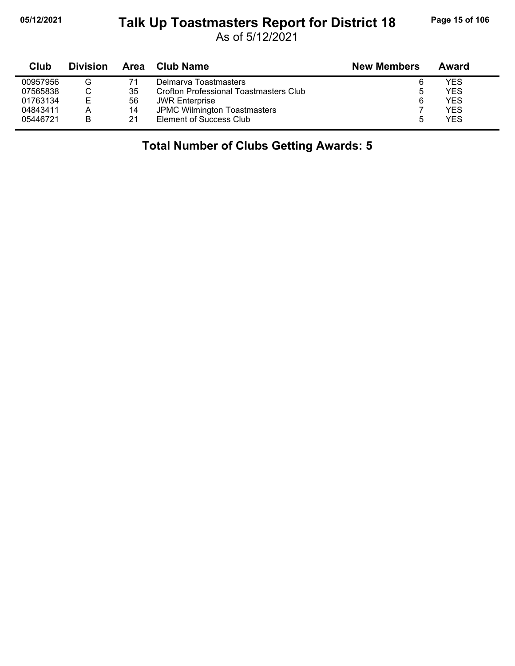#### **05/12/2021 Page 15 of 106 Talk Up Toastmasters Report for District 18**

As of 5/12/2021

| Club     | <b>Division</b> | Area | <b>Club Name</b>                       | <b>New Members</b> | Award      |
|----------|-----------------|------|----------------------------------------|--------------------|------------|
| 00957956 | G               | 71   | Delmarya Toastmasters                  |                    | <b>YES</b> |
| 07565838 |                 | 35   | Crofton Professional Toastmasters Club | 5                  | <b>YES</b> |
| 01763134 | Е               | 56   | <b>JWR Enterprise</b>                  | 6                  | <b>YES</b> |
| 04843411 |                 | 14   | JPMC Wilmington Toastmasters           |                    | <b>YES</b> |
| 05446721 | B               | 21   | Element of Success Club                |                    | <b>YES</b> |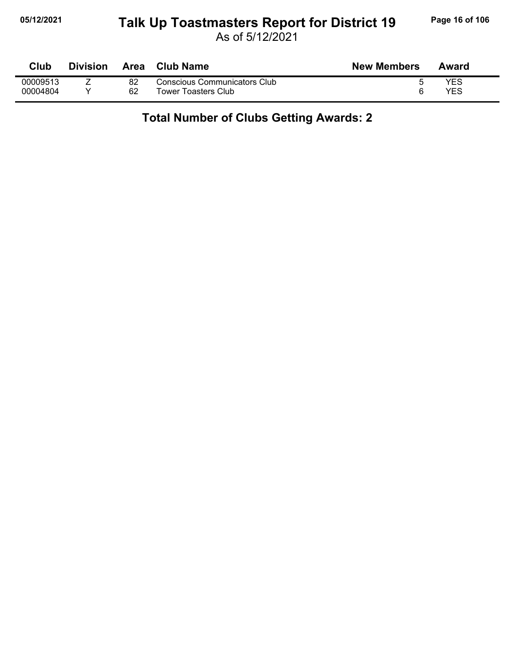### **05/12/2021 Page 16 of 106 Talk Up Toastmasters Report for District 19**

As of 5/12/2021

| $7$ lub  | <b>Division</b> | Area | <b>Club Name</b>                    | <b>New Members</b> | Award |
|----------|-----------------|------|-------------------------------------|--------------------|-------|
| 00009513 | <u>. </u>       | 82   | <b>Conscious Communicators Club</b> |                    | YES   |
| 00004804 |                 | 62   | Tower Toasters Club                 |                    | YES   |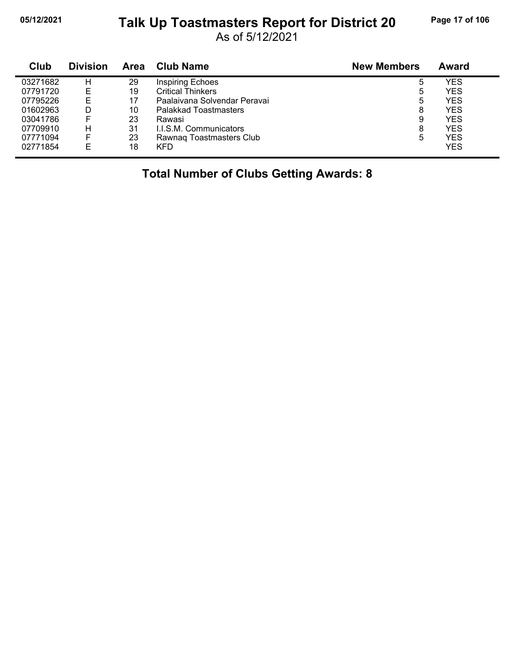#### **05/12/2021 Page 17 of 106 Talk Up Toastmasters Report for District 20**

As of 5/12/2021

| Club     | <b>Division</b> | <b>Area</b> | <b>Club Name</b>              | <b>New Members</b> | Award      |
|----------|-----------------|-------------|-------------------------------|--------------------|------------|
| 03271682 | н               | 29          | <b>Inspiring Echoes</b>       | 5                  | YES        |
| 07791720 | E               | 19          | <b>Critical Thinkers</b>      | 5                  | <b>YES</b> |
| 07795226 | E               | 17          | Paalaivana Solvendar Peravai  | 5                  | <b>YES</b> |
| 01602963 | D               | 10          | Palakkad Toastmasters         | 8                  | <b>YES</b> |
| 03041786 |                 | 23          | Rawasi                        | 9                  | <b>YES</b> |
| 07709910 | H.              | 31          | <b>I.I.S.M. Communicators</b> | 8                  | <b>YES</b> |
| 07771094 | F               | 23          | Rawnag Toastmasters Club      | 5                  | YES        |
| 02771854 | F               | 18          | <b>KFD</b>                    |                    | <b>YES</b> |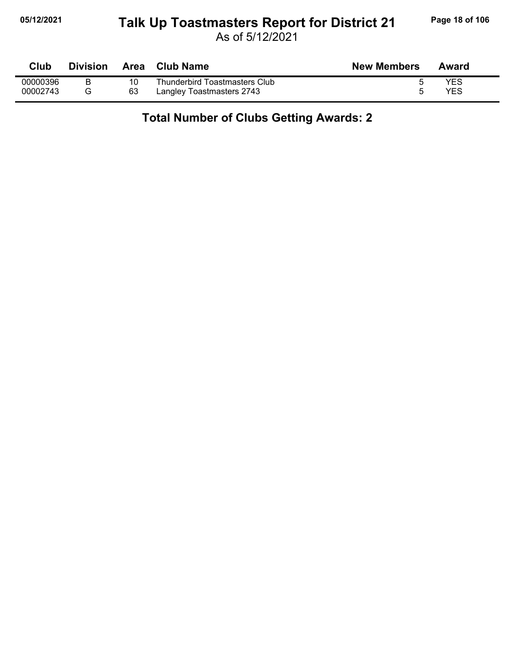#### **05/12/2021 Page 18 of 106 Talk Up Toastmasters Report for District 21**

As of 5/12/2021

| <b>Club</b> | Division | Area | <b>Club Name</b>              | <b>New Members</b> | Award |
|-------------|----------|------|-------------------------------|--------------------|-------|
| 00000396    |          |      | Thunderbird Toastmasters Club |                    | YES   |
| 00002743    |          | 63   | Langley Toastmasters 2743     |                    | YES   |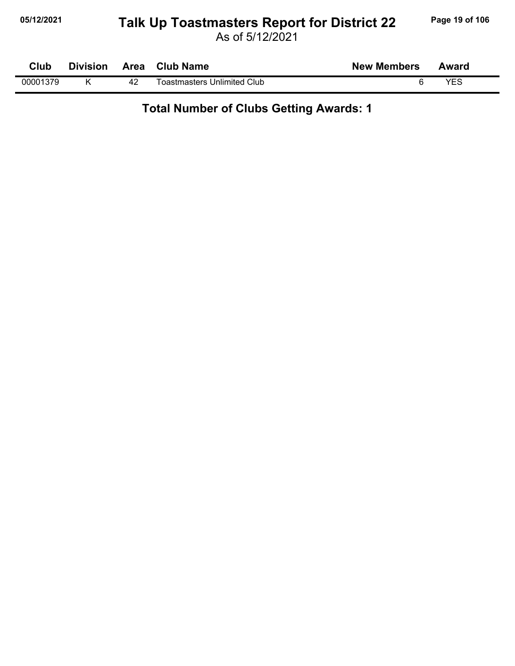#### **05/12/2021 Page 19 of 106 Talk Up Toastmasters Report for District 22**

| Club     | <b>Division</b> | Area | <b>Club Name</b>            | <b>New Members</b> | Award |  |
|----------|-----------------|------|-----------------------------|--------------------|-------|--|
| 00001379 |                 | 42   | Toastmasters Unlimited Club |                    | VES   |  |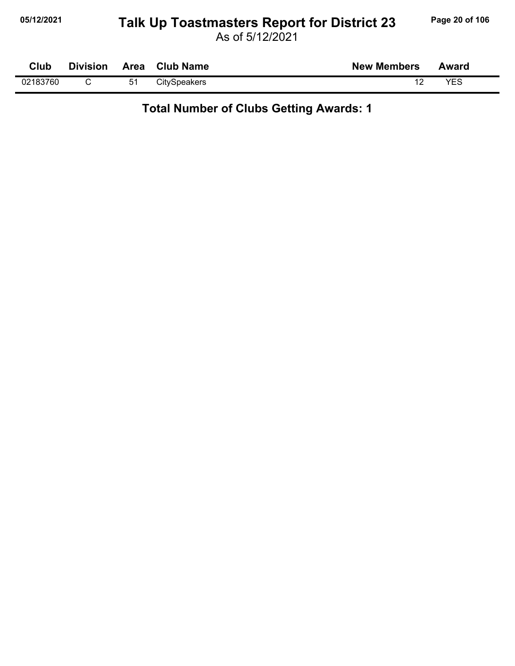### **05/12/2021 Page 20 of 106 Talk Up Toastmasters Report for District 23**

As of 5/12/2021

| Club     | <b>Division</b> | Area | <b>Club Name</b>    | <b>New Members</b> | Award |  |
|----------|-----------------|------|---------------------|--------------------|-------|--|
| 02183760 |                 | 51   | <b>CitySpeakers</b> |                    | VFS   |  |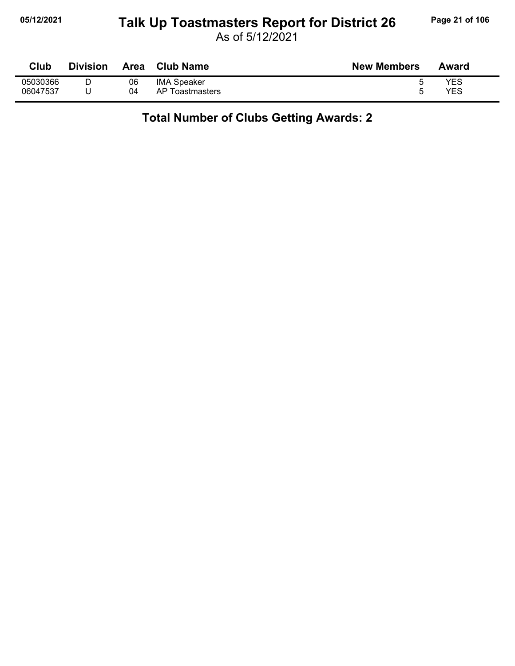#### **05/12/2021 Page 21 of 106 Talk Up Toastmasters Report for District 26**

As of 5/12/2021

| Club     | <b>Division</b> | Area | <b>Club Name</b>   | <b>New Members</b> | Award      |
|----------|-----------------|------|--------------------|--------------------|------------|
| 05030366 | D               | 06   | <b>IMA Speaker</b> |                    | YES        |
| 06047537 |                 | 04   | AP Toastmasters    |                    | <b>YES</b> |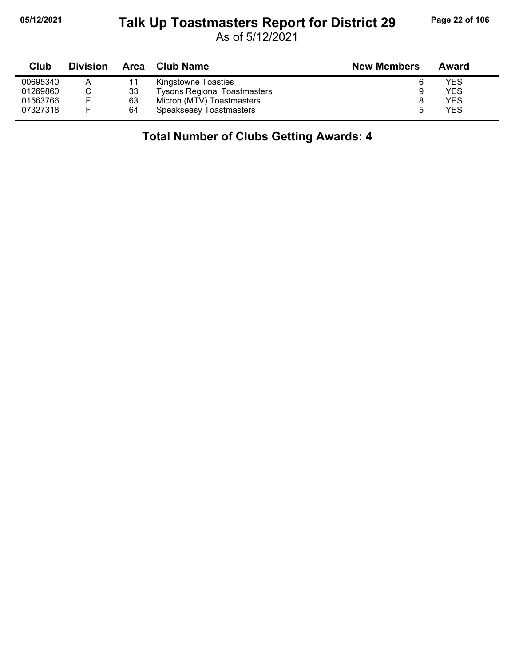#### **05/12/2021 Page 22 of 106 Talk Up Toastmasters Report for District 29**

As of 5/12/2021

| Club     | <b>Division</b> | Area | Club Name                           | <b>New Members</b> | Award      |
|----------|-----------------|------|-------------------------------------|--------------------|------------|
| 00695340 | Α               |      | Kingstowne Toasties                 |                    | YES        |
| 01269860 |                 | 33   | <b>Tysons Regional Toastmasters</b> | 9                  | YES        |
| 01563766 | F.              | 63   | Micron (MTV) Toastmasters           |                    | <b>YES</b> |
| 07327318 | F.              | 64   | Speakseasy Toastmasters             |                    | <b>YES</b> |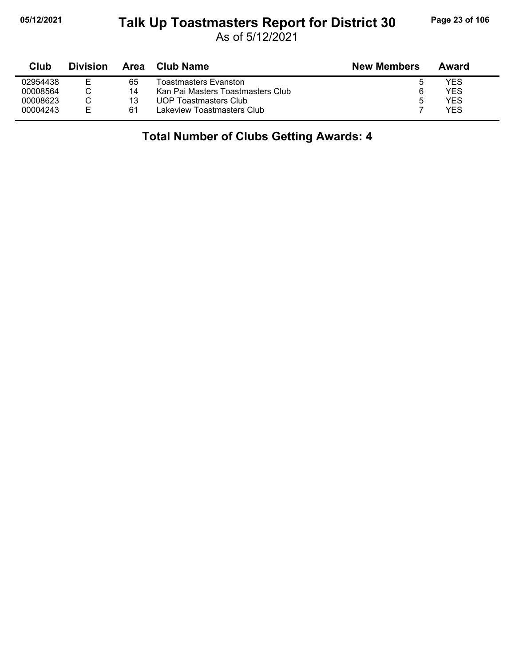### **05/12/2021 Page 23 of 106 Talk Up Toastmasters Report for District 30**

As of 5/12/2021

| Club     | <b>Division</b> | Area | Club Name                         | <b>New Members</b> | Award |
|----------|-----------------|------|-----------------------------------|--------------------|-------|
| 02954438 | F               | 65   | Toastmasters Evanston             | O                  | YES   |
| 00008564 |                 | 14   | Kan Pai Masters Toastmasters Club | 6                  | YES   |
| 00008623 |                 | 13   | UOP Toastmasters Club             | 5                  | YES   |
| 00004243 | ᆮ               | -61  | Lakeview Toastmasters Club        |                    | YFS   |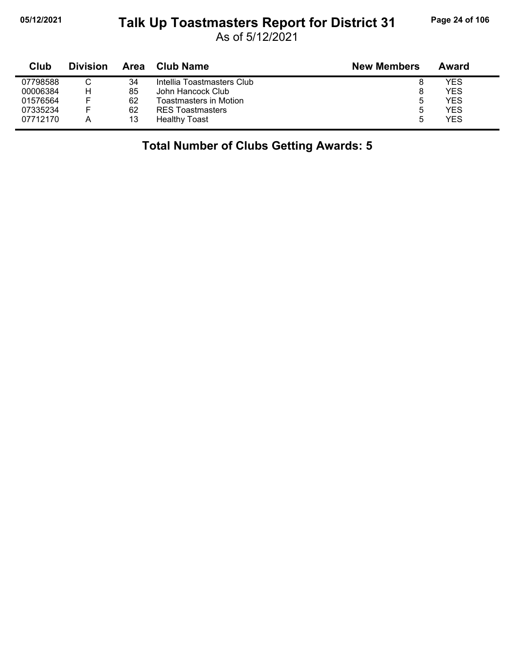# **05/12/2021 Page 24 of 106 Talk Up Toastmasters Report for District 31**

As of 5/12/2021

| Club     | <b>Division</b> | Area | <b>Club Name</b>              | <b>New Members</b> | Award |
|----------|-----------------|------|-------------------------------|--------------------|-------|
| 07798588 |                 | 34   | Intellia Toastmasters Club    | 8                  | YES   |
| 00006384 | н               | 85   | John Hancock Club             | 8                  | YES   |
| 01576564 | -               | 62   | <b>Toastmasters in Motion</b> | ხ                  | YES   |
| 07335234 | -               | 62   | <b>RES</b> Toastmasters       | ხ                  | YES   |
| 07712170 | А               | 13   | <b>Healthy Toast</b>          | b                  | YES   |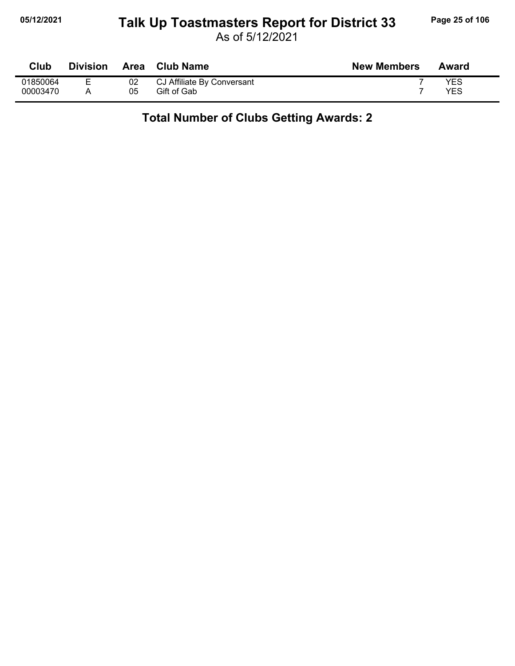#### **05/12/2021 Page 25 of 106 Talk Up Toastmasters Report for District 33**

As of 5/12/2021

| Club     | <b>Division</b> | Area | Club Name                  | <b>New Members</b> | Award |
|----------|-----------------|------|----------------------------|--------------------|-------|
| 01850064 | −               | 02   | CJ Affiliate By Conversant |                    | YES   |
| 00003470 |                 | 05   | Gift of Gab                |                    | YES   |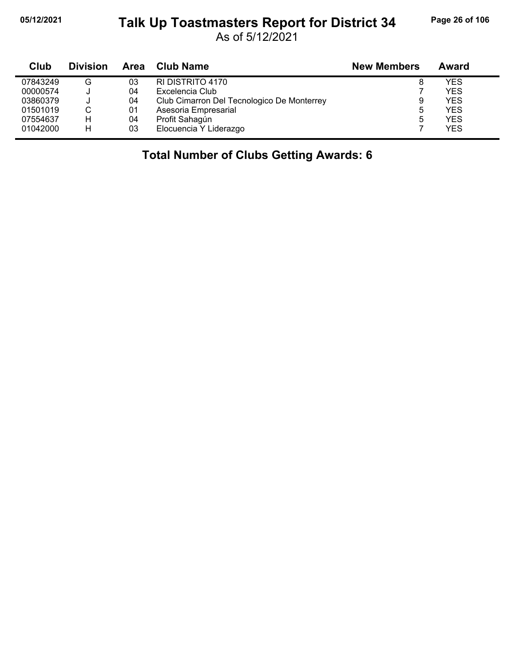# **05/12/2021 Page 26 of 106 Talk Up Toastmasters Report for District 34**

As of 5/12/2021

| Club     | <b>Division</b> | Area | <b>Club Name</b>                           | <b>New Members</b> | Award      |
|----------|-----------------|------|--------------------------------------------|--------------------|------------|
| 07843249 | G               | 03   | RI DISTRITO 4170                           |                    | <b>YES</b> |
| 00000574 |                 | 04   | Excelencia Club                            |                    | <b>YES</b> |
| 03860379 |                 | 04   | Club Cimarron Del Tecnologico De Monterrey | 9                  | <b>YES</b> |
| 01501019 | С               | 01   | Asesoria Empresarial                       | 5                  | <b>YES</b> |
| 07554637 | н               | 04   | Profit Sahagún                             | 5                  | <b>YES</b> |
| 01042000 | н               | 03   | Elocuencia Y Liderazgo                     |                    | <b>YES</b> |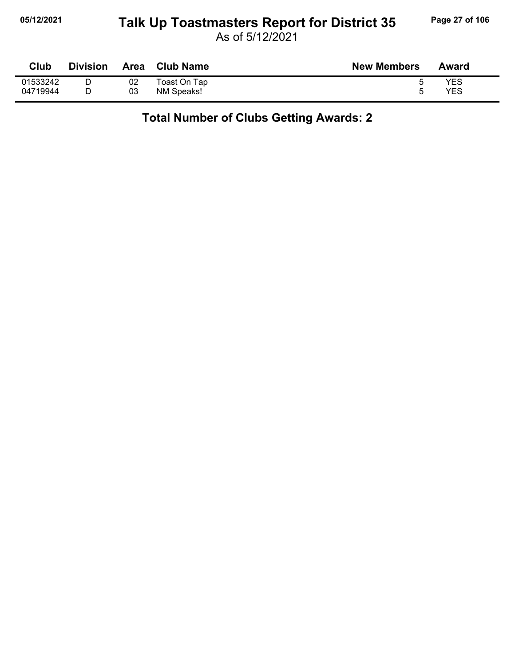### **05/12/2021 Page 27 of 106 Talk Up Toastmasters Report for District 35**

As of 5/12/2021

| Club     | <b>Division</b> | Area | <b>Club Name</b> | <b>New Members</b> | Award |
|----------|-----------------|------|------------------|--------------------|-------|
| 01533242 |                 | 02   | Toast On Tap     |                    | YES   |
| 04719944 |                 | 03   | NM Speaks!       |                    | YES   |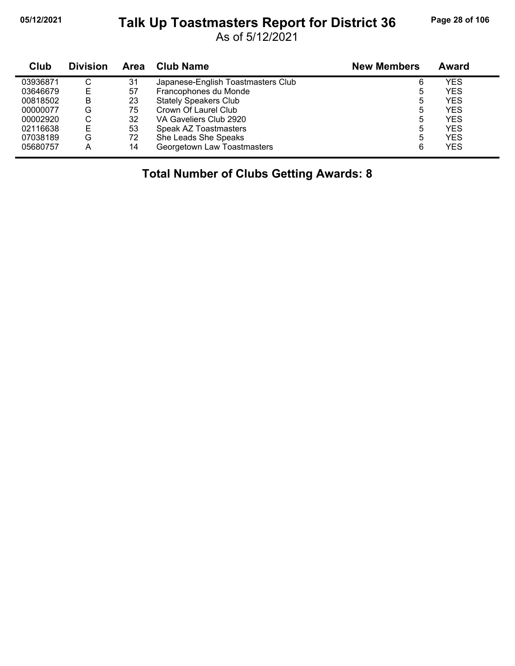#### **05/12/2021 Page 28 of 106 Talk Up Toastmasters Report for District 36**

As of 5/12/2021

| Club     | <b>Division</b> | <b>Area</b> | Club Name                          | <b>New Members</b> | Award      |
|----------|-----------------|-------------|------------------------------------|--------------------|------------|
| 03936871 | С               | 31          | Japanese-English Toastmasters Club | 6                  | YES        |
| 03646679 | E               | 57          | Francophones du Monde              | ხ                  | <b>YES</b> |
| 00818502 | в               | 23          | <b>Stately Speakers Club</b>       | 5                  | <b>YES</b> |
| 00000077 | G               | 75          | Crown Of Laurel Club               | 5                  | <b>YES</b> |
| 00002920 | С               | 32          | VA Gaveliers Club 2920             | 5                  | <b>YES</b> |
| 02116638 |                 | 53          | Speak AZ Toastmasters              | 5                  | YES        |
| 07038189 | G               | 72          | She Leads She Speaks               | 5                  | <b>YES</b> |
| 05680757 | А               | 14          | Georgetown Law Toastmasters        | 6                  | <b>YES</b> |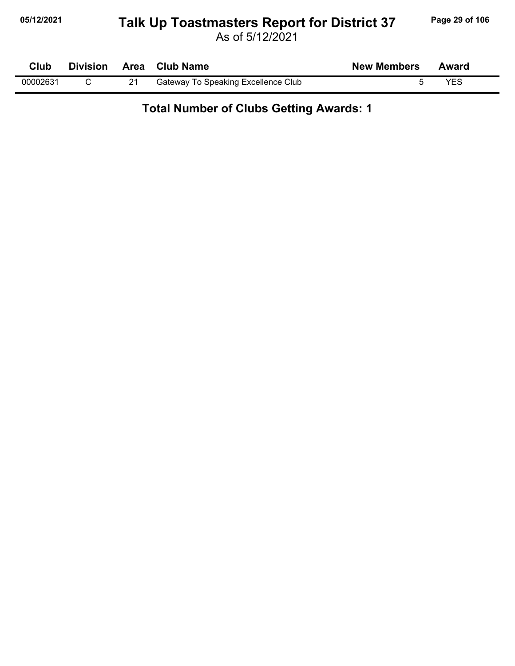# **05/12/2021 Page 29 of 106 Talk Up Toastmasters Report for District 37**

| Club     |  | Division Area Club Name                    | <b>New Members</b> | Award |  |
|----------|--|--------------------------------------------|--------------------|-------|--|
| 00002631 |  | <b>Gateway To Speaking Excellence Club</b> |                    | YES   |  |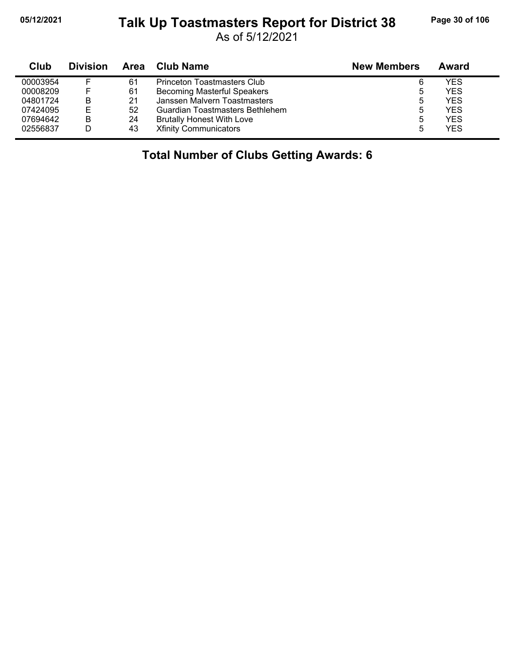j,

### **05/12/2021 Page 30 of 106 Talk Up Toastmasters Report for District 38**

As of 5/12/2021

| Club     | <b>Division</b> | Area | <b>Club Name</b>                   | <b>New Members</b> | Award |
|----------|-----------------|------|------------------------------------|--------------------|-------|
| 00003954 |                 | 61   | <b>Princeton Toastmasters Club</b> | 6                  | YES   |
| 00008209 |                 | 61   | <b>Becoming Masterful Speakers</b> | 5                  | YES   |
| 04801724 | B               | 21   | Janssen Malvern Toastmasters       | 5                  | YES   |
| 07424095 | Е               | 52   | Guardian Toastmasters Bethlehem    | 5                  | YES   |
| 07694642 | B               | 24   | <b>Brutally Honest With Love</b>   | 5                  | YES   |
| 02556837 |                 | 43   | <b>Xfinity Communicators</b>       | 5                  | YES   |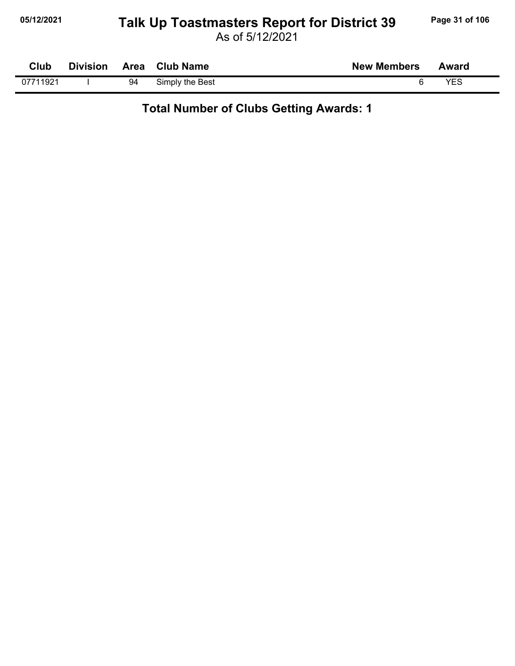#### **05/12/2021 Page 31 of 106 Talk Up Toastmasters Report for District 39**

As of 5/12/2021

| Club     | <b>Division</b> |    | Area Club Name  | <b>New Members</b> | Award |
|----------|-----------------|----|-----------------|--------------------|-------|
| 07711921 |                 | 94 | Simply the Best |                    | YES   |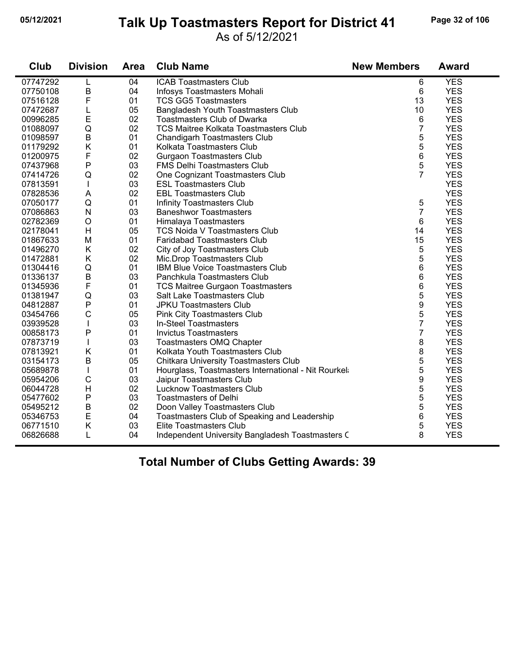#### **05/12/2021 Page 32 of 106 Talk Up Toastmasters Report for District 41**

#### As of 5/12/2021

| Club     | <b>Division</b> | Area | <b>Club Name</b>                                    | <b>New Members</b> | <b>Award</b> |
|----------|-----------------|------|-----------------------------------------------------|--------------------|--------------|
| 07747292 | L               | 04   | <b>ICAB Toastmasters Club</b>                       | 6                  | <b>YES</b>   |
| 07750108 | B               | 04   | Infosys Toastmasters Mohali                         | 6                  | <b>YES</b>   |
| 07516128 | F               | 01   | <b>TCS GG5 Toastmasters</b>                         | 13                 | <b>YES</b>   |
| 07472687 | L               | 05   | Bangladesh Youth Toastmasters Club                  | 10                 | <b>YES</b>   |
| 00996285 | E               | 02   | <b>Toastmasters Club of Dwarka</b>                  | 6                  | <b>YES</b>   |
| 01088097 | Q               | 02   | <b>TCS Maitree Kolkata Toastmasters Club</b>        | $\overline{7}$     | <b>YES</b>   |
| 01098597 | $\sf B$         | 01   | Chandigarh Toastmasters Club                        | 5                  | <b>YES</b>   |
| 01179292 | Κ               | 01   | Kolkata Toastmasters Club                           | 5                  | <b>YES</b>   |
| 01200975 | F               | 02   | <b>Gurgaon Toastmasters Club</b>                    | 6                  | <b>YES</b>   |
| 07437968 | P               | 03   | <b>FMS Delhi Toastmasters Club</b>                  | 5                  | <b>YES</b>   |
| 07414726 | Q               | 02   | One Cognizant Toastmasters Club                     | $\overline{7}$     | <b>YES</b>   |
| 07813591 | T               | 03   | <b>ESL Toastmasters Club</b>                        |                    | <b>YES</b>   |
| 07828536 | A               | 02   | <b>EBL Toastmasters Club</b>                        |                    | <b>YES</b>   |
| 07050177 | Q               | 01   | Infinity Toastmasters Club                          | 5                  | <b>YES</b>   |
| 07086863 | $\mathsf{N}$    | 03   | <b>Baneshwor Toastmasters</b>                       | $\overline{7}$     | <b>YES</b>   |
| 02782369 | $\circ$         | 01   | Himalaya Toastmasters                               | 6                  | <b>YES</b>   |
| 02178041 | H               | 05   | <b>TCS Noida V Toastmasters Club</b>                | 14                 | <b>YES</b>   |
| 01867633 | M               | 01   | <b>Faridabad Toastmasters Club</b>                  | 15                 | <b>YES</b>   |
| 01496270 | K               | 02   | City of Joy Toastmasters Club                       | 5                  | <b>YES</b>   |
| 01472881 | Κ               | 02   | Mic.Drop Toastmasters Club                          | 5                  | <b>YES</b>   |
| 01304416 | Q               | 01   | IBM Blue Voice Toastmasters Club                    | 6                  | <b>YES</b>   |
| 01336137 | $\sf B$         | 03   | Panchkula Toastmasters Club                         | 6                  | <b>YES</b>   |
| 01345936 | F               | 01   | <b>TCS Maitree Gurgaon Toastmasters</b>             | 6                  | <b>YES</b>   |
| 01381947 | $\mathsf Q$     | 03   | Salt Lake Toastmasters Club                         | 5                  | <b>YES</b>   |
| 04812887 | P               | 01   | <b>JPKU Toastmasters Club</b>                       | 9                  | <b>YES</b>   |
| 03454766 | C               | 05   | <b>Pink City Toastmasters Club</b>                  | 5                  | <b>YES</b>   |
| 03939528 | I               | 03   | In-Steel Toastmasters                               | $\overline{7}$     | <b>YES</b>   |
| 00858173 | P               | 01   | <b>Invictus Toastmasters</b>                        | $\overline{7}$     | <b>YES</b>   |
| 07873719 |                 | 03   | Toastmasters OMQ Chapter                            | 8                  | <b>YES</b>   |
| 07813921 | Κ               | 01   | Kolkata Youth Toastmasters Club                     | 8                  | <b>YES</b>   |
| 03154173 | B               | 05   | <b>Chitkara University Toastmasters Club</b>        | 5                  | <b>YES</b>   |
| 05689878 | $\mathsf I$     | 01   | Hourglass, Toastmasters International - Nit Rourkel | 5                  | <b>YES</b>   |
| 05954206 | $\mathsf C$     | 03   | Jaipur Toastmasters Club                            | 9                  | <b>YES</b>   |
| 06044728 | H               | 02   | <b>Lucknow Toastmasters Club</b>                    | 5                  | <b>YES</b>   |
| 05477602 | P               | 03   | <b>Toastmasters of Delhi</b>                        | 5                  | <b>YES</b>   |
| 05495212 | $\sf B$         | 02   | Doon Valley Toastmasters Club                       | 5                  | <b>YES</b>   |
| 05346753 | E               | 04   | Toastmasters Club of Speaking and Leadership        | 6                  | <b>YES</b>   |
| 06771510 | Κ               | 03   | Elite Toastmasters Club                             | 5                  | <b>YES</b>   |
| 06826688 | L               | 04   | Independent University Bangladesh Toastmasters C    | 8                  | <b>YES</b>   |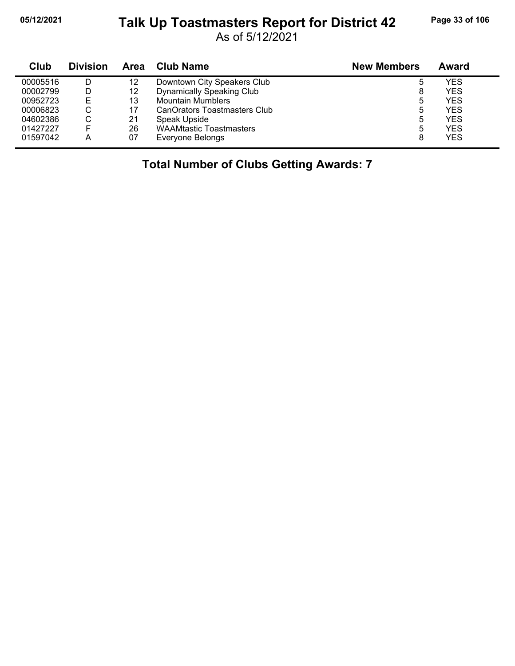$\blacksquare$ 

### **05/12/2021 Page 33 of 106 Talk Up Toastmasters Report for District 42**

As of 5/12/2021

| Club     | <b>Division</b> | Area | <b>Club Name</b>                 | <b>New Members</b> | Award |
|----------|-----------------|------|----------------------------------|--------------------|-------|
| 00005516 |                 | 12   | Downtown City Speakers Club      | 5                  | YES   |
| 00002799 |                 | 12   | <b>Dynamically Speaking Club</b> | 8                  | YES   |
| 00952723 | Е               | 13   | <b>Mountain Mumblers</b>         | 5                  | YES   |
| 00006823 | ◡               | 17   | CanOrators Toastmasters Club     | 5                  | YES   |
| 04602386 | C               | 21   | Speak Upside                     | 5                  | YES   |
| 01427227 |                 | 26   | <b>WAAMtastic Toastmasters</b>   | 5                  | YES   |
| 01597042 | А               | 07   | Everyone Belongs                 | 8                  | YES   |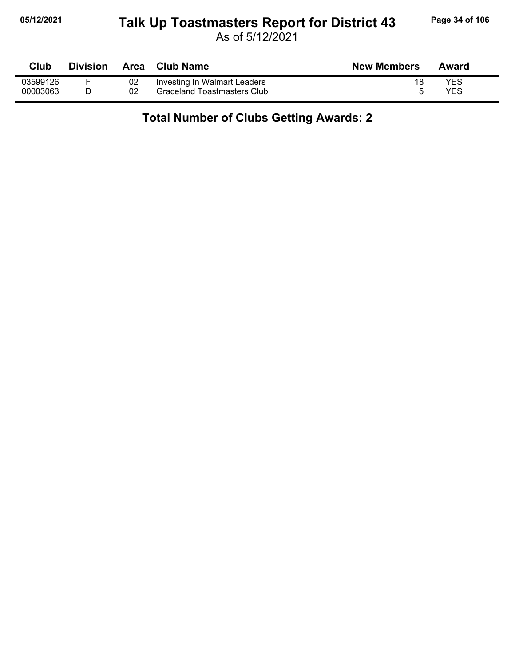#### **05/12/2021 Page 34 of 106 Talk Up Toastmasters Report for District 43**

As of 5/12/2021

| Club     | <b>Division</b> | Area | <b>Club Name</b>             | <b>New Members</b> | Award |
|----------|-----------------|------|------------------------------|--------------------|-------|
| 03599126 |                 | 02   | Investing In Walmart Leaders |                    | YES   |
| 00003063 |                 |      | Graceland Toastmasters Club  |                    | YES   |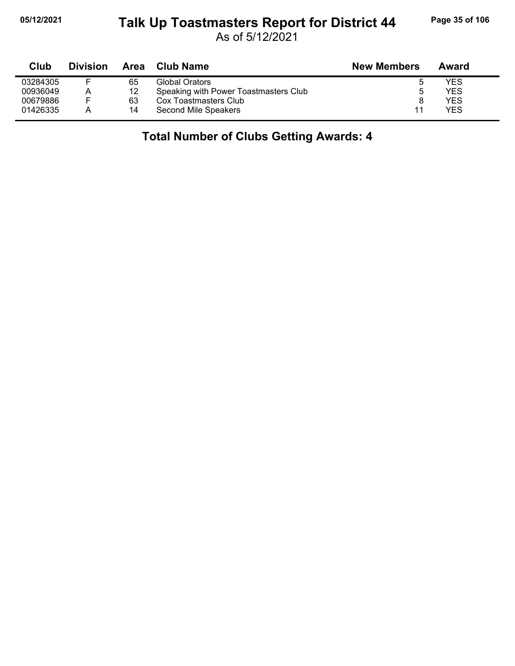# **05/12/2021 Page 35 of 106 Talk Up Toastmasters Report for District 44**

As of 5/12/2021

| Club     | <b>Division</b> | <b>Area</b> | Club Name                             | <b>New Members</b> | Award |
|----------|-----------------|-------------|---------------------------------------|--------------------|-------|
| 03284305 |                 | 65          | Global Orators                        |                    | YES   |
| 00936049 | A               | 12          | Speaking with Power Toastmasters Club |                    | YES   |
| 00679886 | -               | 63          | Cox Toastmasters Club                 |                    | YES   |
| 01426335 | Α               | 14          | Second Mile Speakers                  | 11                 | YES   |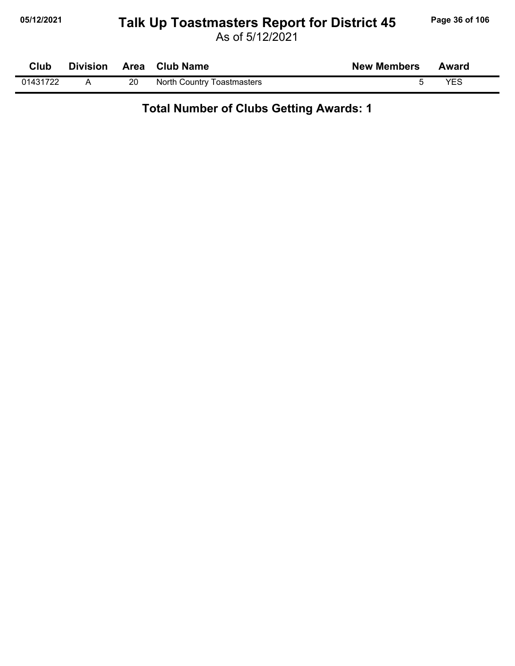# **05/12/2021 Page 36 of 106 Talk Up Toastmasters Report for District 45**

As of 5/12/2021

| Club     | <b>Division</b> |    | Area Club Name             | <b>New Members</b> | Award |
|----------|-----------------|----|----------------------------|--------------------|-------|
| 01431722 |                 | 20 | North Country Toastmasters |                    | YES   |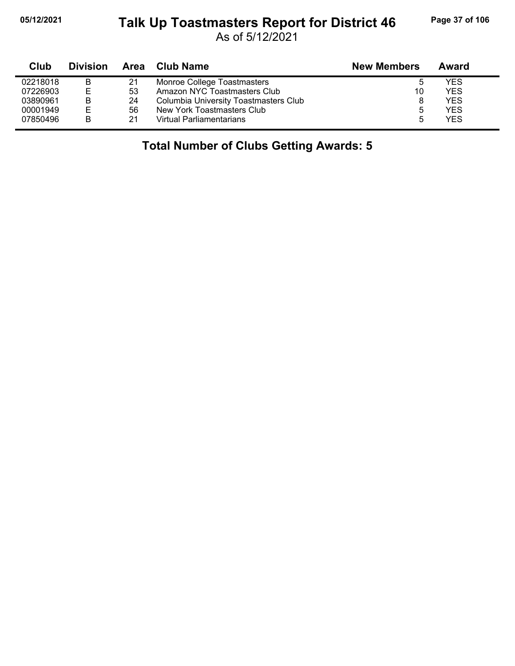#### **05/12/2021 Page 37 of 106 Talk Up Toastmasters Report for District 46**

As of 5/12/2021

| Club     | <b>Division</b> |    | Area Club Name                        | <b>New Members</b> | Award      |  |
|----------|-----------------|----|---------------------------------------|--------------------|------------|--|
| 02218018 | B               | 21 | Monroe College Toastmasters           | b                  | YES        |  |
| 07226903 | E               | 53 | Amazon NYC Toastmasters Club          | 10                 | <b>YES</b> |  |
| 03890961 | B               | 24 | Columbia University Toastmasters Club | 8                  | <b>YES</b> |  |
| 00001949 | E               | 56 | New York Toastmasters Club            | 5                  | YES        |  |
| 07850496 | B               | 21 | <b>Virtual Parliamentarians</b>       | 5                  | <b>YES</b> |  |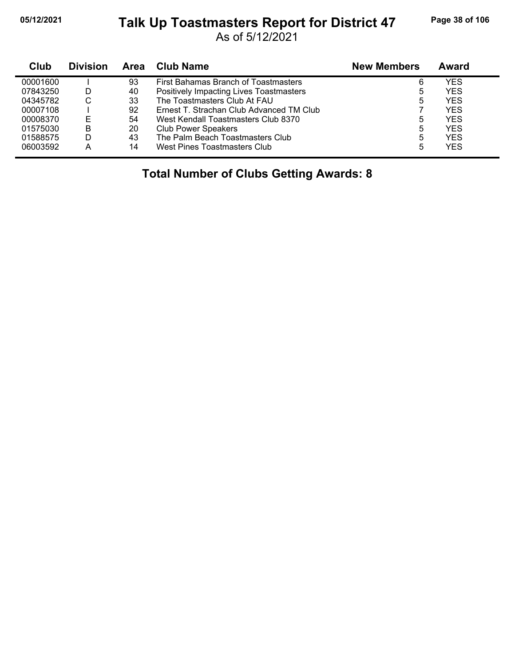#### **05/12/2021 Page 38 of 106 Talk Up Toastmasters Report for District 47**

As of 5/12/2021

| Club     | <b>Division</b> | Area | <b>Club Name</b>                         | <b>New Members</b> | Award |
|----------|-----------------|------|------------------------------------------|--------------------|-------|
| 00001600 |                 | 93   | First Bahamas Branch of Toastmasters     | 6                  | YES   |
| 07843250 | D               | 40   | Positively Impacting Lives Toastmasters  | 5                  | YES   |
| 04345782 | С               | 33   | The Toastmasters Club At FAU             | 5                  | YES   |
| 00007108 |                 | 92   | Ernest T. Strachan Club Advanced TM Club |                    | YES   |
| 00008370 |                 | 54   | West Kendall Toastmasters Club 8370      | 5                  | YES   |
| 01575030 | в               | 20   | <b>Club Power Speakers</b>               | 5                  | YES   |
| 01588575 | D.              | 43   | The Palm Beach Toastmasters Club         | 5                  | YES   |
| 06003592 | A               | 14   | West Pines Toastmasters Club             | 5                  | YES   |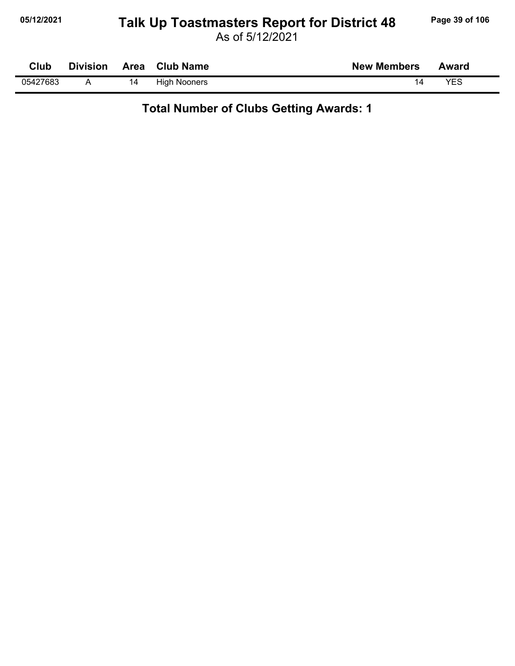## **05/12/2021 Page 39 of 106 Talk Up Toastmasters Report for District 48**

| Club     | <b>Division</b> | Area | <b>Club Name</b>    | <b>New Members</b> | Award      |  |
|----------|-----------------|------|---------------------|--------------------|------------|--|
| 05427683 |                 | 14   | <b>High Nooners</b> | 14                 | <b>YES</b> |  |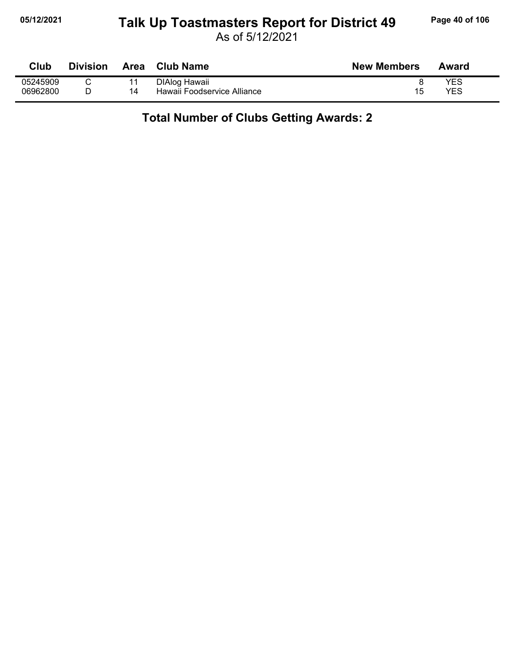#### **05/12/2021 Page 40 of 106 Talk Up Toastmasters Report for District 49**

As of 5/12/2021

| Club     | <b>Division</b> | <b>Area</b> | <b>Club Name</b>            | <b>New Members</b> | Award |
|----------|-----------------|-------------|-----------------------------|--------------------|-------|
| 05245909 |                 |             | DIAlog Hawaii               |                    | YES   |
| 06962800 |                 | 14          | Hawaii Foodservice Alliance | 15                 | YES   |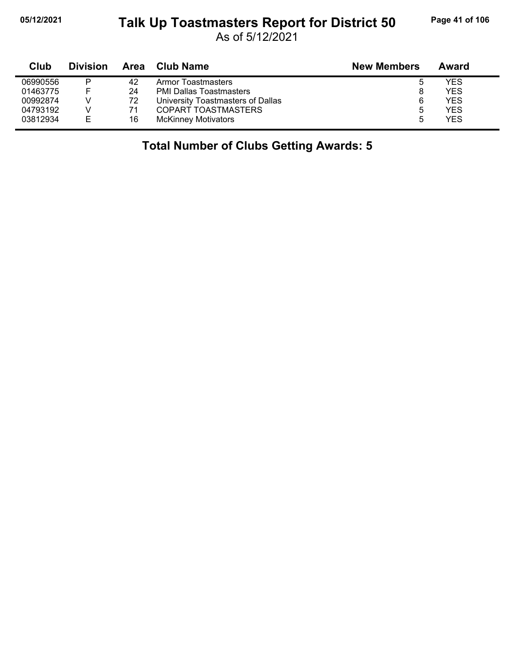## **05/12/2021 Page 41 of 106 Talk Up Toastmasters Report for District 50**

As of 5/12/2021

| Club     | <b>Division</b> | Area | Club Name                         | <b>New Members</b> | Award      |
|----------|-----------------|------|-----------------------------------|--------------------|------------|
| 06990556 | P               | 42   | Armor Toastmasters                | b                  | YES        |
| 01463775 | E               | 24   | <b>PMI Dallas Toastmasters</b>    | 8                  | <b>YES</b> |
| 00992874 |                 | 72   | University Toastmasters of Dallas |                    | <b>YES</b> |
| 04793192 |                 |      | COPART TOASTMASTERS               | b                  | <b>YES</b> |
| 03812934 | Е               | 16   | <b>McKinney Motivators</b>        | ۰.                 | <b>YES</b> |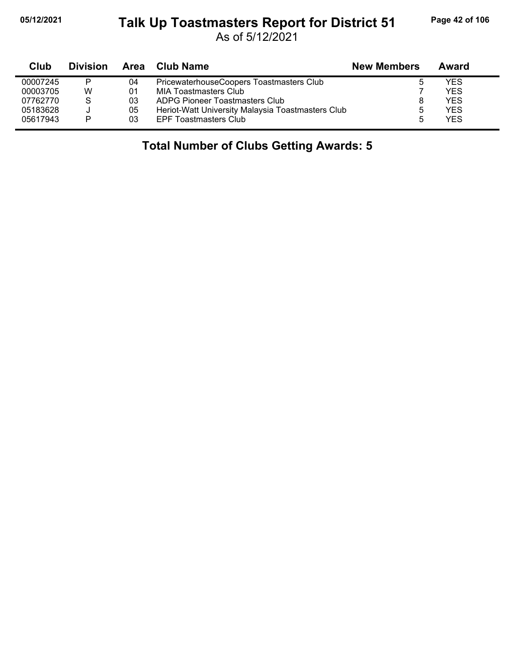## **05/12/2021 Page 42 of 106 Talk Up Toastmasters Report for District 51**

As of 5/12/2021

| Club     | <b>Division</b> | Area | Club Name                                         | <b>New Members</b> | Award      |  |
|----------|-----------------|------|---------------------------------------------------|--------------------|------------|--|
| 00007245 | P               | 04   | PricewaterhouseCoopers Toastmasters Club          |                    | YES        |  |
| 00003705 | w               | 01   | MIA Toastmasters Club                             |                    | <b>YES</b> |  |
| 07762770 | S               | 03   | ADPG Pioneer Toastmasters Club                    |                    | <b>YES</b> |  |
| 05183628 | J               | 05   | Heriot-Watt University Malaysia Toastmasters Club | b                  | YES        |  |
| 05617943 | P               | 03   | <b>EPF Toastmasters Club</b>                      |                    | <b>YES</b> |  |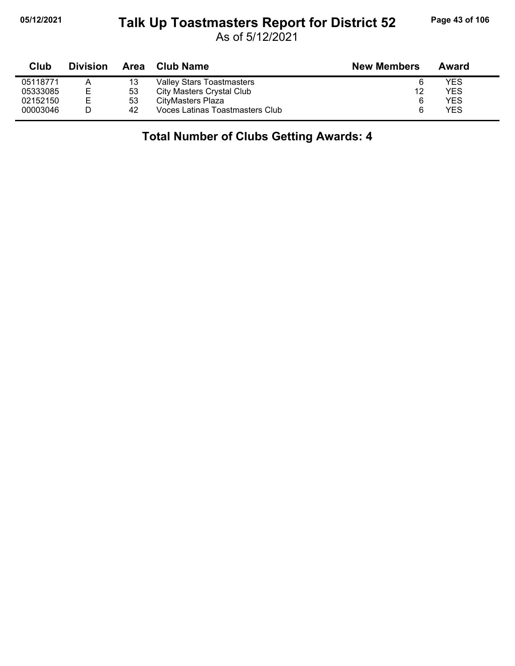### **05/12/2021 Page 43 of 106 Talk Up Toastmasters Report for District 52**

As of 5/12/2021

| Club     | <b>Division</b> | Area | Club Name                        | <b>New Members</b> | Award |  |
|----------|-----------------|------|----------------------------------|--------------------|-------|--|
| 05118771 | Α               | 13   | <b>Valley Stars Toastmasters</b> |                    | YES   |  |
| 05333085 | E               | 53   | City Masters Crystal Club        | 12                 | YES   |  |
| 02152150 | Е               | 53   | CityMasters Plaza                | 6                  | YES   |  |
| 00003046 |                 | 42   | Voces Latinas Toastmasters Club  |                    | YES   |  |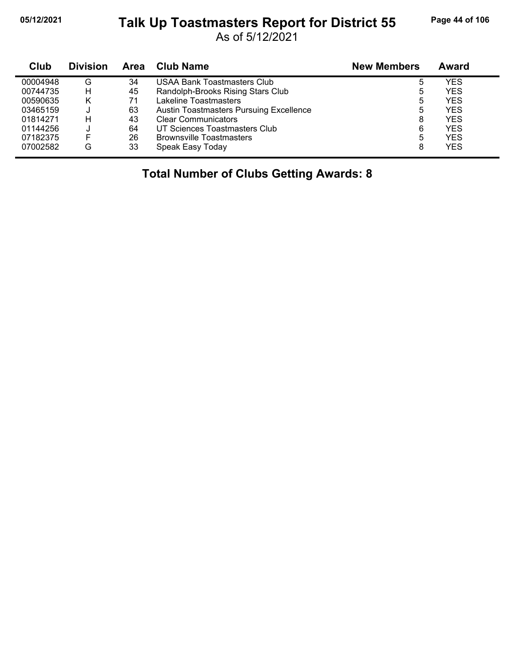#### **05/12/2021 Page 44 of 106 Talk Up Toastmasters Report for District 55**

As of 5/12/2021

| Club     | <b>Division</b> | Area | Club Name                                      | <b>New Members</b> | Award      |
|----------|-----------------|------|------------------------------------------------|--------------------|------------|
| 00004948 | G               | 34   | <b>USAA Bank Toastmasters Club</b>             | 5                  | YES        |
| 00744735 | н               | 45   | Randolph-Brooks Rising Stars Club              | 5                  | <b>YES</b> |
| 00590635 | Κ               | 71   | Lakeline Toastmasters                          | 5                  | <b>YES</b> |
| 03465159 |                 | 63   | <b>Austin Toastmasters Pursuing Excellence</b> | 5                  | <b>YES</b> |
| 01814271 | н               | 43   | <b>Clear Communicators</b>                     | 8                  | <b>YES</b> |
| 01144256 |                 | 64   | UT Sciences Toastmasters Club                  | 6                  | <b>YES</b> |
| 07182375 |                 | 26   | <b>Brownsville Toastmasters</b>                | 5                  | <b>YES</b> |
| 07002582 | G               | 33   | Speak Easy Today                               | 8                  | <b>YES</b> |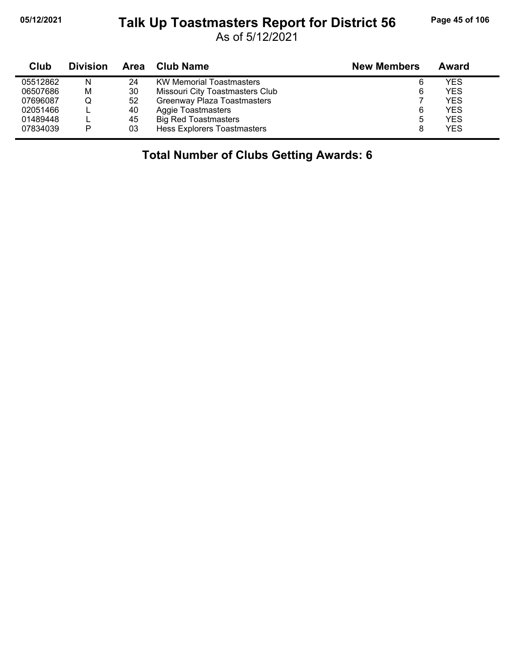j,

#### **05/12/2021 Page 45 of 106 Talk Up Toastmasters Report for District 56**

As of 5/12/2021

| Club     | <b>Division</b> |    | Area Club Name                  | <b>New Members</b> | Award      |
|----------|-----------------|----|---------------------------------|--------------------|------------|
| 05512862 | N               | 24 | <b>KW Memorial Toastmasters</b> | 6                  | YES        |
| 06507686 | M               | 30 | Missouri City Toastmasters Club | 6                  | <b>YES</b> |
| 07696087 | Q               | 52 | Greenway Plaza Toastmasters     |                    | YES        |
| 02051466 |                 | 40 | Aggie Toastmasters              | 6                  | <b>YES</b> |
| 01489448 |                 | 45 | <b>Big Red Toastmasters</b>     | 5                  | YFS        |
| 07834039 | P               | 03 | Hess Explorers Toastmasters     | 8                  | <b>YES</b> |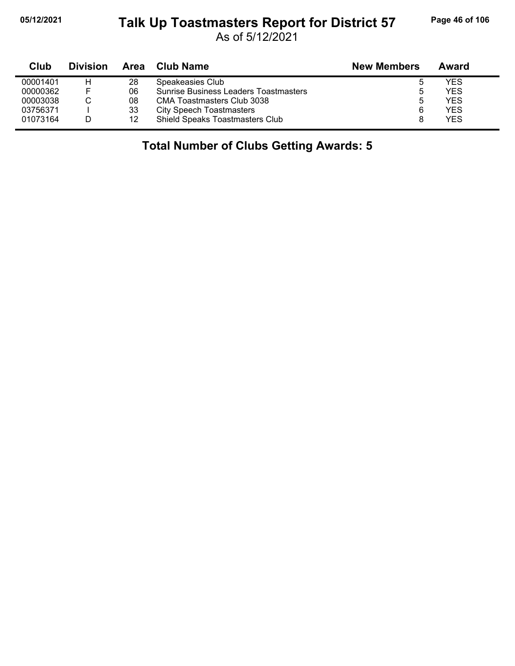#### **05/12/2021 Page 46 of 106 Talk Up Toastmasters Report for District 57**

As of 5/12/2021

| Club     | <b>Division</b> | Area | Club Name                                    | <b>New Members</b> | Award |
|----------|-----------------|------|----------------------------------------------|--------------------|-------|
| 00001401 | н               | 28   | Speakeasies Club                             |                    | YES   |
| 00000362 | F               | 06   | <b>Sunrise Business Leaders Toastmasters</b> |                    | YES   |
| 00003038 |                 | 08   | CMA Toastmasters Club 3038                   | ა                  | YES   |
| 03756371 |                 | 33   | <b>City Speech Toastmasters</b>              | 6                  | YES   |
| 01073164 |                 | 12   | <b>Shield Speaks Toastmasters Club</b>       |                    | YES   |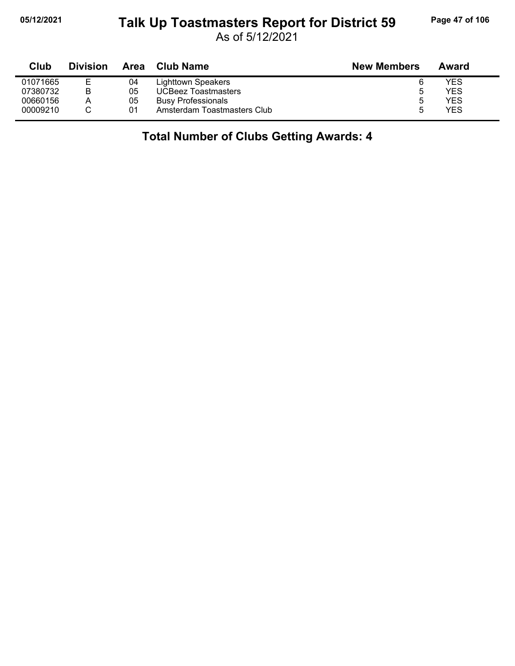#### **05/12/2021 Page 47 of 106 Talk Up Toastmasters Report for District 59**

As of 5/12/2021

| Club     | <b>Division</b> | <b>Area</b> | <b>Club Name</b>            | <b>New Members</b> | Award |
|----------|-----------------|-------------|-----------------------------|--------------------|-------|
| 01071665 |                 | 04          | Lighttown Speakers          | 6                  | YES   |
| 07380732 | B               | 05          | <b>UCBeez Toastmasters</b>  | ა                  | YES   |
| 00660156 | A               | 05          | <b>Busy Professionals</b>   | 5                  | YES   |
| 00009210 |                 | 01          | Amsterdam Toastmasters Club | ۰.                 | YES   |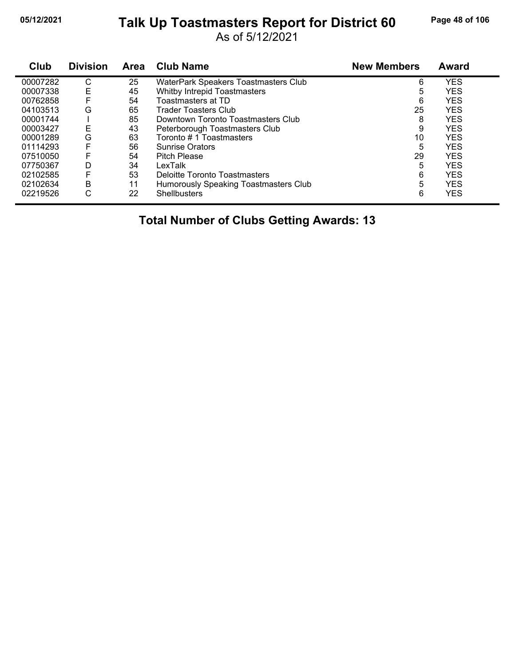# **05/12/2021 Page 48 of 106 Talk Up Toastmasters Report for District 60**

As of 5/12/2021

| Club     | <b>Division</b> | Area | <b>Club Name</b>                      | <b>New Members</b> | Award      |
|----------|-----------------|------|---------------------------------------|--------------------|------------|
| 00007282 | С               | 25   | WaterPark Speakers Toastmasters Club  | 6                  | <b>YES</b> |
| 00007338 | Ε               | 45   | Whitby Intrepid Toastmasters          | 5                  | <b>YES</b> |
| 00762858 |                 | 54   | Toastmasters at TD                    | 6                  | <b>YES</b> |
| 04103513 | G               | 65   | <b>Trader Toasters Club</b>           | 25                 | <b>YES</b> |
| 00001744 |                 | 85   | Downtown Toronto Toastmasters Club    | 8                  | <b>YES</b> |
| 00003427 | E               | 43   | Peterborough Toastmasters Club        | 9                  | <b>YES</b> |
| 00001289 | G               | 63   | Toronto # 1 Toastmasters              | 10                 | <b>YES</b> |
| 01114293 |                 | 56   | <b>Sunrise Orators</b>                | 5                  | <b>YES</b> |
| 07510050 | F               | 54   | <b>Pitch Please</b>                   | 29                 | <b>YES</b> |
| 07750367 | D               | 34   | LexTalk                               | 5                  | <b>YES</b> |
| 02102585 | F               | 53   | Deloitte Toronto Toastmasters         | 6                  | <b>YES</b> |
| 02102634 | B               | 11   | Humorously Speaking Toastmasters Club | 5                  | <b>YES</b> |
| 02219526 | С               | 22   | <b>Shellbusters</b>                   | 6                  | <b>YES</b> |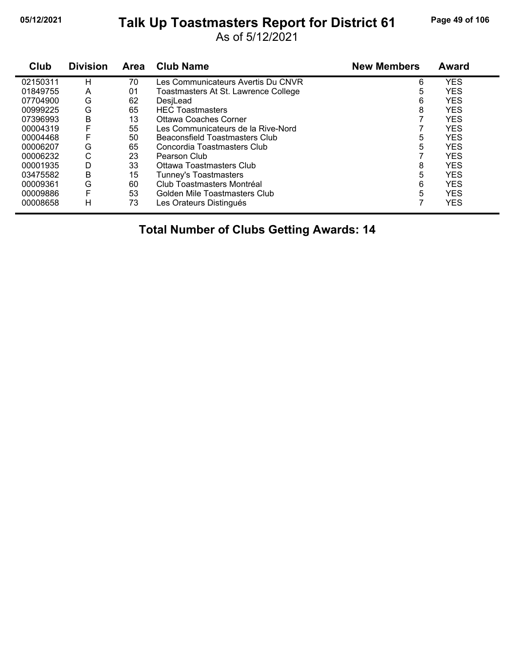#### **05/12/2021 Page 49 of 106 Talk Up Toastmasters Report for District 61**

As of 5/12/2021

| Club     | <b>Division</b> | Area | <b>Club Name</b>                     | <b>New Members</b> | <b>Award</b> |
|----------|-----------------|------|--------------------------------------|--------------------|--------------|
| 02150311 | н               | 70   | Les Communicateurs Avertis Du CNVR   | 6                  | <b>YES</b>   |
| 01849755 | A               | 01   | Toastmasters At St. Lawrence College | 5                  | <b>YES</b>   |
| 07704900 | G               | 62   | DesiLead                             | 6                  | <b>YES</b>   |
| 00999225 | G               | 65   | <b>HEC</b> Toastmasters              | 8                  | <b>YES</b>   |
| 07396993 | B               | 13   | Ottawa Coaches Corner                |                    | <b>YES</b>   |
| 00004319 |                 | 55   | Les Communicateurs de la Rive-Nord   |                    | <b>YES</b>   |
| 00004468 |                 | 50   | Beaconsfield Toastmasters Club       | 5                  | <b>YES</b>   |
| 00006207 | G               | 65   | Concordia Toastmasters Club          | 5                  | <b>YES</b>   |
| 00006232 | С               | 23   | Pearson Club                         |                    | <b>YES</b>   |
| 00001935 | D               | 33   | Ottawa Toastmasters Club             | 8                  | <b>YES</b>   |
| 03475582 | B               | 15   | Tunney's Toastmasters                | 5                  | <b>YES</b>   |
| 00009361 | G               | 60   | Club Toastmasters Montréal           | 6                  | <b>YES</b>   |
| 00009886 |                 | 53   | Golden Mile Toastmasters Club        | 5                  | <b>YES</b>   |
| 00008658 | н               | 73   | Les Orateurs Distingués              |                    | <b>YES</b>   |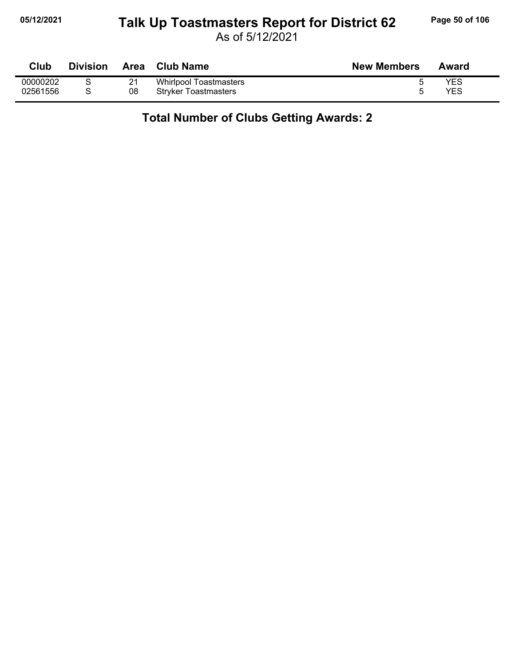#### **05/12/2021 Page 50 of 106 Talk Up Toastmasters Report for District 62**

As of 5/12/2021

| Club     | <b>Division</b> | <b>Area</b> | <b>Club Name</b>            | <b>New Members</b> | Award |
|----------|-----------------|-------------|-----------------------------|--------------------|-------|
| 00000202 |                 | 21          | Whirlpool Toastmasters      |                    | YES   |
| 02561556 |                 | 08          | <b>Stryker Toastmasters</b> |                    | YES   |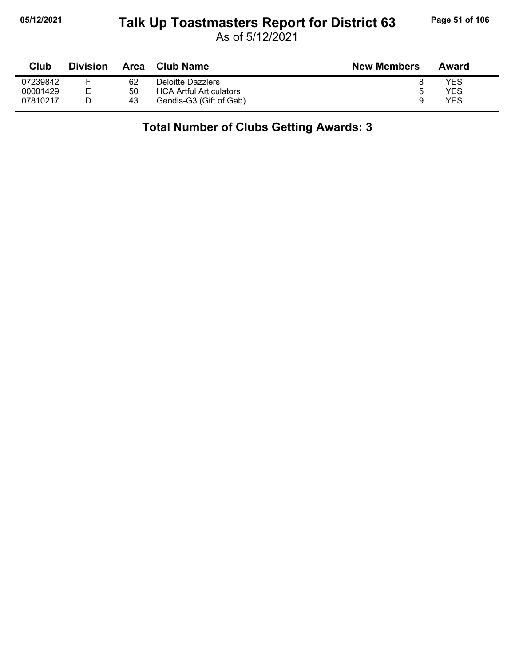### **05/12/2021 Page 51 of 106 Talk Up Toastmasters Report for District 63**

As of 5/12/2021

| Club     | <b>Division</b> | Area | Club Name                      | <b>New Members</b> | Award |
|----------|-----------------|------|--------------------------------|--------------------|-------|
| 07239842 |                 | 62   | Deloitte Dazzlers              |                    | YES   |
| 00001429 | F.              | 50   | <b>HCA Artful Articulators</b> | $5^{\circ}$        | YES   |
| 07810217 |                 | 43   | Geodis-G3 (Gift of Gab)        |                    | YES   |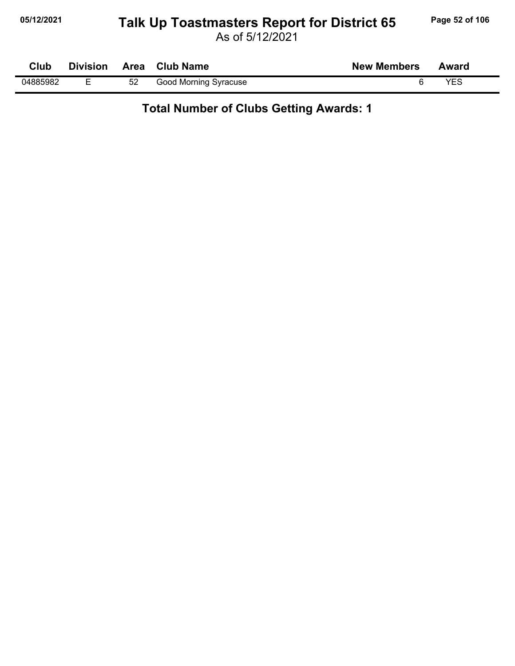## **05/12/2021 Page 52 of 106 Talk Up Toastmasters Report for District 65**

As of 5/12/2021

| Club     | <b>Division</b> |    | Area Club Name        | <b>New Members</b> | Award |
|----------|-----------------|----|-----------------------|--------------------|-------|
| 04885982 |                 | 52 | Good Morning Syracuse |                    | YFS   |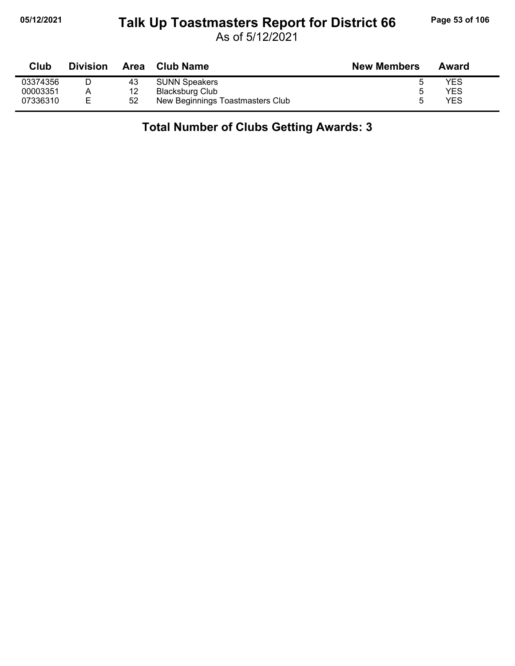### **05/12/2021 Page 53 of 106 Talk Up Toastmasters Report for District 66**

As of 5/12/2021

| Club     | <b>Division</b> | Area | <b>Club Name</b>                 | <b>New Members</b> | Award |
|----------|-----------------|------|----------------------------------|--------------------|-------|
| 03374356 |                 | 43   | <b>SUNN Speakers</b>             |                    | YES   |
| 00003351 |                 | 12   | Blacksburg Club                  |                    | YES   |
| 07336310 | Е               | 52   | New Beginnings Toastmasters Club |                    | YES   |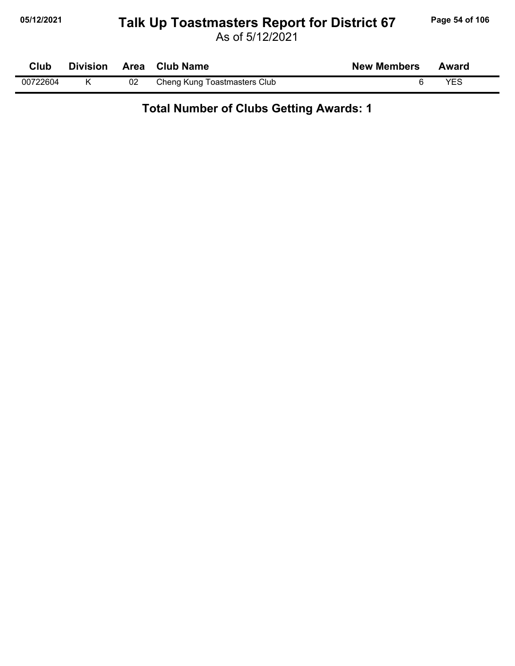#### **05/12/2021 Page 54 of 106 Talk Up Toastmasters Report for District 67**

As of 5/12/2021

| Club     | <b>Division</b> |    | Area Club Name               | <b>New Members</b> | Award |
|----------|-----------------|----|------------------------------|--------------------|-------|
| 00722604 |                 | 02 | Cheng Kung Toastmasters Club |                    | YES   |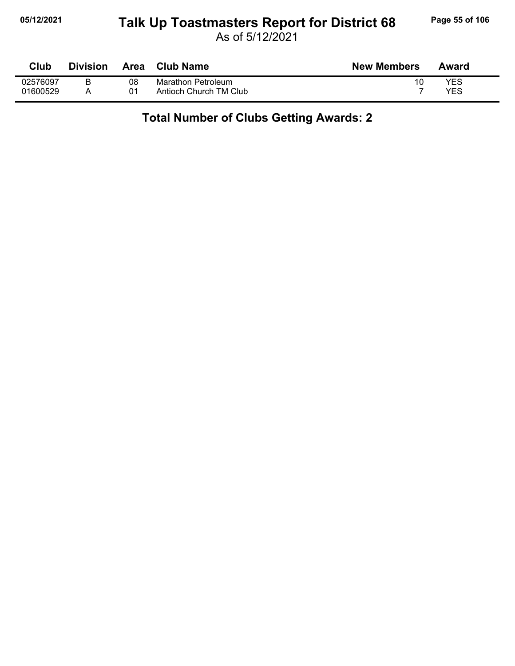#### **05/12/2021 Page 55 of 106 Talk Up Toastmasters Report for District 68**

As of 5/12/2021

| Club     | <b>Division</b> | Area | Club Name                 | <b>New Members</b> | Award |
|----------|-----------------|------|---------------------------|--------------------|-------|
| 02576097 |                 | 08   | <b>Marathon Petroleum</b> |                    | YES   |
| 01600529 |                 | 01   | Antioch Church TM Club    |                    | YES   |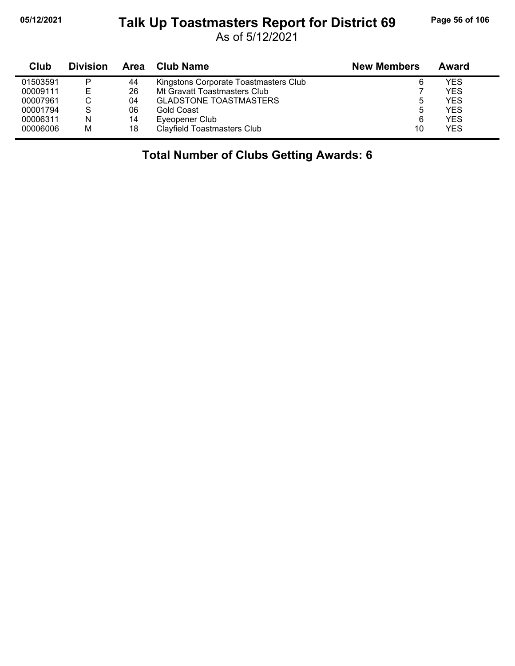j,

### **05/12/2021 Page 56 of 106 Talk Up Toastmasters Report for District 69**

As of 5/12/2021

| Club     | <b>Division</b> | Area | Club Name                             | <b>New Members</b> | Award |
|----------|-----------------|------|---------------------------------------|--------------------|-------|
| 01503591 | P               | 44   | Kingstons Corporate Toastmasters Club | 6                  | YES   |
| 00009111 | E               | 26   | Mt Gravatt Toastmasters Club          |                    | YES   |
| 00007961 |                 | 04   | <b>GLADSTONE TOASTMASTERS</b>         | 5                  | YES   |
| 00001794 | S               | 06   | Gold Coast                            | 5                  | YES   |
| 00006311 | N               | 14   | Eyeopener Club                        | 6                  | YES   |
| 00006006 | M               | 18   | <b>Clayfield Toastmasters Club</b>    | 10                 | YES   |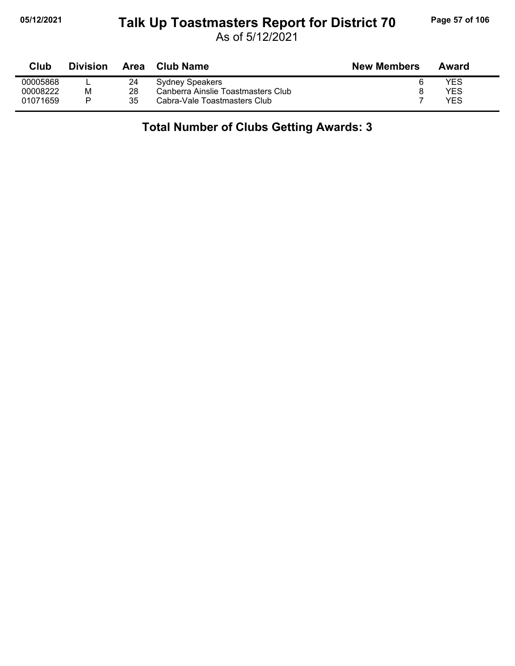#### **05/12/2021 Page 57 of 106 Talk Up Toastmasters Report for District 70**

As of 5/12/2021

| Club     | <b>Division</b> | Area | Club Name                          | <b>New Members</b> | Award |
|----------|-----------------|------|------------------------------------|--------------------|-------|
| 00005868 |                 | 24   | Sydney Speakers                    |                    | YES   |
| 00008222 | м               | 28   | Canberra Ainslie Toastmasters Club |                    | YES   |
| 01071659 |                 | 35   | Cabra-Vale Toastmasters Club       |                    | YES   |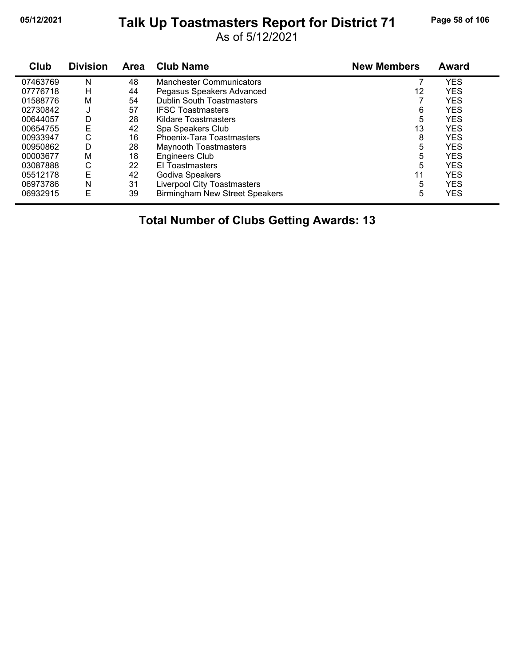# **05/12/2021 Page 58 of 106 Talk Up Toastmasters Report for District 71**

As of 5/12/2021

| Club     | <b>Division</b> | <b>Area</b> | <b>Club Name</b>                      | <b>New Members</b> | <b>Award</b> |
|----------|-----------------|-------------|---------------------------------------|--------------------|--------------|
| 07463769 | N               | 48          | <b>Manchester Communicators</b>       |                    | <b>YES</b>   |
| 07776718 | н               | 44          | Pegasus Speakers Advanced             | 12                 | <b>YES</b>   |
| 01588776 | M               | 54          | <b>Dublin South Toastmasters</b>      |                    | <b>YES</b>   |
| 02730842 | J               | 57          | <b>IFSC Toastmasters</b>              | 6                  | <b>YES</b>   |
| 00644057 | D               | 28          | <b>Kildare Toastmasters</b>           | 5                  | <b>YES</b>   |
| 00654755 | Ε               | 42          | Spa Speakers Club                     | 13                 | <b>YES</b>   |
| 00933947 | С               | 16          | Phoenix-Tara Toastmasters             | 8                  | <b>YES</b>   |
| 00950862 | D               | 28          | <b>Maynooth Toastmasters</b>          | 5                  | YES          |
| 00003677 | М               | 18          | <b>Engineers Club</b>                 | 5                  | <b>YES</b>   |
| 03087888 | С               | 22          | El Toastmasters                       | 5                  | <b>YES</b>   |
| 05512178 | E               | 42          | Godiva Speakers                       | 11                 | <b>YES</b>   |
| 06973786 | Ν               | 31          | Liverpool City Toastmasters           | 5                  | YES          |
| 06932915 | E               | 39          | <b>Birmingham New Street Speakers</b> | 5                  | <b>YES</b>   |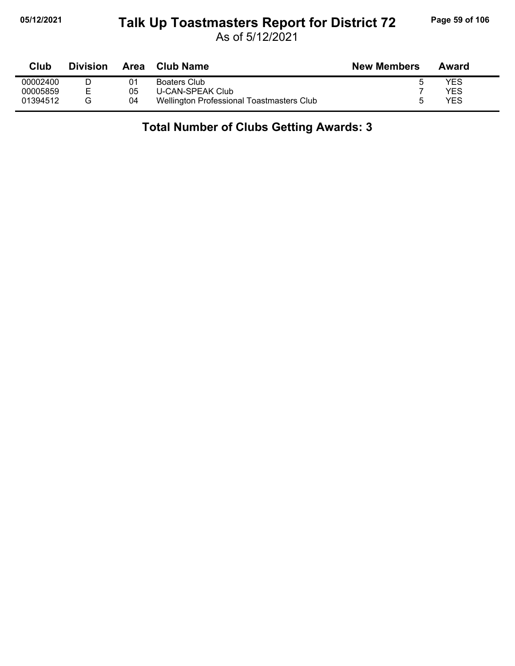### **05/12/2021 Page 59 of 106 Talk Up Toastmasters Report for District 72**

As of 5/12/2021

| Club     | <b>Division</b> | <b>Area</b> | Club Name                                 | <b>New Members</b> | Award |  |
|----------|-----------------|-------------|-------------------------------------------|--------------------|-------|--|
| 00002400 |                 | 01          | Boaters Club                              |                    | YES   |  |
| 00005859 |                 | 05          | U-CAN-SPEAK Club                          |                    | YES   |  |
| 01394512 |                 | 04          | Wellington Professional Toastmasters Club |                    | YES   |  |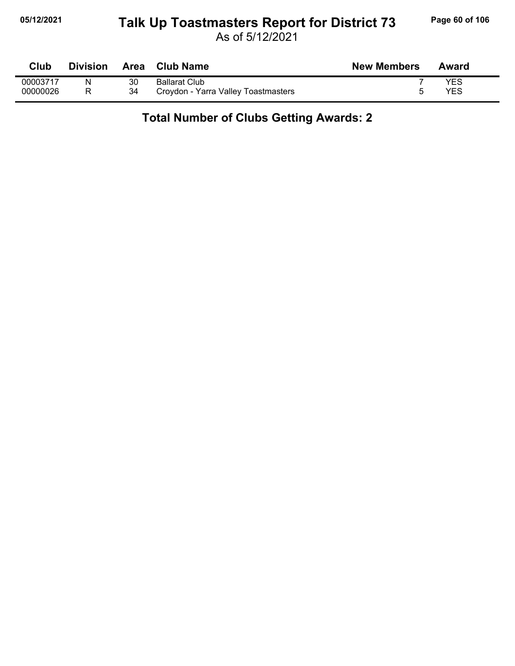#### **05/12/2021 Page 60 of 106 Talk Up Toastmasters Report for District 73**

As of 5/12/2021

| Club     | <b>Division</b> | Area | <b>Club Name</b>                    | <b>New Members</b> | Award |
|----------|-----------------|------|-------------------------------------|--------------------|-------|
| 00003717 | N               | 30   | <b>Ballarat Club</b>                |                    | YES   |
| 00000026 |                 | 34   | Croydon - Yarra Valley Toastmasters |                    | YES   |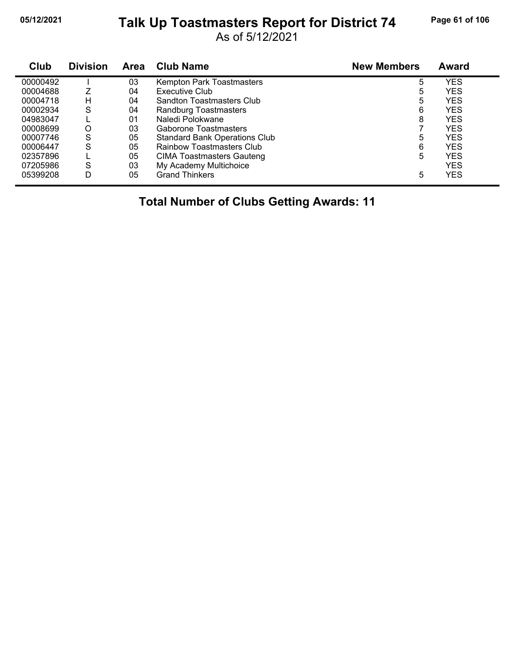## **05/12/2021 Page 61 of 106 Talk Up Toastmasters Report for District 74**

As of 5/12/2021

| Club     | <b>Division</b> | <b>Area</b> | <b>Club Name</b>                     | <b>New Members</b> | <b>Award</b> |
|----------|-----------------|-------------|--------------------------------------|--------------------|--------------|
| 00000492 |                 | 03          | Kempton Park Toastmasters            | 5                  | <b>YES</b>   |
| 00004688 |                 | 04          | Executive Club                       | 5                  | <b>YES</b>   |
| 00004718 | н               | 04          | Sandton Toastmasters Club            | 5                  | <b>YES</b>   |
| 00002934 | S               | 04          | Randburg Toastmasters                | 6                  | <b>YES</b>   |
| 04983047 |                 | 01          | Naledi Polokwane                     | 8                  | <b>YES</b>   |
| 00008699 | O               | 03          | Gaborone Toastmasters                |                    | <b>YES</b>   |
| 00007746 | S               | 05          | <b>Standard Bank Operations Club</b> | 5                  | <b>YES</b>   |
| 00006447 | S               | 05          | Rainbow Toastmasters Club            | 6                  | <b>YES</b>   |
| 02357896 |                 | 05          | CIMA Toastmasters Gauteng            | 5                  | <b>YES</b>   |
| 07205986 | S               | 03          | My Academy Multichoice               |                    | <b>YES</b>   |
| 05399208 | D               | 05          | <b>Grand Thinkers</b>                | 5                  | <b>YES</b>   |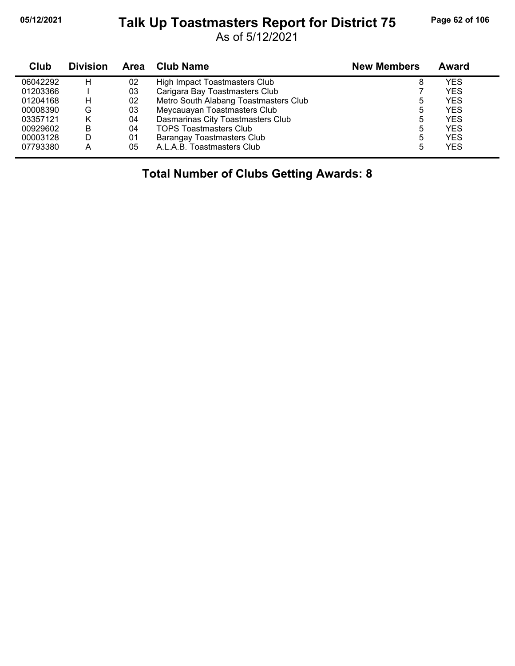#### **05/12/2021 Page 62 of 106 Talk Up Toastmasters Report for District 75**

As of 5/12/2021

| <b>Club</b> | <b>Division</b> | Area | Club Name                             | <b>New Members</b> | Award |
|-------------|-----------------|------|---------------------------------------|--------------------|-------|
| 06042292    | н               | 02   | High Impact Toastmasters Club         | 8                  | YES   |
| 01203366    |                 | 03   | Carigara Bay Toastmasters Club        |                    | YES   |
| 01204168    | н               | 02   | Metro South Alabang Toastmasters Club | 5                  | YES   |
| 00008390    | G               | 03   | Meycauayan Toastmasters Club          | 5                  | YES   |
| 03357121    |                 | 04   | Dasmarinas City Toastmasters Club     | 5                  | YES   |
| 00929602    | B               | 04   | <b>TOPS Toastmasters Club</b>         | 5                  | YES   |
| 00003128    | D               | 01   | Barangay Toastmasters Club            | 5                  | YES   |
| 07793380    | А               | 05   | A.L.A.B. Toastmasters Club            | 5                  | YES   |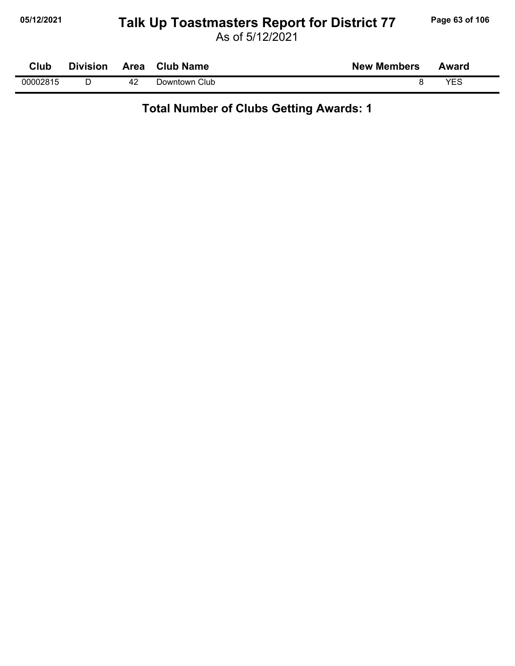#### **05/12/2021 Page 63 of 106 Talk Up Toastmasters Report for District 77**

| Club     | <b>Division</b> | Area | <b>Club Name</b> | <b>New Members</b> | Award |  |
|----------|-----------------|------|------------------|--------------------|-------|--|
| 00002815 |                 | 42   | Club<br>⊃owntown |                    | VEC   |  |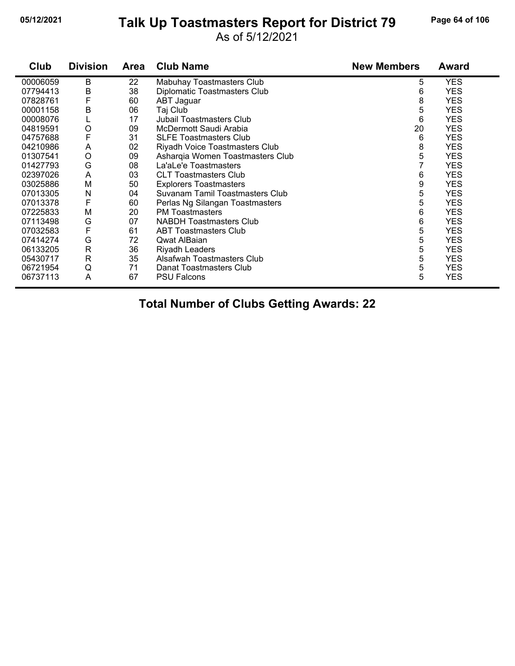#### **05/12/2021 Page 64 of 106 Talk Up Toastmasters Report for District 79**

As of 5/12/2021

| Club     | <b>Division</b> | <b>Area</b> | <b>Club Name</b>                 | <b>New Members</b> | <b>Award</b> |
|----------|-----------------|-------------|----------------------------------|--------------------|--------------|
| 00006059 | B               | 22          | Mabuhay Toastmasters Club        | 5                  | <b>YES</b>   |
| 07794413 | B               | 38          | Diplomatic Toastmasters Club     | 6                  | <b>YES</b>   |
| 07828761 | F               | 60          | ABT Jaguar                       | 8                  | <b>YES</b>   |
| 00001158 | B               | 06          | Taj Club                         | 5                  | <b>YES</b>   |
| 00008076 |                 | 17          | <b>Jubail Toastmasters Club</b>  | 6                  | <b>YES</b>   |
| 04819591 | O               | 09          | McDermott Saudi Arabia           | 20                 | <b>YES</b>   |
| 04757688 | F               | 31          | <b>SLFE Toastmasters Club</b>    | 6                  | <b>YES</b>   |
| 04210986 | A               | 02          | Riyadh Voice Toastmasters Club   | 8                  | <b>YES</b>   |
| 01307541 | $\circ$         | 09          | Asharqia Women Toastmasters Club | 5                  | <b>YES</b>   |
| 01427793 | G               | 08          | La'aLe'e Toastmasters            | 7                  | <b>YES</b>   |
| 02397026 | A               | 03          | <b>CLT Toastmasters Club</b>     | 6                  | <b>YES</b>   |
| 03025886 | M               | 50          | <b>Explorers Toastmasters</b>    | 9                  | <b>YES</b>   |
| 07013305 | N               | 04          | Suvanam Tamil Toastmasters Club  | 5                  | <b>YES</b>   |
| 07013378 | F               | 60          | Perlas Ng Silangan Toastmasters  | 5                  | <b>YES</b>   |
| 07225833 | M               | 20          | <b>PM</b> Toastmasters           | 6                  | <b>YES</b>   |
| 07113498 | G               | 07          | <b>NABDH Toastmasters Club</b>   | 6                  | <b>YES</b>   |
| 07032583 | F               | 61          | <b>ABT Toastmasters Club</b>     | 5                  | <b>YES</b>   |
| 07414274 | G               | 72          | Qwat AlBaian                     | 5                  | <b>YES</b>   |
| 06133205 | $\mathsf{R}$    | 36          | Riyadh Leaders                   | 5                  | <b>YES</b>   |
| 05430717 | $\mathsf{R}$    | 35          | Alsafwah Toastmasters Club       | 5                  | <b>YES</b>   |
| 06721954 | Q               | 71          | Danat Toastmasters Club          | 5                  | <b>YES</b>   |
| 06737113 | A               | 67          | <b>PSU Falcons</b>               | 5                  | <b>YES</b>   |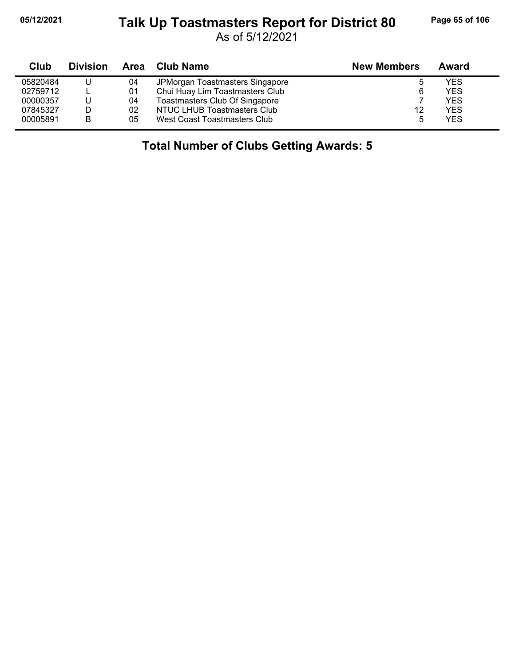## **05/12/2021 Page 65 of 106 Talk Up Toastmasters Report for District 80**

As of 5/12/2021

| Club     | <b>Division</b> | Area | Club Name                       | <b>New Members</b> | Award      |
|----------|-----------------|------|---------------------------------|--------------------|------------|
| 05820484 |                 | 04   | JPMorgan Toastmasters Singapore | ა                  | YES        |
| 02759712 |                 | 01   | Chui Huay Lim Toastmasters Club | 6                  | YES        |
| 00000357 |                 | 04   | Toastmasters Club Of Singapore  |                    | <b>YES</b> |
| 07845327 |                 | 02   | NTUC LHUB Toastmasters Club     | 12                 | YES        |
| 00005891 | в               | 05   | West Coast Toastmasters Club    | 5                  | YES        |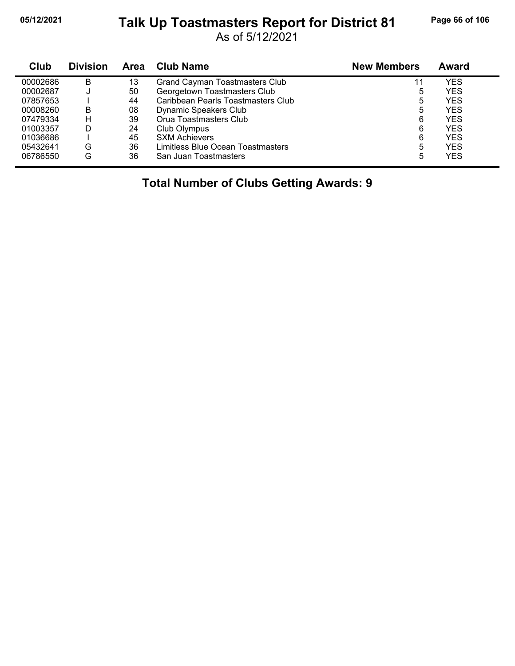## **05/12/2021 Page 66 of 106 Talk Up Toastmasters Report for District 81**

As of 5/12/2021

| Club     | <b>Division</b> | Area | <b>Club Name</b>                   | <b>New Members</b> | Award      |  |
|----------|-----------------|------|------------------------------------|--------------------|------------|--|
| 00002686 | в               | 13   | Grand Cayman Toastmasters Club     |                    | YES        |  |
| 00002687 |                 | 50   | Georgetown Toastmasters Club       | 5                  | YES        |  |
| 07857653 |                 | 44   | Caribbean Pearls Toastmasters Club | 5                  | <b>YES</b> |  |
| 00008260 | в               | 08   | Dynamic Speakers Club              | 5                  | YES        |  |
| 07479334 | н               | 39   | Orua Toastmasters Club             | 6                  | <b>YES</b> |  |
| 01003357 | D               | 24   | Club Olympus                       | 6                  | <b>YES</b> |  |
| 01036686 |                 | 45   | <b>SXM Achievers</b>               | 6                  | <b>YES</b> |  |
| 05432641 | G               | 36   | Limitless Blue Ocean Toastmasters  | 5                  | YES        |  |
| 06786550 | G               | 36   | San Juan Toastmasters              | 5                  | YES        |  |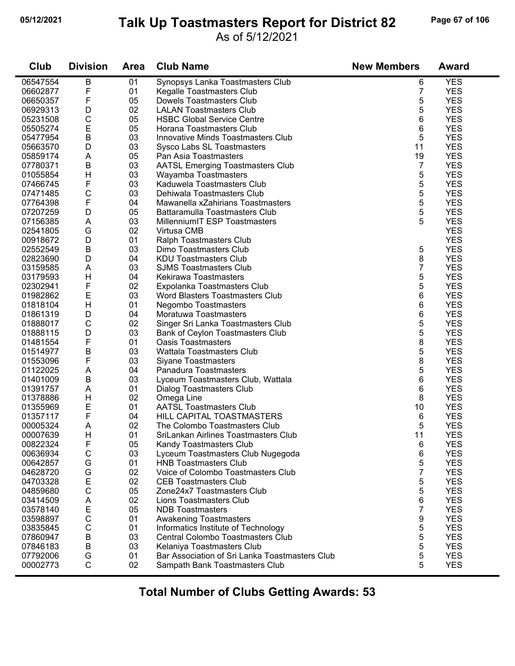## **05/12/2021 Page 67 of 106 Talk Up Toastmasters Report for District 82**

#### As of 5/12/2021

| Club     | <b>Division</b> | <b>Area</b> | <b>Club Name</b>                               | <b>New Members</b> | <b>Award</b> |
|----------|-----------------|-------------|------------------------------------------------|--------------------|--------------|
| 06547554 | B               | 01          | Synopsys Lanka Toastmasters Club               | 6                  | <b>YES</b>   |
| 06602877 | F               | 01          | Kegalle Toastmasters Club                      | 7                  | <b>YES</b>   |
| 06650357 | F               | 05          | Dowels Toastmasters Club                       | 5                  | <b>YES</b>   |
| 06929313 | D               | 02          | <b>LALAN Toastmasters Club</b>                 | 5                  | <b>YES</b>   |
| 05231508 | $\mathsf C$     | 05          | <b>HSBC Global Service Centre</b>              | 6                  | <b>YES</b>   |
| 05505274 | E               | 05          | Horana Toastmasters Club                       | 6                  | <b>YES</b>   |
| 05477954 | $\sf B$         | 03          | Innovative Minds Toastmasters Club             | 5                  | <b>YES</b>   |
| 05663570 | D               | 03          | Sysco Labs SL Toastmasters                     | 11                 | <b>YES</b>   |
| 05859174 | Α               | 05          | Pan Asia Toastmasters                          | 19                 | <b>YES</b>   |
| 07780371 | $\sf B$         | 03          | <b>AATSL Emerging Toastmasters Club</b>        | $\overline{7}$     | <b>YES</b>   |
| 01055854 | Н               | 03          | Wayamba Toastmasters                           | 5                  | <b>YES</b>   |
| 07466745 | F               | 03          | Kaduwela Toastmasters Club                     | 5                  | <b>YES</b>   |
| 07471485 | $\mathsf C$     | 03          | Dehiwala Toastmasters Club                     | 5                  | <b>YES</b>   |
| 07764398 | F               | 04          | Mawanella xZahirians Toastmasters              | 5                  | <b>YES</b>   |
| 07207259 | D               | 05          | Battaramulla Toastmasters Club                 | 5                  | <b>YES</b>   |
| 07156385 | A               | 03          | MillenniumIT ESP Toastmasters                  | 5                  | <b>YES</b>   |
| 02541805 | G               | 02          | Virtusa CMB                                    |                    | <b>YES</b>   |
| 00918672 | D               | 01          | Ralph Toastmasters Club                        |                    | <b>YES</b>   |
| 02552549 | B               | 03          | Dimo Toastmasters Club                         | 5                  | <b>YES</b>   |
| 02823690 | D               | 04          | <b>KDU Toastmasters Club</b>                   | 8                  | <b>YES</b>   |
| 03159585 | Α               | 03          | <b>SJMS Toastmasters Club</b>                  | 7                  | <b>YES</b>   |
| 03179593 | Н               | 04          | Kekirawa Toastmasters                          | 5                  | <b>YES</b>   |
| 02302941 | F               | 02          | Expolanka Toastmasters Club                    | 5                  | <b>YES</b>   |
| 01982862 | E               | 03          | Word Blasters Toastmasters Club                | 6                  | <b>YES</b>   |
| 01818104 | Η               | 01          | Negombo Toastmasters                           | 6                  | <b>YES</b>   |
| 01861319 | D               | 04          | Moratuwa Toastmasters                          | 6                  | <b>YES</b>   |
| 01888017 | C               | 02          | Singer Sri Lanka Toastmasters Club             | 5                  | <b>YES</b>   |
| 01888115 | D               | 03          | Bank of Ceylon Toastmasters Club               | 5                  | <b>YES</b>   |
| 01481554 | F               | 01          | <b>Oasis Toastmasters</b>                      | 8                  | <b>YES</b>   |
| 01514977 | $\sf B$         | 03          | <b>Wattala Toastmasters Club</b>               | 5                  | <b>YES</b>   |
| 01553096 | F               | 03          | <b>Siyane Toastmasters</b>                     | 8                  | <b>YES</b>   |
| 01122025 | A               | 04          | Panadura Toastmasters                          | 5                  | <b>YES</b>   |
| 01401009 | $\sf B$         | 03          | Lyceum Toastmasters Club, Wattala              | 6                  | <b>YES</b>   |
| 01391757 | A               | 01          | <b>Dialog Toastmasters Club</b>                | 6                  | <b>YES</b>   |
| 01378886 | Н               | 02          | Omega Line                                     | 8                  | <b>YES</b>   |
| 01355969 | E               | 01          | <b>AATSL Toastmasters Club</b>                 | 10                 | <b>YES</b>   |
| 01357117 | F               | 04          | HILL CAPITAL TOASTMASTERS                      | 6                  | <b>YES</b>   |
| 00005324 | A               | 02          | The Colombo Toastmasters Club                  | 5                  | <b>YES</b>   |
| 00007639 | H               | 01          | SriLankan Airlines Toastmasters Club           | 11                 | <b>YES</b>   |
| 00822324 | F               | 05          | Kandy Toastmasters Club                        | 6                  | <b>YES</b>   |
| 00636934 | $\mathsf C$     | 03          | Lyceum Toastmasters Club Nugegoda              | 6                  | <b>YES</b>   |
| 00642857 | G               | 01          | <b>HNB Toastmasters Club</b>                   | 5                  | <b>YES</b>   |
| 04628720 | G               | 02          | Voice of Colombo Toastmasters Club             | 7                  | <b>YES</b>   |
| 04703328 | E               | 02          | <b>CEB Toastmasters Club</b>                   | 5                  | <b>YES</b>   |
| 04859680 | $\mathsf C$     | 05          | Zone24x7 Toastmasters Club                     | 5                  | <b>YES</b>   |
| 03414509 | Α               | 02          | Lions Toastmasters Club                        | 6                  | <b>YES</b>   |
| 03578140 | E               | 05          | <b>NDB</b> Toastmasters                        | 7                  | <b>YES</b>   |
| 03598897 | $\mathsf C$     | 01          | Awakening Toastmasters                         | 9                  | <b>YES</b>   |
| 03835845 | $\mathsf C$     | 01          | Informatics Institute of Technology            | 5                  | <b>YES</b>   |
| 07860947 | $\sf B$         | 03          | Central Colombo Toastmasters Club              | 5                  | <b>YES</b>   |
| 07846183 | B               | 03          | Kelaniya Toastmasters Club                     | 5                  | <b>YES</b>   |
| 07792006 | G               | 01          | Bar Association of Sri Lanka Toastmasters Club | 5                  | <b>YES</b>   |
| 00002773 | $\mathsf{C}$    | 02          | Sampath Bank Toastmasters Club                 | 5                  | <b>YES</b>   |
|          |                 |             |                                                |                    |              |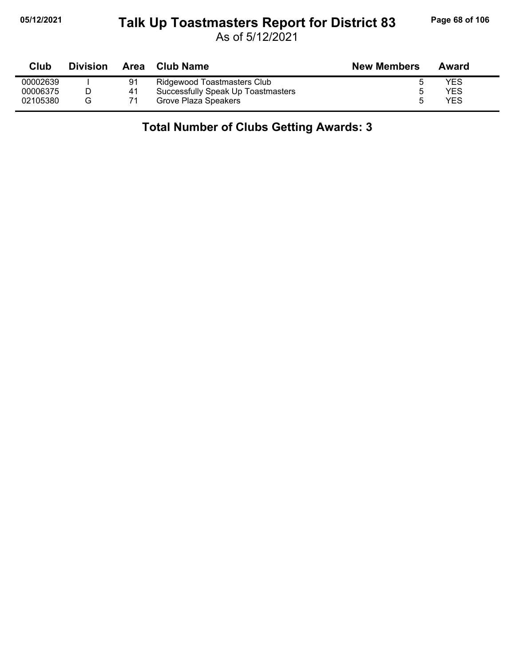#### **05/12/2021 Page 68 of 106 Talk Up Toastmasters Report for District 83**

As of 5/12/2021

| Club     | <b>Division</b> | Area | Club Name                          | <b>New Members</b> | Award |
|----------|-----------------|------|------------------------------------|--------------------|-------|
| 00002639 |                 | 91   | Ridgewood Toastmasters Club        |                    | YES   |
| 00006375 |                 | 41   | Successfully Speak Up Toastmasters |                    | YES   |
| 02105380 | G               | 71   | Grove Plaza Speakers               |                    | YES   |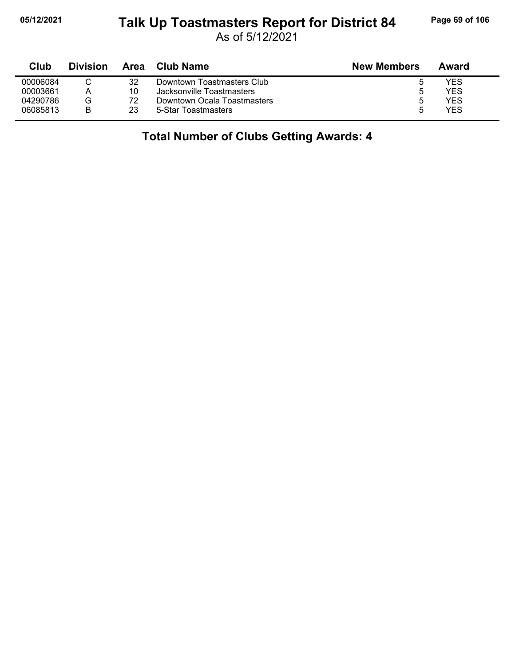#### **05/12/2021 Page 69 of 106 Talk Up Toastmasters Report for District 84**

As of 5/12/2021

| Club     | <b>Division</b> | Area | <b>Club Name</b>            | <b>New Members</b> | Award |
|----------|-----------------|------|-----------------------------|--------------------|-------|
| 00006084 |                 | 32   | Downtown Toastmasters Club  |                    | YES   |
| 00003661 | А               | 10   | Jacksonville Toastmasters   |                    | YES   |
| 04290786 | G               | 72   | Downtown Ocala Toastmasters |                    | YES   |
| 06085813 | B               | 23   | 5-Star Toastmasters         |                    | YES   |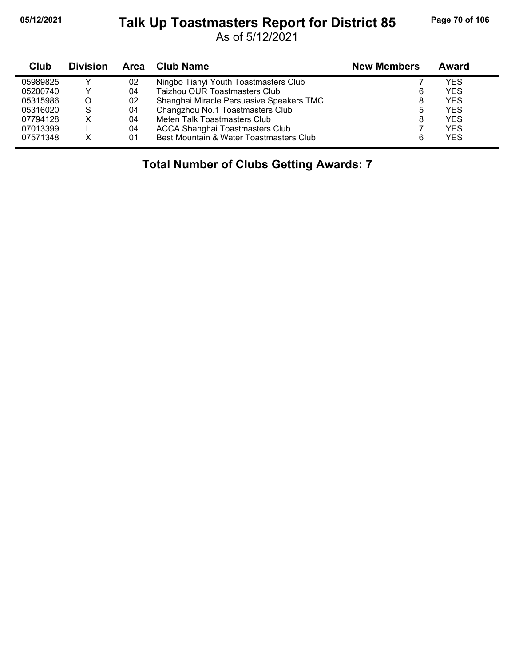#### **05/12/2021 Page 70 of 106 Talk Up Toastmasters Report for District 85**

As of 5/12/2021

| Club     | <b>Division</b> | Area | <b>Club Name</b>                         | <b>New Members</b> | Award      |
|----------|-----------------|------|------------------------------------------|--------------------|------------|
| 05989825 |                 | 02   | Ningbo Tianyi Youth Toastmasters Club    |                    | YES        |
| 05200740 |                 | 04   | Taizhou OUR Toastmasters Club            | 6                  | <b>YES</b> |
| 05315986 | O               | 02   | Shanghai Miracle Persuasive Speakers TMC | 8                  | <b>YES</b> |
| 05316020 | S               | 04   | Changzhou No.1 Toastmasters Club         | 5                  | <b>YES</b> |
| 07794128 |                 | 04   | Meten Talk Toastmasters Club             | 8                  | <b>YES</b> |
| 07013399 |                 | 04   | <b>ACCA Shanghai Toastmasters Club</b>   |                    | <b>YES</b> |
| 07571348 | x               | 01   | Best Mountain & Water Toastmasters Club  | 6                  | <b>YES</b> |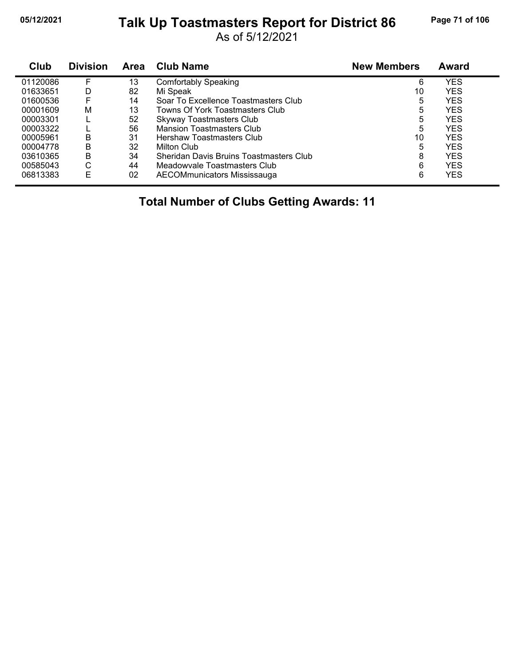## **05/12/2021 Page 71 of 106 Talk Up Toastmasters Report for District 86**

As of 5/12/2021

| Club     | <b>Division</b> | <b>Area</b> | <b>Club Name</b>                        | <b>New Members</b> | <b>Award</b> |
|----------|-----------------|-------------|-----------------------------------------|--------------------|--------------|
| 01120086 | F               | 13          | <b>Comfortably Speaking</b>             | 6                  | <b>YES</b>   |
| 01633651 | D               | 82          | Mi Speak                                | 10                 | <b>YES</b>   |
| 01600536 |                 | 14          | Soar To Excellence Toastmasters Club    | 5                  | <b>YES</b>   |
| 00001609 | М               | 13          | Towns Of York Toastmasters Club         | 5                  | <b>YES</b>   |
| 00003301 |                 | 52          | <b>Skyway Toastmasters Club</b>         | 5                  | <b>YES</b>   |
| 00003322 |                 | 56          | <b>Mansion Toastmasters Club</b>        | 5                  | <b>YES</b>   |
| 00005961 | в               | 31          | Hershaw Toastmasters Club               | 10                 | <b>YES</b>   |
| 00004778 | B               | 32          | Milton Club                             | 5                  | <b>YES</b>   |
| 03610365 | B               | 34          | Sheridan Davis Bruins Toastmasters Club | 8                  | <b>YES</b>   |
| 00585043 | С               | 44          | Meadowyale Toastmasters Club            | 6                  | <b>YES</b>   |
| 06813383 | E               | 02          | AECOMmunicators Mississauga             | 6                  | <b>YES</b>   |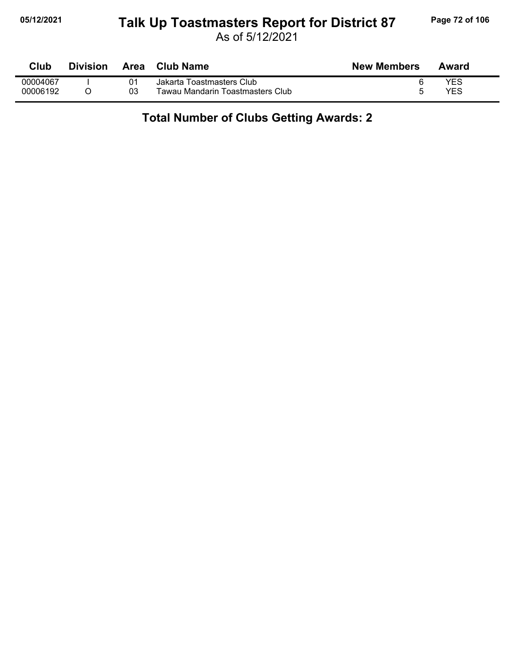#### **05/12/2021 Page 72 of 106 Talk Up Toastmasters Report for District 87**

As of 5/12/2021

| Club     | <b>Division</b> | Area | Club Name                        | <b>New Members</b> | Award      |
|----------|-----------------|------|----------------------------------|--------------------|------------|
| 00004067 |                 |      | Jakarta Toastmasters Club        |                    | YES        |
| 00006192 |                 | 03   | Tawau Mandarin Toastmasters Club |                    | <b>YES</b> |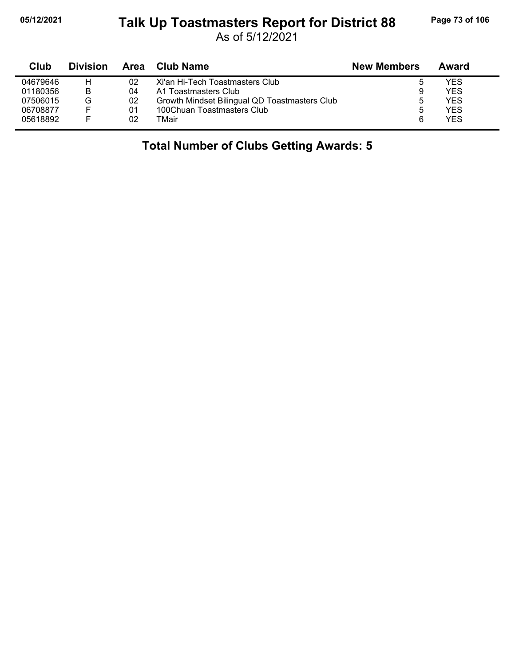#### **05/12/2021 Page 73 of 106 Talk Up Toastmasters Report for District 88**

As of 5/12/2021

| Club     | <b>Division</b> | Area | Club Name                                     | <b>New Members</b> | Award      |  |
|----------|-----------------|------|-----------------------------------------------|--------------------|------------|--|
| 04679646 | н               | 02   | Xi'an Hi-Tech Toastmasters Club               | b                  | YES        |  |
| 01180356 | B               | 04   | A1 Toastmasters Club                          | 9                  | YES        |  |
| 07506015 | G               | 02   | Growth Mindset Bilingual QD Toastmasters Club |                    | YES        |  |
| 06708877 | E               | 01   | 100Chuan Toastmasters Club                    | b                  | YES        |  |
| 05618892 | E               | 02   | TMair                                         | 6                  | <b>YES</b> |  |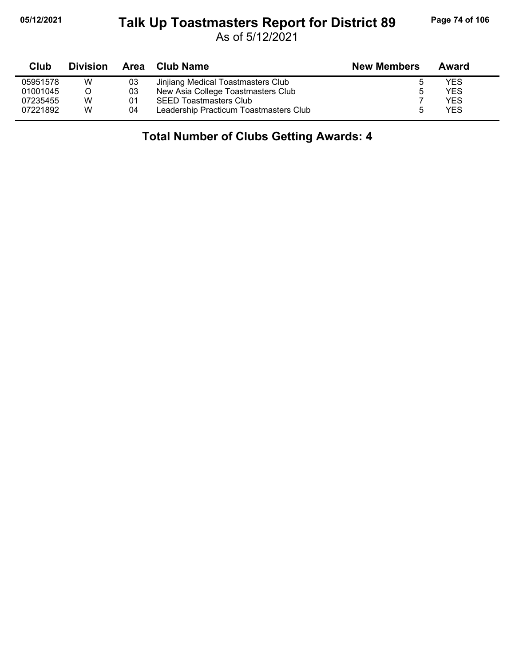#### **05/12/2021 Page 74 of 106 Talk Up Toastmasters Report for District 89**

As of 5/12/2021

| Club     | <b>Division</b> | Area | Club Name                              | <b>New Members</b> | Award      |  |
|----------|-----------------|------|----------------------------------------|--------------------|------------|--|
| 05951578 | w               | 03   | Jinjiang Medical Toastmasters Club     |                    | YES        |  |
| 01001045 |                 | 03   | New Asia College Toastmasters Club     | ь                  | <b>YES</b> |  |
| 07235455 | W               | 01   | <b>SEED Toastmasters Club</b>          |                    | <b>YES</b> |  |
| 07221892 | W               | 04   | Leadership Practicum Toastmasters Club | h                  | <b>YES</b> |  |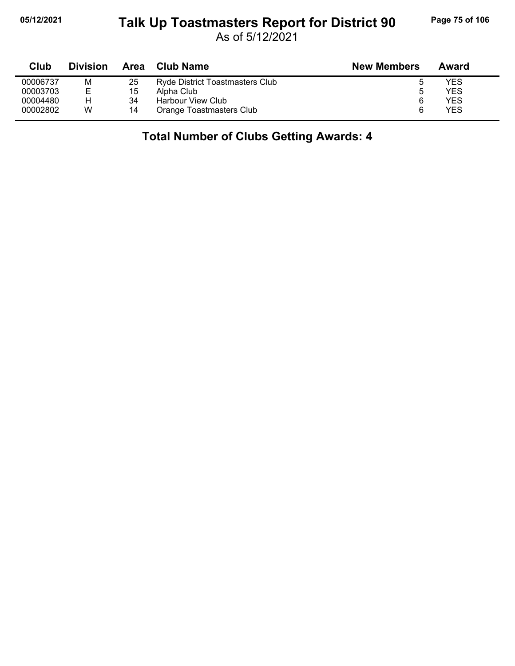#### **05/12/2021 Page 75 of 106 Talk Up Toastmasters Report for District 90**

As of 5/12/2021

| Club     | <b>Division</b> | Area | <b>Club Name</b>                       | <b>New Members</b> | Award |
|----------|-----------------|------|----------------------------------------|--------------------|-------|
| 00006737 | м               | 25   | <b>Ryde District Toastmasters Club</b> |                    | YES   |
| 00003703 | E               | 15   | Alpha Club                             | n                  | YES   |
| 00004480 | н               | 34   | Harbour View Club                      |                    | YES   |
| 00002802 | W               | 14   | Orange Toastmasters Club               |                    | YES   |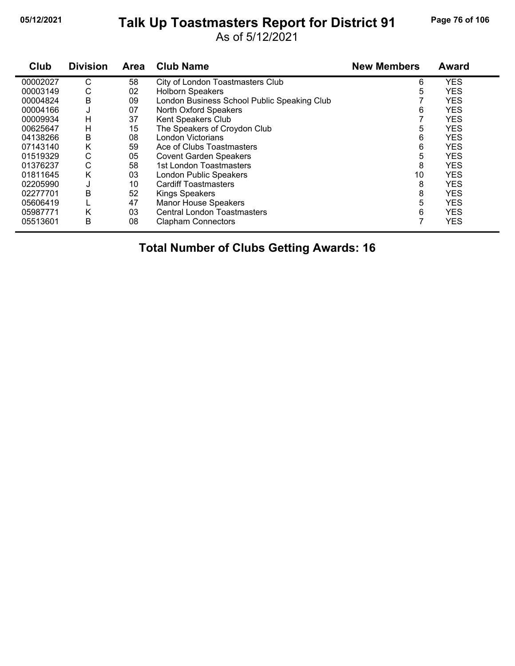#### **05/12/2021 Page 76 of 106 Talk Up Toastmasters Report for District 91**

As of 5/12/2021

| Club     | <b>Division</b> | <b>Area</b> | <b>Club Name</b>                            | <b>New Members</b> | Award      |
|----------|-----------------|-------------|---------------------------------------------|--------------------|------------|
| 00002027 | С               | 58          | City of London Toastmasters Club            | 6                  | <b>YES</b> |
| 00003149 | С               | 02          | <b>Holborn Speakers</b>                     | 5                  | <b>YES</b> |
| 00004824 | Β               | 09          | London Business School Public Speaking Club |                    | <b>YES</b> |
| 00004166 | J               | 07          | North Oxford Speakers                       | 6                  | <b>YES</b> |
| 00009934 | Н               | 37          | Kent Speakers Club                          |                    | <b>YES</b> |
| 00625647 | н               | 15          | The Speakers of Croydon Club                | 5                  | <b>YES</b> |
| 04138266 | Β               | 08          | London Victorians                           | 6                  | <b>YES</b> |
| 07143140 | Κ               | 59          | Ace of Clubs Toastmasters                   | 6                  | <b>YES</b> |
| 01519329 | С               | 05          | <b>Covent Garden Speakers</b>               | 5                  | <b>YES</b> |
| 01376237 | C               | 58          | 1st London Toastmasters                     | 8                  | <b>YES</b> |
| 01811645 | Κ               | 03          | London Public Speakers                      | 10                 | <b>YES</b> |
| 02205990 | J               | 10          | <b>Cardiff Toastmasters</b>                 | 8                  | <b>YES</b> |
| 02277701 | Β               | 52          | <b>Kings Speakers</b>                       | 8                  | <b>YES</b> |
| 05606419 |                 | 47          | <b>Manor House Speakers</b>                 | 5                  | <b>YES</b> |
| 05987771 | K               | 03          | <b>Central London Toastmasters</b>          | 6                  | <b>YES</b> |
| 05513601 | В               | 08          | <b>Clapham Connectors</b>                   |                    | <b>YES</b> |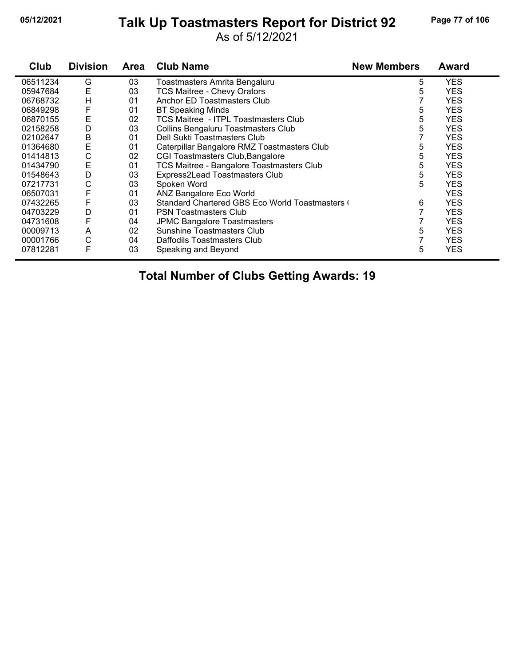#### **05/12/2021 Page 77 of 106 Talk Up Toastmasters Report for District 92**

As of 5/12/2021

| Club     | <b>Division</b> | Area | <b>Club Name</b>                              | <b>New Members</b> | <b>Award</b> |
|----------|-----------------|------|-----------------------------------------------|--------------------|--------------|
| 06511234 | G               | 03   | Toastmasters Amrita Bengaluru                 | 5                  | <b>YES</b>   |
| 05947684 | E               | 03   | <b>TCS Maitree - Chevy Orators</b>            | 5                  | <b>YES</b>   |
| 06768732 | H               | 01   | Anchor ED Toastmasters Club                   |                    | <b>YES</b>   |
| 06849298 | F               | 01   | <b>BT Speaking Minds</b>                      | 5                  | <b>YES</b>   |
| 06870155 | E               | 02   | <b>TCS Maitree - ITPL Toastmasters Club</b>   | 5                  | <b>YES</b>   |
| 02158258 | D               | 03   | Collins Bengaluru Toastmasters Club           | 5                  | <b>YES</b>   |
| 02102647 | B               | 01   | Dell Sukti Toastmasters Club                  |                    | <b>YES</b>   |
| 01364680 | Е               | 01   | Caterpillar Bangalore RMZ Toastmasters Club   | 5                  | <b>YES</b>   |
| 01414813 | С               | 02   | CGI Toastmasters Club, Bangalore              | 5                  | <b>YES</b>   |
| 01434790 | E               | 01   | TCS Maitree - Bangalore Toastmasters Club     | 5                  | <b>YES</b>   |
| 01548643 | D               | 03   | Express2Lead Toastmasters Club                | 5                  | <b>YES</b>   |
| 07217731 | С               | 03   | Spoken Word                                   | 5                  | <b>YES</b>   |
| 06507031 | F               | 01   | ANZ Bangalore Eco World                       |                    | <b>YES</b>   |
| 07432265 | F               | 03   | Standard Chartered GBS Eco World Toastmasters | 6                  | <b>YES</b>   |
| 04703229 | D               | 01   | <b>PSN Toastmasters Club</b>                  |                    | <b>YES</b>   |
| 04731608 | F               | 04   | <b>JPMC Bangalore Toastmasters</b>            |                    | <b>YES</b>   |
| 00009713 | A               | 02   | <b>Sunshine Toastmasters Club</b>             | 5                  | <b>YES</b>   |
| 00001766 | С               | 04   | Daffodils Toastmasters Club                   |                    | <b>YES</b>   |
| 07812281 | F               | 03   | Speaking and Beyond                           | 5                  | <b>YES</b>   |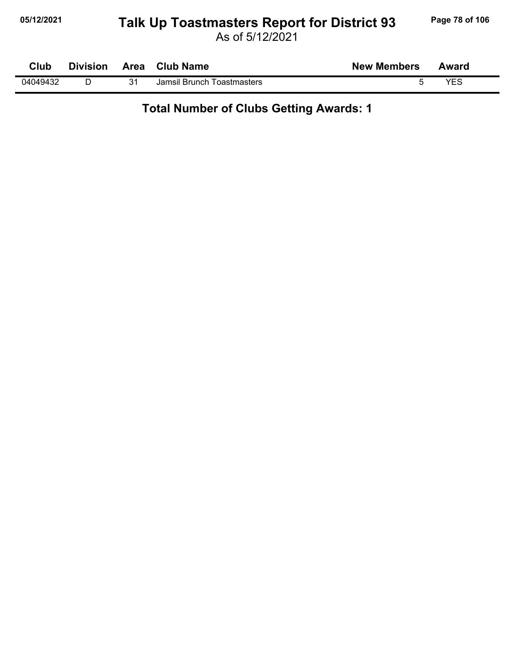# **05/12/2021 Page 78 of 106 Talk Up Toastmasters Report for District 93**

As of 5/12/2021

| <b>Club</b> | <b>Division</b> |    | Area Club Name             | <b>New Members</b> | Award |  |
|-------------|-----------------|----|----------------------------|--------------------|-------|--|
| 04049432    |                 | 21 | Jamsil Brunch Toastmasters |                    | YES   |  |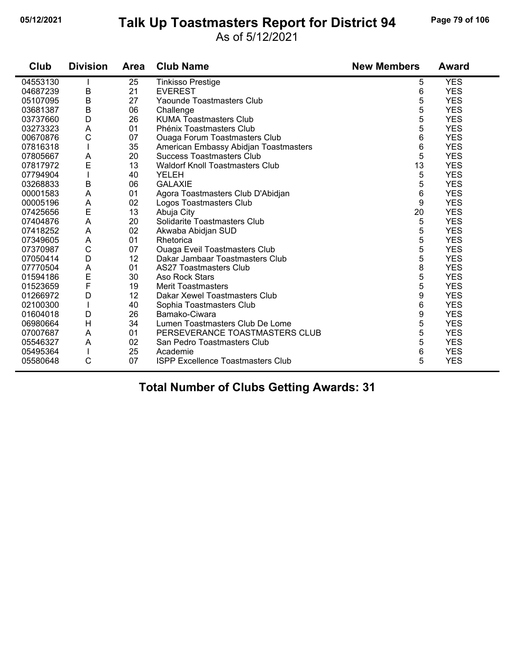#### **05/12/2021 Page 79 of 106 Talk Up Toastmasters Report for District 94**

As of 5/12/2021

| Club     | <b>Division</b> | Area | <b>Club Name</b>                         | <b>New Members</b> | <b>Award</b> |
|----------|-----------------|------|------------------------------------------|--------------------|--------------|
| 04553130 |                 | 25   | <b>Tinkisso Prestige</b>                 | 5                  | <b>YES</b>   |
| 04687239 | B               | 21   | <b>EVEREST</b>                           | 6                  | <b>YES</b>   |
| 05107095 | B               | 27   | Yaounde Toastmasters Club                | 5                  | <b>YES</b>   |
| 03681387 | $\sf B$         | 06   | Challenge                                | 5                  | <b>YES</b>   |
| 03737660 | D               | 26   | <b>KUMA Toastmasters Club</b>            | 5                  | <b>YES</b>   |
| 03273323 | A               | 01   | Phénix Toastmasters Club                 | 5                  | <b>YES</b>   |
| 00670876 | $\mathsf{C}$    | 07   | <b>Ouaga Forum Toastmasters Club</b>     | 6                  | <b>YES</b>   |
| 07816318 |                 | 35   | American Embassy Abidjan Toastmasters    | 6                  | <b>YES</b>   |
| 07805667 | A               | 20   | <b>Success Toastmasters Club</b>         | 5                  | <b>YES</b>   |
| 07817972 | E               | 13   | <b>Waldorf Knoll Toastmasters Club</b>   | 13                 | <b>YES</b>   |
| 07794904 |                 | 40   | <b>YELEH</b>                             | 5                  | <b>YES</b>   |
| 03268833 | B               | 06   | <b>GALAXIE</b>                           | 5                  | <b>YES</b>   |
| 00001583 | A               | 01   | Agora Toastmasters Club D'Abidjan        | 6                  | <b>YES</b>   |
| 00005196 | A               | 02   | Logos Toastmasters Club                  | 9                  | <b>YES</b>   |
| 07425656 | E               | 13   | Abuja City                               | 20                 | <b>YES</b>   |
| 07404876 | A               | 20   | Solidarite Toastmasters Club             | 5                  | <b>YES</b>   |
| 07418252 | A               | 02   | Akwaba Abidjan SUD                       | 5                  | <b>YES</b>   |
| 07349605 | A               | 01   | Rhetorica                                | 5                  | <b>YES</b>   |
| 07370987 | C               | 07   | <b>Ouaga Eveil Toastmasters Club</b>     | 5                  | <b>YES</b>   |
| 07050414 | D               | 12   | Dakar Jambaar Toastmasters Club          | 5                  | <b>YES</b>   |
| 07770504 | A               | 01   | <b>AS27 Toastmasters Club</b>            | 8                  | <b>YES</b>   |
| 01594186 | E<br>F          | 30   | <b>Aso Rock Stars</b>                    | 5                  | <b>YES</b>   |
| 01523659 |                 | 19   | <b>Merit Toastmasters</b>                | 5                  | <b>YES</b>   |
| 01266972 | D               | 12   | Dakar Xewel Toastmasters Club            | 9                  | <b>YES</b>   |
| 02100300 |                 | 40   | Sophia Toastmasters Club                 | 6                  | <b>YES</b>   |
| 01604018 | D               | 26   | Bamako-Ciwara                            | 9                  | <b>YES</b>   |
| 06980664 | $\mathsf{H}$    | 34   | Lumen Toastmasters Club De Lome          | 5                  | <b>YES</b>   |
| 07007687 | A               | 01   | PERSEVERANCE TOASTMASTERS CLUB           | 5                  | <b>YES</b>   |
| 05546327 | A               | 02   | San Pedro Toastmasters Club              | 5                  | <b>YES</b>   |
| 05495364 |                 | 25   | Academie                                 | 6                  | <b>YES</b>   |
| 05580648 | C               | 07   | <b>ISPP Excellence Toastmasters Club</b> | 5                  | <b>YES</b>   |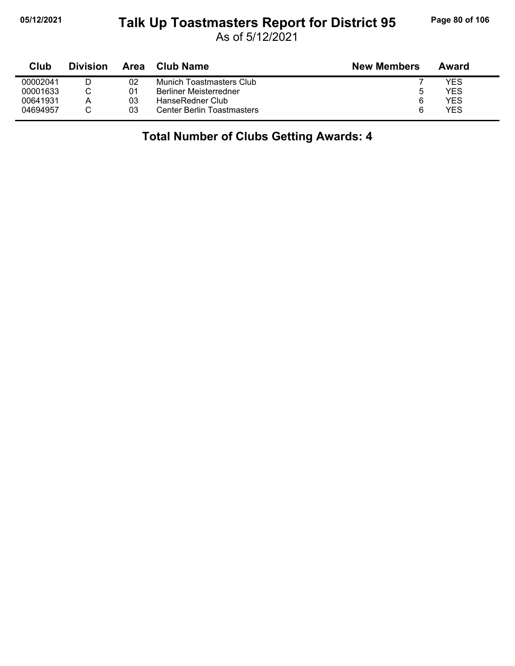#### **05/12/2021 Page 80 of 106 Talk Up Toastmasters Report for District 95**

As of 5/12/2021

| Club     | <b>Division</b> | Area | Club Name                         | <b>New Members</b> | Award |
|----------|-----------------|------|-----------------------------------|--------------------|-------|
| 00002041 |                 | 02   | Munich Toastmasters Club          |                    | YES   |
| 00001633 |                 | 01   | <b>Berliner Meisterredner</b>     |                    | YES   |
| 00641931 | Α               | 03   | HanseRedner Club                  | 6                  | YES   |
| 04694957 |                 | 03   | <b>Center Berlin Toastmasters</b> | 6                  | YES   |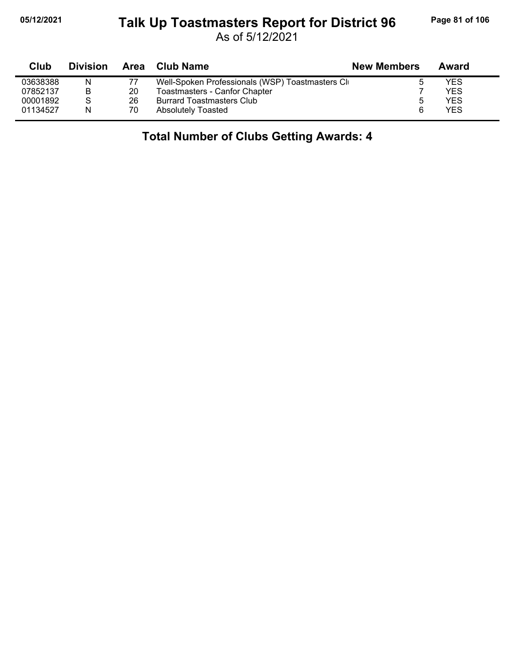#### **05/12/2021 Page 81 of 106 Talk Up Toastmasters Report for District 96**

As of 5/12/2021

| Club     | <b>Division</b> | Area | <b>Club Name</b>                                | <b>New Members</b> | Award |
|----------|-----------------|------|-------------------------------------------------|--------------------|-------|
| 03638388 | N               |      | Well-Spoken Professionals (WSP) Toastmasters Cl |                    | YES   |
| 07852137 | B               | 20   | Toastmasters - Canfor Chapter                   |                    | YES   |
| 00001892 | S               | 26   | <b>Burrard Toastmasters Club</b>                | 5                  | YES   |
| 01134527 | N               | 70   | <b>Absolutely Toasted</b>                       | 6                  | YES   |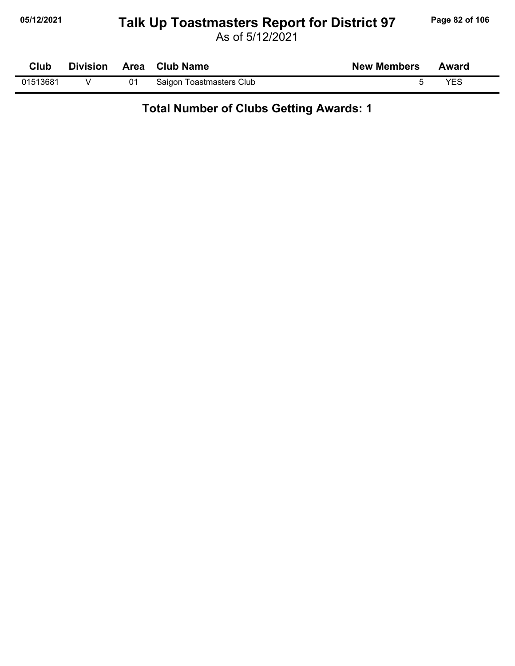#### **05/12/2021 Page 82 of 106 Talk Up Toastmasters Report for District 97**

| <b>Club</b> |  | Division Area Club Name  | <b>New Members</b> | Award |
|-------------|--|--------------------------|--------------------|-------|
| 01513681    |  | Saigon Toastmasters Club |                    | VES   |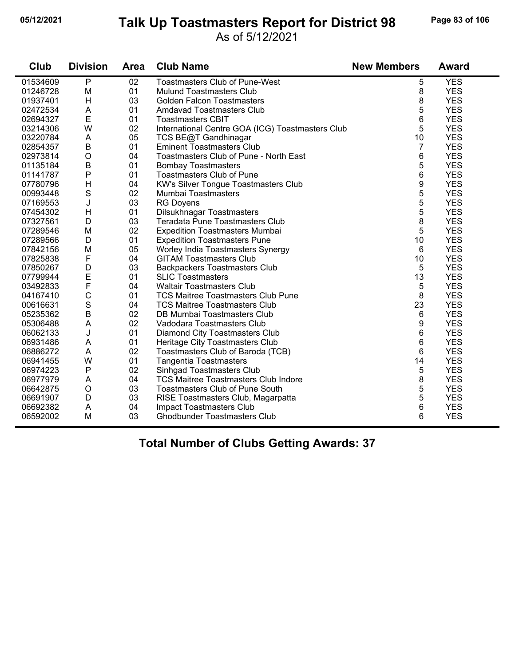#### **05/12/2021 Page 83 of 106 Talk Up Toastmasters Report for District 98**

#### As of 5/12/2021

| Club     | <b>Division</b> | <b>Area</b> | <b>Club Name</b>                                 | <b>New Members</b> | <b>Award</b> |
|----------|-----------------|-------------|--------------------------------------------------|--------------------|--------------|
| 01534609 | $\mathsf{P}$    | 02          | <b>Toastmasters Club of Pune-West</b>            | 5                  | <b>YES</b>   |
| 01246728 | M               | 01          | <b>Mulund Toastmasters Club</b>                  | 8                  | <b>YES</b>   |
| 01937401 | H               | 03          | <b>Golden Falcon Toastmasters</b>                | 8                  | <b>YES</b>   |
| 02472534 | A               | 01          | Amdavad Toastmasters Club                        | 5                  | <b>YES</b>   |
| 02694327 | E               | 01          | <b>Toastmasters CBIT</b>                         | 6                  | <b>YES</b>   |
| 03214306 | W               | 02          | International Centre GOA (ICG) Toastmasters Club | 5                  | <b>YES</b>   |
| 03220784 | A               | 05          | TCS BE@T Gandhinagar                             | 10                 | <b>YES</b>   |
| 02854357 | B               | 01          | <b>Eminent Toastmasters Club</b>                 | 7                  | <b>YES</b>   |
| 02973814 | $\mathsf O$     | 04          | Toastmasters Club of Pune - North East           | 6                  | <b>YES</b>   |
| 01135184 | B               | 01          | <b>Bombay Toastmasters</b>                       | 5                  | <b>YES</b>   |
| 01141787 | P               | 01          | <b>Toastmasters Club of Pune</b>                 | 6                  | <b>YES</b>   |
| 07780796 | H               | 04          | <b>KW's Silver Tongue Toastmasters Club</b>      | 9                  | <b>YES</b>   |
| 00993448 | $\mathbf S$     | 02          | Mumbai Toastmasters                              | 5                  | <b>YES</b>   |
| 07169553 | J               | 03          | <b>RG Doyens</b>                                 | 5                  | <b>YES</b>   |
| 07454302 | H               | 01          | Dilsukhnagar Toastmasters                        | 5                  | <b>YES</b>   |
| 07327561 | D               | 03          | Teradata Pune Toastmasters Club                  | 8                  | <b>YES</b>   |
| 07289546 | M               | 02          | <b>Expedition Toastmasters Mumbai</b>            | 5                  | <b>YES</b>   |
| 07289566 | D               | 01          | <b>Expedition Toastmasters Pune</b>              | 10                 | <b>YES</b>   |
| 07842156 | M               | 05          | Worley India Toastmasters Synergy                | 6                  | <b>YES</b>   |
| 07825838 | F               | 04          | <b>GITAM Toastmasters Club</b>                   | 10                 | <b>YES</b>   |
| 07850267 | D               | 03          | <b>Backpackers Toastmasters Club</b>             | 5                  | <b>YES</b>   |
| 07799944 | E               | 01          | <b>SLIC Toastmasters</b>                         | 13                 | <b>YES</b>   |
| 03492833 | F               | 04          | <b>Waltair Toastmasters Club</b>                 | 5                  | <b>YES</b>   |
| 04167410 | $\mathsf{C}$    | 01          | <b>TCS Maitree Toastmasters Club Pune</b>        | 8                  | <b>YES</b>   |
| 00616631 | $\mathbf S$     | 04          | <b>TCS Maitree Toastmasters Club</b>             | 23                 | <b>YES</b>   |
| 05235362 | $\overline{B}$  | 02          | DB Mumbai Toastmasters Club                      | 6                  | <b>YES</b>   |
| 05306488 | A               | 02          | Vadodara Toastmasters Club                       | 9                  | <b>YES</b>   |
| 06062133 | J               | 01          | Diamond City Toastmasters Club                   | 6                  | <b>YES</b>   |
| 06931486 | A               | 01          | Heritage City Toastmasters Club                  | 6                  | <b>YES</b>   |
| 06886272 | A               | 02          | Toastmasters Club of Baroda (TCB)                | 6                  | <b>YES</b>   |
| 06941455 | W               | 01          | <b>Tangentia Toastmasters</b>                    | 14                 | <b>YES</b>   |
| 06974223 | P               | 02          | Sinhgad Toastmasters Club                        | 5                  | <b>YES</b>   |
| 06977979 | A               | 04          | <b>TCS Maitree Toastmasters Club Indore</b>      | 8                  | <b>YES</b>   |
| 06642875 | $\circ$         | 03          | <b>Toastmasters Club of Pune South</b>           | 5                  | <b>YES</b>   |
| 06691907 | D               | 03          | RISE Toastmasters Club, Magarpatta               | 5                  | <b>YES</b>   |
| 06692382 | A               | 04          | Impact Toastmasters Club                         | 6                  | <b>YES</b>   |
| 06592002 | M               | 03          | <b>Ghodbunder Toastmasters Club</b>              | 6                  | <b>YES</b>   |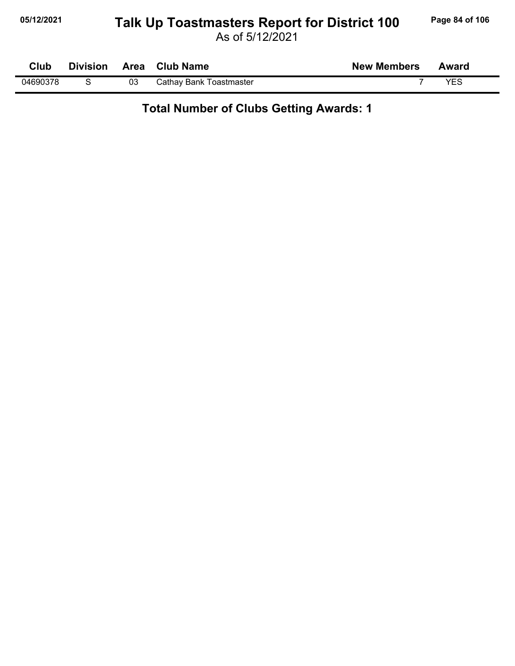# **05/12/2021 Page 84 of 106 Talk Up Toastmasters Report for District 100**

As of 5/12/2021

| Club     | <b>Division</b> |    | Area Club Name          | <b>New Members</b> | Award |
|----------|-----------------|----|-------------------------|--------------------|-------|
| 04690378 |                 | 03 | Cathay Bank Toastmaster |                    | YES   |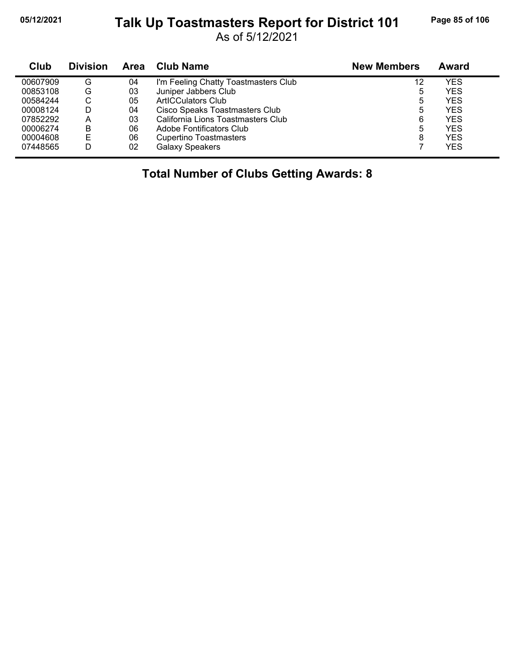#### **05/12/2021 Page 85 of 106 Talk Up Toastmasters Report for District 101**

As of 5/12/2021

| Club     | <b>Division</b> | Area | Club Name                            | <b>New Members</b> | Award      |
|----------|-----------------|------|--------------------------------------|--------------------|------------|
| 00607909 | G               | 04   | I'm Feeling Chatty Toastmasters Club | 12                 | YES        |
| 00853108 | G               | 03   | Juniper Jabbers Club                 | 5                  | <b>YES</b> |
| 00584244 | U               | 05   | <b>ArtICCulators Club</b>            | 5                  | <b>YES</b> |
| 00008124 | D               | 04   | Cisco Speaks Toastmasters Club       | 5                  | <b>YES</b> |
| 07852292 | Α               | 03   | California Lions Toastmasters Club   | 6                  | <b>YES</b> |
| 00006274 | в               | 06   | Adobe Fontificators Club             | 5                  | YES        |
| 00004608 | E               | 06   | <b>Cupertino Toastmasters</b>        | 8                  | <b>YES</b> |
| 07448565 | D               | 02   | <b>Galaxy Speakers</b>               |                    | <b>YES</b> |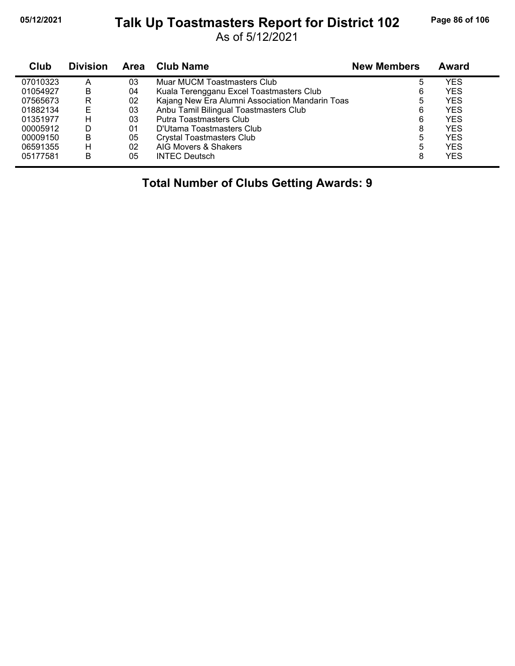#### **05/12/2021 Page 86 of 106 Talk Up Toastmasters Report for District 102**

As of 5/12/2021

| Club     | <b>Division</b> | <b>Area</b> | <b>Club Name</b>                                | <b>New Members</b> | <b>Award</b> |
|----------|-----------------|-------------|-------------------------------------------------|--------------------|--------------|
| 07010323 | А               | 03          | Muar MUCM Toastmasters Club                     | 5                  | YES          |
| 01054927 | B               | 04          | Kuala Terengganu Excel Toastmasters Club        | 6                  | <b>YES</b>   |
| 07565673 | R               | 02          | Kajang New Era Alumni Association Mandarin Toas | 5                  | <b>YES</b>   |
| 01882134 | E               | 03          | Anbu Tamil Bilingual Toastmasters Club          | 6                  | <b>YES</b>   |
| 01351977 | н               | 03          | Putra Toastmasters Club                         | 6                  | <b>YES</b>   |
| 00005912 | D               | 01          | D'Utama Toastmasters Club                       | 8                  | <b>YES</b>   |
| 00009150 | В               | 05          | <b>Crystal Toastmasters Club</b>                | 5                  | <b>YES</b>   |
| 06591355 | н               | 02          | AIG Movers & Shakers                            | 5                  | <b>YES</b>   |
| 05177581 | B               | 05          | <b>INTEC Deutsch</b>                            | 8                  | <b>YES</b>   |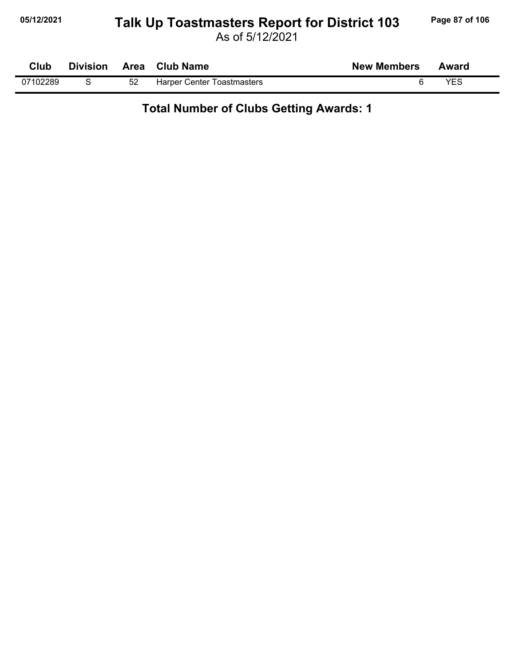# **05/12/2021 Page 87 of 106 Talk Up Toastmasters Report for District 103**

As of 5/12/2021

| Club     | <b>Division</b> | Area | <b>Club Name</b>           | <b>New Members</b> | Award |  |
|----------|-----------------|------|----------------------------|--------------------|-------|--|
| 07102289 |                 |      | Harper Center Toastmasters |                    | YES   |  |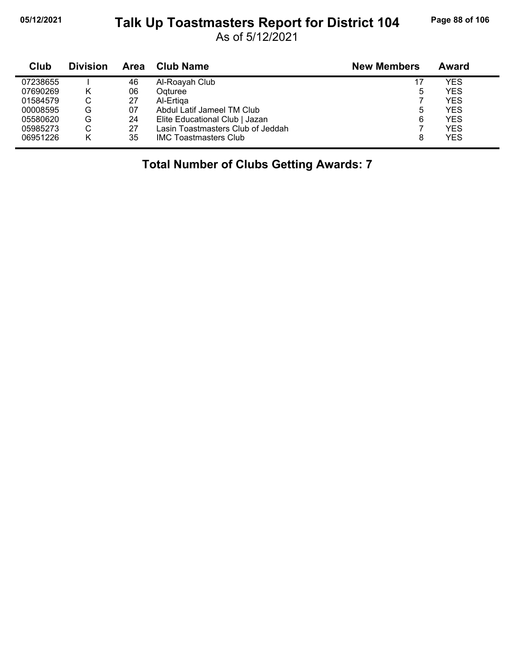#### **05/12/2021 Page 88 of 106 Talk Up Toastmasters Report for District 104**

As of 5/12/2021

| Club     | <b>Division</b> | <b>Area</b> | <b>Club Name</b>                  | <b>New Members</b> | Award      |
|----------|-----------------|-------------|-----------------------------------|--------------------|------------|
| 07238655 |                 | 46          | Al-Roayah Club                    | 17                 | YES        |
| 07690269 |                 | 06          | Ogturee                           | 5                  | YES        |
| 01584579 | С               | 27          | Al-Ertiga                         |                    | <b>YES</b> |
| 00008595 | G               | 07          | Abdul Latif Jameel TM Club        | 5                  | YES        |
| 05580620 | G               | 24          | Elite Educational Club   Jazan    | 6                  | <b>YES</b> |
| 05985273 | С               | 27          | Lasin Toastmasters Club of Jeddah |                    | <b>YES</b> |
| 06951226 |                 | 35          | <b>IMC Toastmasters Club</b>      | 8                  | <b>YES</b> |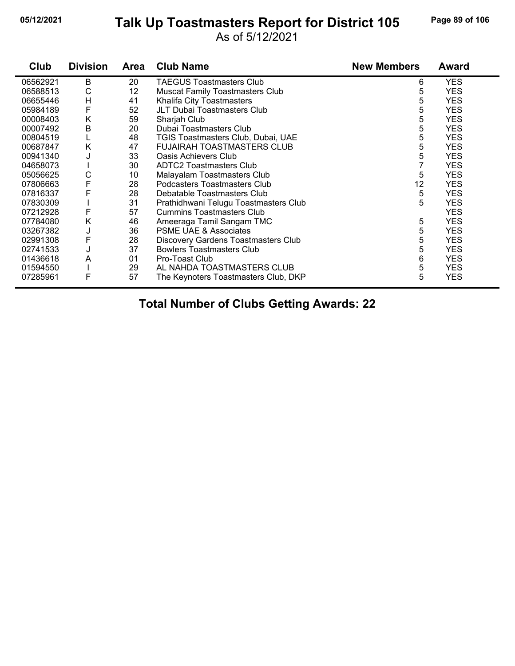# **05/12/2021 Page 89 of 106 Talk Up Toastmasters Report for District 105**

As of 5/12/2021

| Club     | <b>Division</b> | <b>Area</b> | <b>Club Name</b>                       | <b>New Members</b> | <b>Award</b> |
|----------|-----------------|-------------|----------------------------------------|--------------------|--------------|
| 06562921 | B               | 20          | <b>TAEGUS Toastmasters Club</b>        | 6                  | <b>YES</b>   |
| 06588513 | С               | 12          | <b>Muscat Family Toastmasters Club</b> | 5                  | <b>YES</b>   |
| 06655446 | Н               | 41          | Khalifa City Toastmasters              | 5                  | <b>YES</b>   |
| 05984189 | F               | 52          | JLT Dubai Toastmasters Club            | 5                  | <b>YES</b>   |
| 00008403 | Κ               | 59          | Sharjah Club                           | 5                  | <b>YES</b>   |
| 00007492 | В               | 20          | Dubai Toastmasters Club                | 5                  | <b>YES</b>   |
| 00804519 |                 | 48          | TGIS Toastmasters Club, Dubai, UAE     | 5                  | <b>YES</b>   |
| 00687847 | Κ               | 47          | FUJAIRAH TOASTMASTERS CLUB             | 5                  | <b>YES</b>   |
| 00941340 | J               | 33          | Oasis Achievers Club                   | 5                  | <b>YES</b>   |
| 04658073 |                 | 30          | <b>ADTC2 Toastmasters Club</b>         |                    | <b>YES</b>   |
| 05056625 | С               | 10          | Malayalam Toastmasters Club            | 5                  | <b>YES</b>   |
| 07806663 | F               | 28          | Podcasters Toastmasters Club           | 12                 | <b>YES</b>   |
| 07816337 | F               | 28          | Debatable Toastmasters Club            | 5                  | <b>YES</b>   |
| 07830309 |                 | 31          | Prathidhwani Telugu Toastmasters Club  | 5                  | <b>YES</b>   |
| 07212928 | F               | 57          | <b>Cummins Toastmasters Club</b>       |                    | <b>YES</b>   |
| 07784080 | Κ               | 46          | Ameeraga Tamil Sangam TMC              | 5                  | <b>YES</b>   |
| 03267382 | J               | 36          | <b>PSME UAE &amp; Associates</b>       | 5                  | <b>YES</b>   |
| 02991308 | F               | 28          | Discovery Gardens Toastmasters Club    | 5                  | <b>YES</b>   |
| 02741533 | J               | 37          | <b>Bowlers Toastmasters Club</b>       | 5                  | <b>YES</b>   |
| 01436618 | A               | 01          | Pro-Toast Club                         | 6                  | <b>YES</b>   |
| 01594550 |                 | 29          | AL NAHDA TOASTMASTERS CLUB             | 5                  | <b>YES</b>   |
| 07285961 | F               | 57          | The Keynoters Toastmasters Club, DKP   | 5                  | <b>YES</b>   |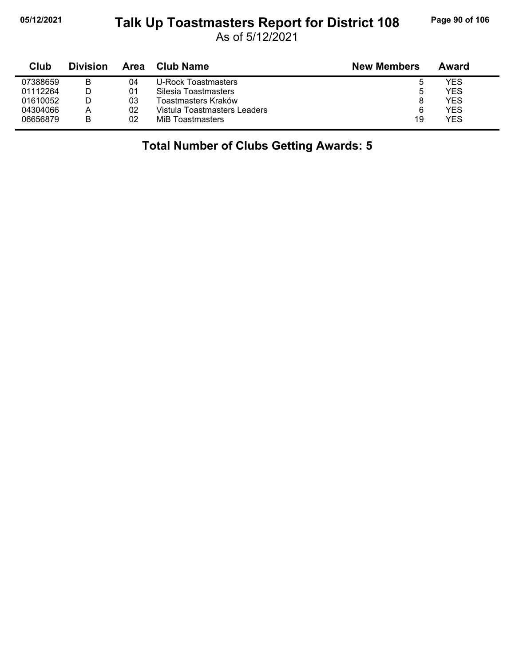# **05/12/2021 Page 90 of 106 Talk Up Toastmasters Report for District 108**

As of 5/12/2021

| Club     | <b>Division</b> | Area | <b>Club Name</b>             | <b>New Members</b> | Award |
|----------|-----------------|------|------------------------------|--------------------|-------|
| 07388659 | В               | 04   | U-Rock Toastmasters          | э                  | YES   |
| 01112264 |                 | 01   | Silesia Toastmasters         | b                  | YES   |
| 01610052 |                 | 03   | Toastmasters Kraków          | 8                  | YES.  |
| 04304066 | А               | 02   | Vistula Toastmasters Leaders | 6                  | YES.  |
| 06656879 | B               | 02   | MiB Toastmasters             | 19                 | YES   |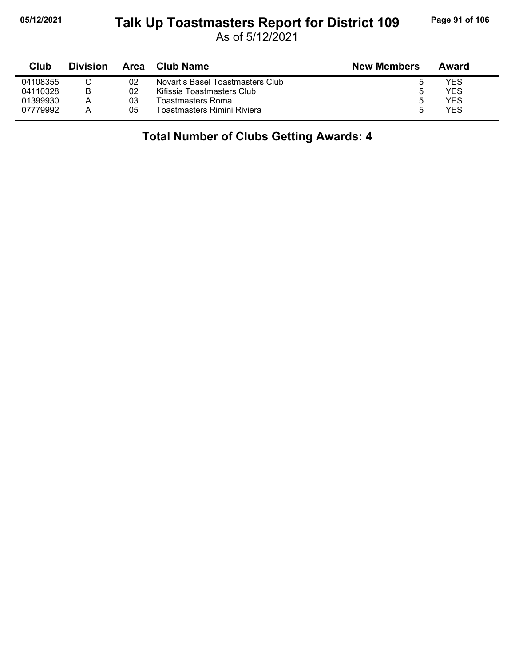#### **05/12/2021 Page 91 of 106 Talk Up Toastmasters Report for District 109**

As of 5/12/2021

| Club     | <b>Division</b> | Area | <b>Club Name</b>                 | <b>New Members</b> | Award |  |
|----------|-----------------|------|----------------------------------|--------------------|-------|--|
| 04108355 |                 | 02   | Novartis Basel Toastmasters Club |                    | YES   |  |
| 04110328 | B               | 02   | Kifissia Toastmasters Club       | 5                  | YES   |  |
| 01399930 | Α               | 03   | Toastmasters Roma                | 5                  | YES   |  |
| 07779992 | А               | 05   | Toastmasters Rimini Riviera      |                    | YES   |  |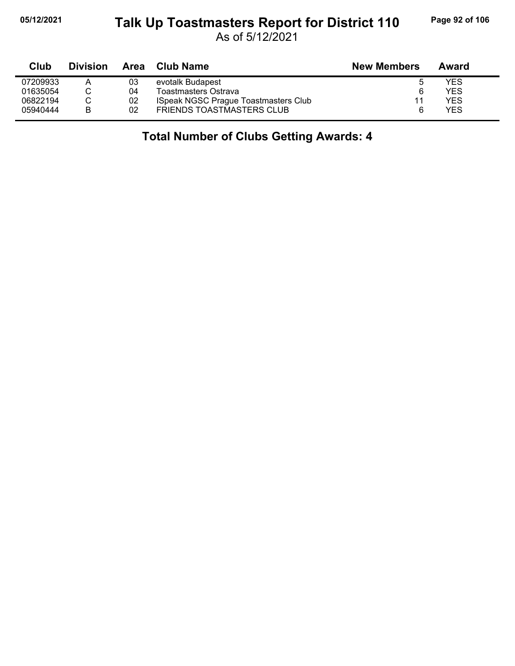#### **05/12/2021 Page 92 of 106 Talk Up Toastmasters Report for District 110**

As of 5/12/2021

| Club     | <b>Division</b> | Area | <b>Club Name</b>                            | <b>New Members</b> | Award |  |
|----------|-----------------|------|---------------------------------------------|--------------------|-------|--|
| 07209933 | A               | 03   | evotalk Budapest                            |                    | YES   |  |
| 01635054 |                 | 04   | Toastmasters Ostrava                        |                    | YES   |  |
| 06822194 |                 | 02   | <b>ISpeak NGSC Prague Toastmasters Club</b> | 11                 | YES   |  |
| 05940444 | B               | 02   | FRIENDS TOASTMASTERS CLUB                   |                    | YES   |  |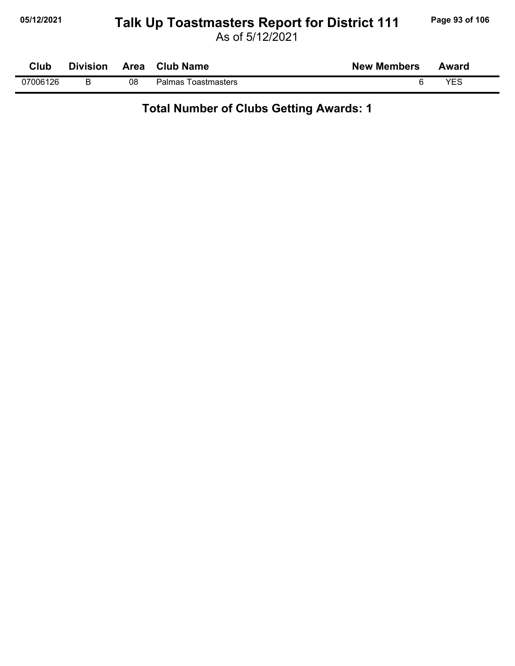# **05/12/2021 Page 93 of 106 Talk Up Toastmasters Report for District 111**

As of 5/12/2021

| Club     | <b>Division</b> | <b>Area</b> | <b>Club Name</b>       | <b>New Members</b> | Award |
|----------|-----------------|-------------|------------------------|--------------------|-------|
| 07006126 |                 | 08          | Palmas<br>Toastmasters |                    | VES   |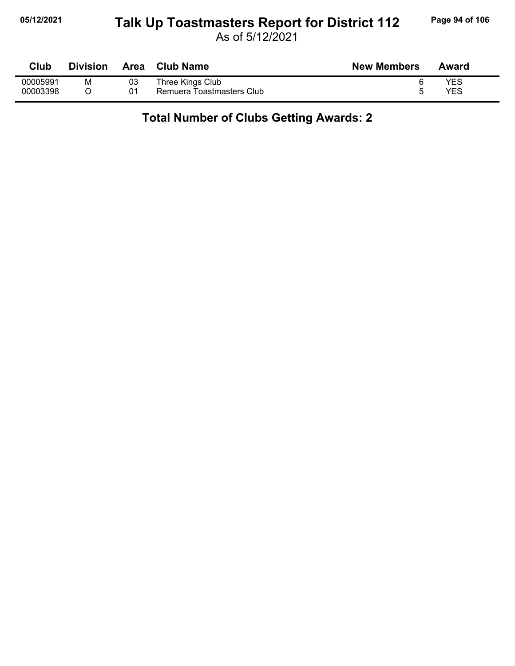#### **05/12/2021 Page 94 of 106 Talk Up Toastmasters Report for District 112**

As of 5/12/2021

| Club     | <b>Division</b> | Area | <b>Club Name</b>          | <b>New Members</b> | Award      |
|----------|-----------------|------|---------------------------|--------------------|------------|
| 00005991 | м               | 03   | Three Kings Club          |                    | YES        |
| 00003398 |                 | 01   | Remuera Toastmasters Club |                    | <b>YES</b> |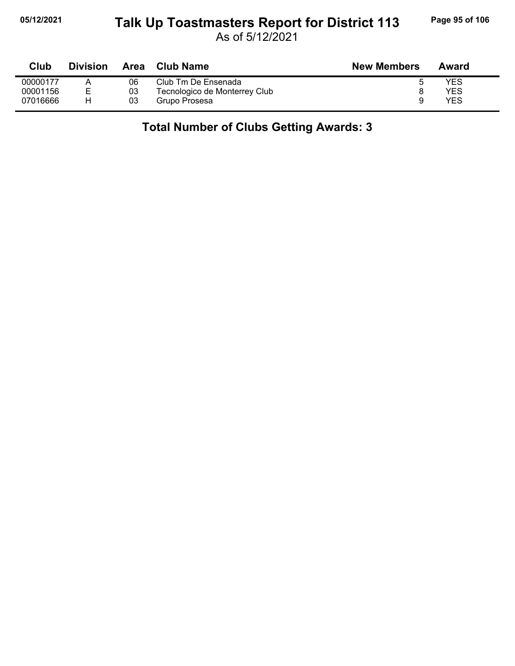### **05/12/2021 Page 95 of 106 Talk Up Toastmasters Report for District 113**

As of 5/12/2021

| <b>Club</b> | <b>Division</b> | Area | <b>Club Name</b>              | <b>New Members</b> | Award |
|-------------|-----------------|------|-------------------------------|--------------------|-------|
| 00000177    |                 | 06   | Club Tm De Ensenada           |                    | YES   |
| 00001156    | E.              | 03   | Tecnologico de Monterrey Club |                    | YES   |
| 07016666    |                 | 03   | Grupo Prosesa                 |                    | YES   |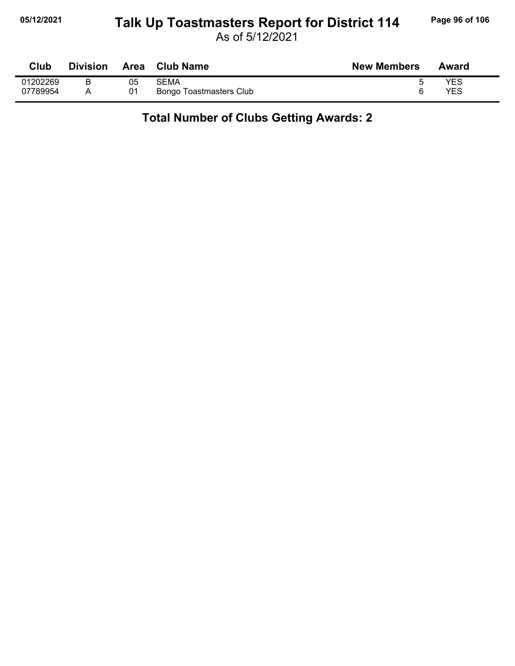#### **05/12/2021 Page 96 of 106 Talk Up Toastmasters Report for District 114**

As of 5/12/2021

| Club     | <b>Division</b> | <b>Area</b> | <b>Club Name</b>        | <b>New Members</b> | Award |
|----------|-----------------|-------------|-------------------------|--------------------|-------|
| 01202269 | B               | 05          | SEMA                    |                    | YES   |
| 07789954 |                 | 01          | Bongo Toastmasters Club |                    | YES   |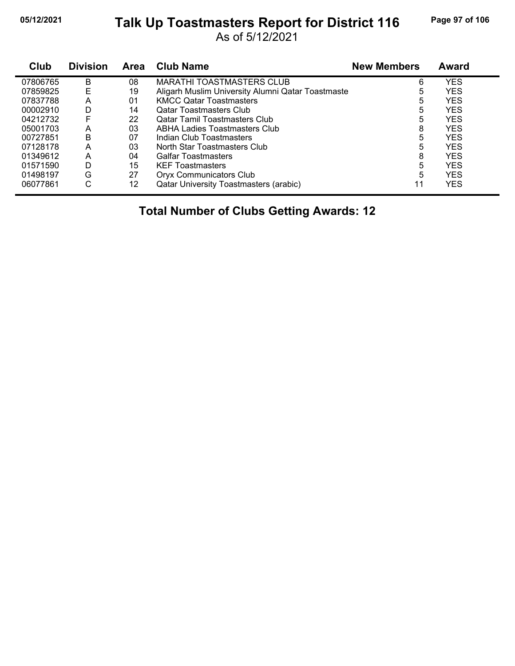#### **05/12/2021 Page 97 of 106 Talk Up Toastmasters Report for District 116**

As of 5/12/2021

| <b>Club</b> | <b>Division</b> | Area | <b>Club Name</b>                                  | <b>New Members</b> | <b>Award</b> |
|-------------|-----------------|------|---------------------------------------------------|--------------------|--------------|
| 07806765    | B               | 08   | <b>MARATHI TOASTMASTERS CLUB</b>                  | 6                  | YES          |
| 07859825    |                 | 19   | Aligarh Muslim University Alumni Qatar Toastmaste | 5                  | <b>YES</b>   |
| 07837788    | А               | 01   | <b>KMCC Qatar Toastmasters</b>                    | 5                  | <b>YES</b>   |
| 00002910    | D               | 14   | <b>Qatar Toastmasters Club</b>                    | 5                  | <b>YES</b>   |
| 04212732    | F               | 22   | <b>Qatar Tamil Toastmasters Club</b>              | 5                  | <b>YES</b>   |
| 05001703    | А               | 03   | <b>ABHA Ladies Toastmasters Club</b>              | 8                  | <b>YES</b>   |
| 00727851    | в               | 07   | Indian Club Toastmasters                          | 5                  | <b>YES</b>   |
| 07128178    | А               | 03   | North Star Toastmasters Club                      | 5                  | <b>YES</b>   |
| 01349612    | А               | 04   | <b>Galfar Toastmasters</b>                        | 8                  | <b>YES</b>   |
| 01571590    | D               | 15   | <b>KEF Toastmasters</b>                           | 5                  | <b>YES</b>   |
| 01498197    | G               | 27   | <b>Oryx Communicators Club</b>                    | 5                  | <b>YES</b>   |
| 06077861    | C               | 12   | <b>Qatar University Toastmasters (arabic)</b>     | 11                 | <b>YES</b>   |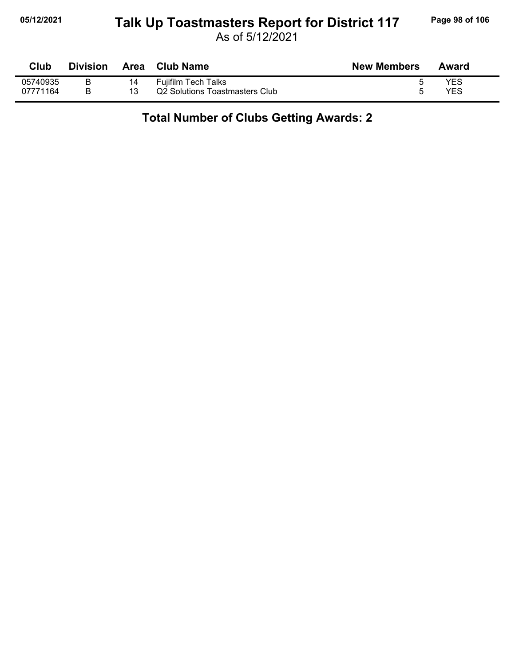#### **05/12/2021 Page 98 of 106 Talk Up Toastmasters Report for District 117**

As of 5/12/2021

| Club     | <b>Division</b> | <b>Area</b> | <b>Club Name</b>               | <b>New Members</b> | Award |
|----------|-----------------|-------------|--------------------------------|--------------------|-------|
| 05740935 |                 |             | <b>Fujifilm Tech Talks</b>     |                    | YES   |
| 07771164 |                 |             | Q2 Solutions Toastmasters Club |                    | YES   |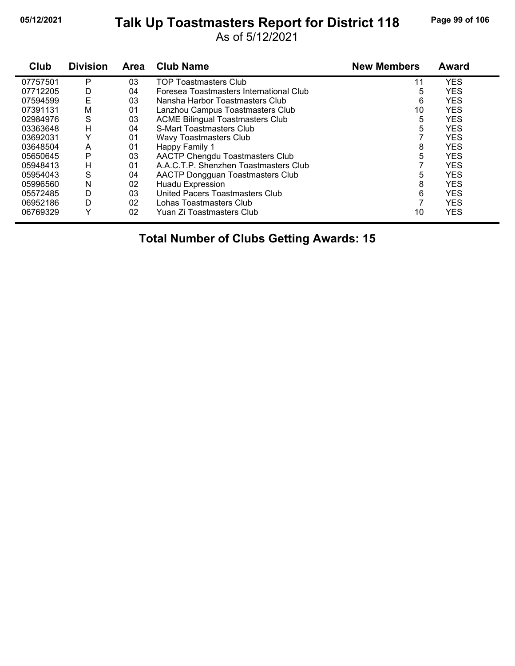# **05/12/2021 Page 99 of 106 Talk Up Toastmasters Report for District 118**

As of 5/12/2021

| Club     | <b>Division</b> | <b>Area</b> | <b>Club Name</b>                        | <b>New Members</b> | <b>Award</b> |
|----------|-----------------|-------------|-----------------------------------------|--------------------|--------------|
| 07757501 | P               | 03          | <b>TOP Toastmasters Club</b>            | 11                 | <b>YES</b>   |
| 07712205 | D               | 04          | Foresea Toastmasters International Club | 5                  | <b>YES</b>   |
| 07594599 | E               | 03          | Nansha Harbor Toastmasters Club         | 6                  | <b>YES</b>   |
| 07391131 | M               | 01          | Lanzhou Campus Toastmasters Club        | 10                 | <b>YES</b>   |
| 02984976 | S               | 03          | <b>ACME Bilingual Toastmasters Club</b> | 5                  | <b>YES</b>   |
| 03363648 | Н               | 04          | S-Mart Toastmasters Club                | 5                  | <b>YES</b>   |
| 03692031 | Y               | 01          | Wavy Toastmasters Club                  |                    | <b>YES</b>   |
| 03648504 | A               | 01          | Happy Family 1                          | 8                  | <b>YES</b>   |
| 05650645 | P               | 03          | AACTP Chengdu Toastmasters Club         | 5                  | <b>YES</b>   |
| 05948413 | н               | 01          | A.A.C.T.P. Shenzhen Toastmasters Club   |                    | <b>YES</b>   |
| 05954043 | S               | 04          | <b>AACTP Dongguan Toastmasters Club</b> | 5                  | <b>YES</b>   |
| 05996560 | N               | 02          | <b>Huadu Expression</b>                 | 8                  | <b>YES</b>   |
| 05572485 | D               | 03          | United Pacers Toastmasters Club         | 6                  | <b>YES</b>   |
| 06952186 | D               | 02          | Lohas Toastmasters Club                 |                    | <b>YES</b>   |
| 06769329 | ٧               | 02          | Yuan Zi Toastmasters Club               | 10                 | <b>YES</b>   |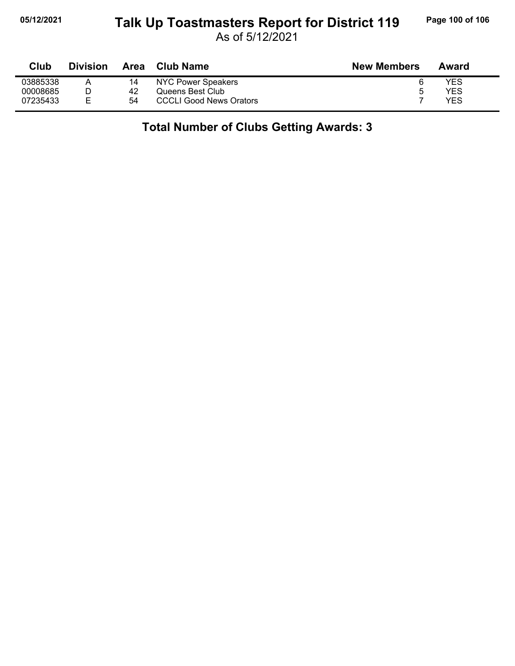### **05/12/2021 Page 100 of 106 Talk Up Toastmasters Report for District 119**

As of 5/12/2021

| Club     | <b>Division</b> | Area | <b>Club Name</b>               | <b>New Members</b> | Award      |
|----------|-----------------|------|--------------------------------|--------------------|------------|
| 03885338 |                 | 14   | NYC Power Speakers             |                    | YES        |
| 00008685 |                 | 42   | Queens Best Club               | b                  | YES        |
| 07235433 |                 | 54   | <b>CCCLI Good News Orators</b> |                    | <b>YES</b> |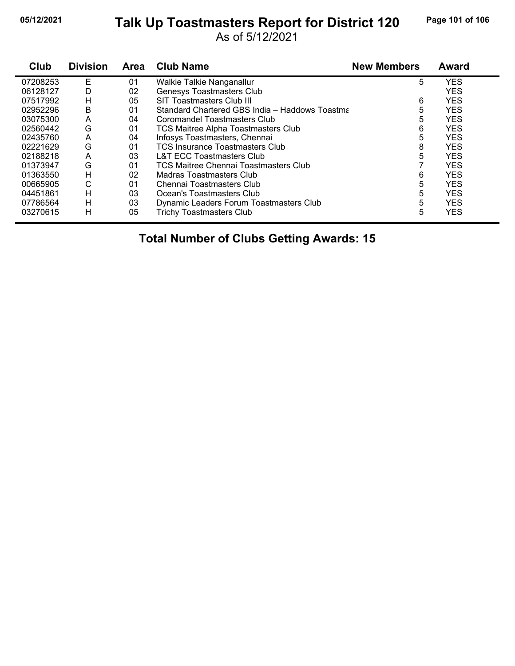#### **05/12/2021 Page 101 of 106 Talk Up Toastmasters Report for District 120**

As of 5/12/2021

| Club     | <b>Division</b> | <b>Area</b> | <b>Club Name</b>                               | <b>New Members</b> | Award      |
|----------|-----------------|-------------|------------------------------------------------|--------------------|------------|
| 07208253 | E               | 01          | Walkie Talkie Nanganallur                      | 5                  | <b>YES</b> |
| 06128127 | D               | 02          | Genesys Toastmasters Club                      |                    | <b>YES</b> |
| 07517992 | н               | 05          | SIT Toastmasters Club III                      | 6                  | <b>YES</b> |
| 02952296 | B               | 01          | Standard Chartered GBS India - Haddows Toastma | 5                  | <b>YES</b> |
| 03075300 | A               | 04          | Coromandel Toastmasters Club                   | 5                  | <b>YES</b> |
| 02560442 | G               | 01          | <b>TCS Maitree Alpha Toastmasters Club</b>     | 6                  | <b>YES</b> |
| 02435760 | A               | 04          | Infosys Toastmasters, Chennai                  | 5                  | <b>YES</b> |
| 02221629 | G               | 01          | <b>TCS Insurance Toastmasters Club</b>         | 8                  | <b>YES</b> |
| 02188218 | A               | 03          | L&T ECC Toastmasters Club                      | 5                  | <b>YES</b> |
| 01373947 | G               | 01          | TCS Maitree Chennai Toastmasters Club          |                    | <b>YES</b> |
| 01363550 | H               | 02          | Madras Toastmasters Club                       | 6                  | <b>YES</b> |
| 00665905 | С               | 01          | Chennai Toastmasters Club                      | 5                  | <b>YES</b> |
| 04451861 | н               | 03          | Ocean's Toastmasters Club                      | 5                  | <b>YES</b> |
| 07786564 | H               | 03          | Dynamic Leaders Forum Toastmasters Club        | 5                  | <b>YES</b> |
| 03270615 | н               | 05          | <b>Trichy Toastmasters Club</b>                | 5                  | <b>YES</b> |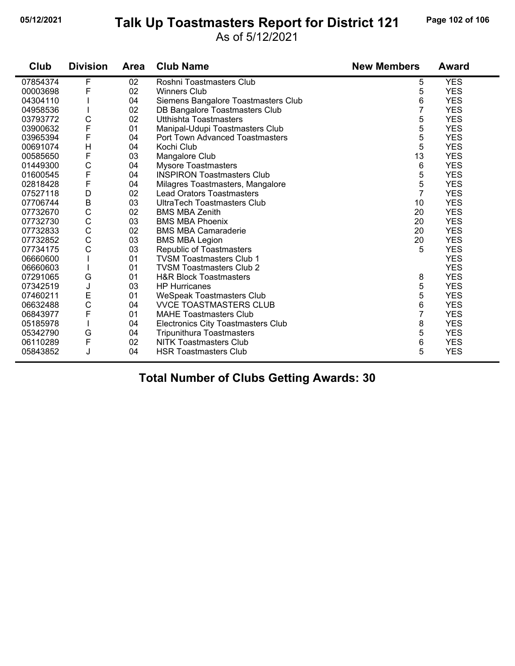#### **05/12/2021 Page 102 of 106 Talk Up Toastmasters Report for District 121**

As of 5/12/2021

| Club     | <b>Division</b> | <b>Area</b> | <b>Club Name</b>                    | <b>New Members</b> | <b>Award</b> |
|----------|-----------------|-------------|-------------------------------------|--------------------|--------------|
| 07854374 | F               | 02          | Roshni Toastmasters Club            | 5                  | <b>YES</b>   |
| 00003698 | F               | 02          | <b>Winners Club</b>                 | 5                  | <b>YES</b>   |
| 04304110 |                 | 04          | Siemens Bangalore Toastmasters Club | 6                  | <b>YES</b>   |
| 04958536 |                 | 02          | DB Bangalore Toastmasters Club      | 7                  | <b>YES</b>   |
| 03793772 | $\mathsf{C}$    | 02          | Utthishta Toastmasters              | 5                  | <b>YES</b>   |
| 03900632 | F               | 01          | Manipal-Udupi Toastmasters Club     | 5                  | <b>YES</b>   |
| 03965394 | F               | 04          | Port Town Advanced Toastmasters     | 5                  | <b>YES</b>   |
| 00691074 | H               | 04          | Kochi Club                          | 5                  | <b>YES</b>   |
| 00585650 | $\mathsf F$     | 03          | Mangalore Club                      | 13                 | <b>YES</b>   |
| 01449300 | $\mathsf{C}$    | 04          | <b>Mysore Toastmasters</b>          | 6                  | <b>YES</b>   |
| 01600545 | $\overline{F}$  | 04          | <b>INSPIRON Toastmasters Club</b>   | 5                  | <b>YES</b>   |
| 02818428 | $\mathsf F$     | 04          | Milagres Toastmasters, Mangalore    | 5                  | <b>YES</b>   |
| 07527118 | D               | 02          | <b>Lead Orators Toastmasters</b>    | $\overline{7}$     | <b>YES</b>   |
| 07706744 | B               | 03          | <b>UltraTech Toastmasters Club</b>  | 10                 | <b>YES</b>   |
| 07732670 | $\mathsf{C}$    | 02          | <b>BMS MBA Zenith</b>               | 20                 | <b>YES</b>   |
| 07732730 | $\mathsf{C}$    | 03          | <b>BMS MBA Phoenix</b>              | 20                 | <b>YES</b>   |
| 07732833 | C               | 02          | <b>BMS MBA Camaraderie</b>          | 20                 | <b>YES</b>   |
| 07732852 | C               | 03          | <b>BMS MBA Legion</b>               | 20                 | <b>YES</b>   |
| 07734175 | C               | 03          | Republic of Toastmasters            | 5                  | <b>YES</b>   |
| 06660600 |                 | 01          | <b>TVSM Toastmasters Club 1</b>     |                    | <b>YES</b>   |
| 06660603 |                 | 01          | <b>TVSM Toastmasters Club 2</b>     |                    | <b>YES</b>   |
| 07291065 | G               | 01          | <b>H&amp;R Block Toastmasters</b>   | 8                  | <b>YES</b>   |
| 07342519 | J               | 03          | <b>HP Hurricanes</b>                | 5                  | <b>YES</b>   |
| 07460211 | E               | 01          | <b>WeSpeak Toastmasters Club</b>    | 5                  | <b>YES</b>   |
| 06632488 | C               | 04          | <b>VVCE TOASTMASTERS CLUB</b>       | 6                  | <b>YES</b>   |
| 06843977 | $\mathsf{F}$    | 01          | <b>MAHE Toastmasters Club</b>       | 7                  | <b>YES</b>   |
| 05185978 |                 | 04          | Electronics City Toastmasters Club  | 8                  | <b>YES</b>   |
| 05342790 | G               | 04          | <b>Tripunithura Toastmasters</b>    | 5                  | <b>YES</b>   |
| 06110289 | $\mathsf F$     | 02          | <b>NITK Toastmasters Club</b>       | 6                  | <b>YES</b>   |
| 05843852 | J               | 04          | <b>HSR Toastmasters Club</b>        | 5                  | <b>YES</b>   |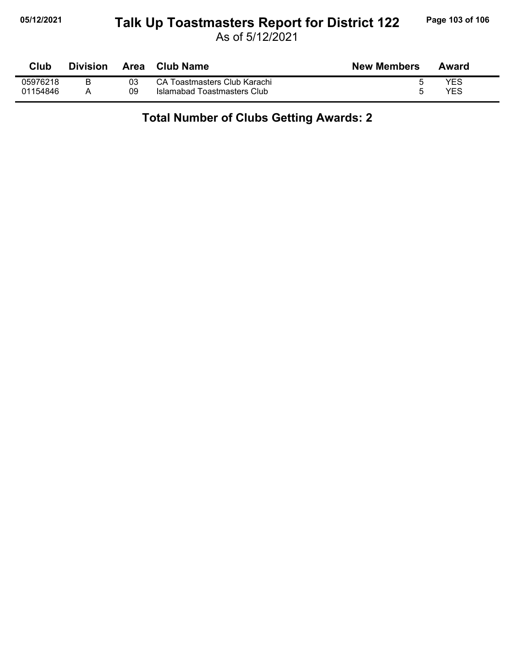#### **05/12/2021 Page 103 of 106 Talk Up Toastmasters Report for District 122**

As of 5/12/2021

| Club     | <b>Division</b> | Area | Club Name                    | <b>New Members</b> | Award |
|----------|-----------------|------|------------------------------|--------------------|-------|
| 05976218 | B               | 03   | CA Toastmasters Club Karachi |                    | YES   |
| 01154846 |                 | 09   | Islamabad Toastmasters Club  |                    | YES   |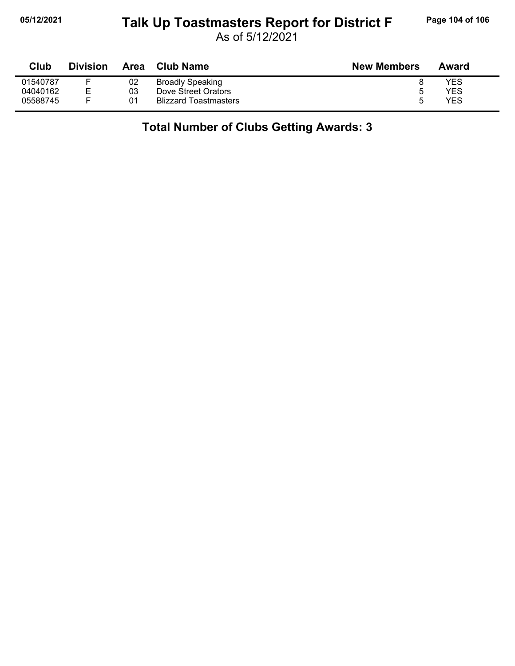#### **05/12/2021 Page 104 of 106 Talk Up Toastmasters Report for District F**

As of 5/12/2021

| Club     | <b>Division</b> | Area | <b>Club Name</b>             | <b>New Members</b> | Award |
|----------|-----------------|------|------------------------------|--------------------|-------|
| 01540787 |                 | 02   | <b>Broadly Speaking</b>      |                    | YES   |
| 04040162 |                 | 03   | Dove Street Orators          | ა                  | YES   |
| 05588745 |                 | 01   | <b>Blizzard Toastmasters</b> | h                  | YES   |